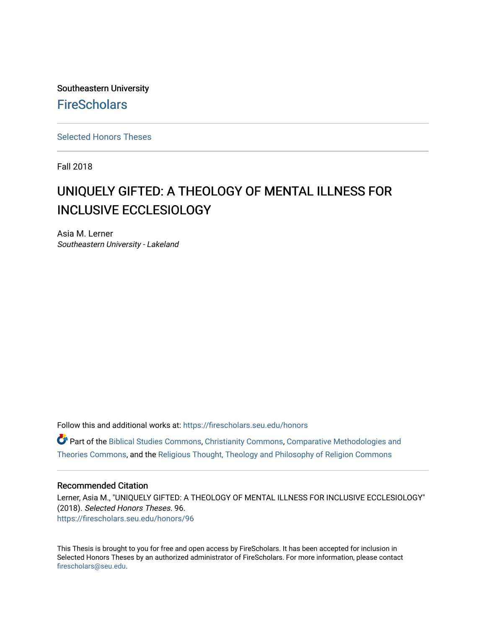Southeastern University **FireScholars** 

[Selected Honors Theses](https://firescholars.seu.edu/honors)

Fall 2018

# UNIQUELY GIFTED: A THEOLOGY OF MENTAL ILLNESS FOR INCLUSIVE ECCLESIOLOGY

Asia M. Lerner Southeastern University - Lakeland

Follow this and additional works at: [https://firescholars.seu.edu/honors](https://firescholars.seu.edu/honors?utm_source=firescholars.seu.edu%2Fhonors%2F96&utm_medium=PDF&utm_campaign=PDFCoverPages)

Part of the [Biblical Studies Commons,](http://network.bepress.com/hgg/discipline/539?utm_source=firescholars.seu.edu%2Fhonors%2F96&utm_medium=PDF&utm_campaign=PDFCoverPages) [Christianity Commons,](http://network.bepress.com/hgg/discipline/1181?utm_source=firescholars.seu.edu%2Fhonors%2F96&utm_medium=PDF&utm_campaign=PDFCoverPages) [Comparative Methodologies and](http://network.bepress.com/hgg/discipline/540?utm_source=firescholars.seu.edu%2Fhonors%2F96&utm_medium=PDF&utm_campaign=PDFCoverPages)  [Theories Commons](http://network.bepress.com/hgg/discipline/540?utm_source=firescholars.seu.edu%2Fhonors%2F96&utm_medium=PDF&utm_campaign=PDFCoverPages), and the [Religious Thought, Theology and Philosophy of Religion Commons](http://network.bepress.com/hgg/discipline/544?utm_source=firescholars.seu.edu%2Fhonors%2F96&utm_medium=PDF&utm_campaign=PDFCoverPages) 

#### Recommended Citation

Lerner, Asia M., "UNIQUELY GIFTED: A THEOLOGY OF MENTAL ILLNESS FOR INCLUSIVE ECCLESIOLOGY" (2018). Selected Honors Theses. 96. [https://firescholars.seu.edu/honors/96](https://firescholars.seu.edu/honors/96?utm_source=firescholars.seu.edu%2Fhonors%2F96&utm_medium=PDF&utm_campaign=PDFCoverPages) 

This Thesis is brought to you for free and open access by FireScholars. It has been accepted for inclusion in Selected Honors Theses by an authorized administrator of FireScholars. For more information, please contact [firescholars@seu.edu.](mailto:firescholars@seu.edu)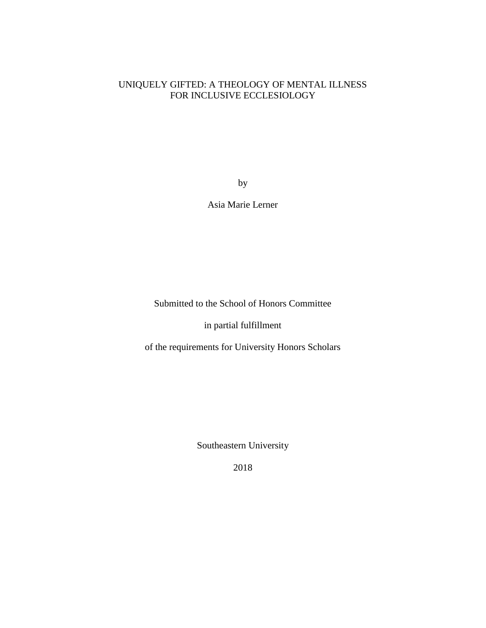### UNIQUELY GIFTED: A THEOLOGY OF MENTAL ILLNESS FOR INCLUSIVE ECCLESIOLOGY

by

Asia Marie Lerner

Submitted to the School of Honors Committee

in partial fulfillment

of the requirements for University Honors Scholars

Southeastern University

2018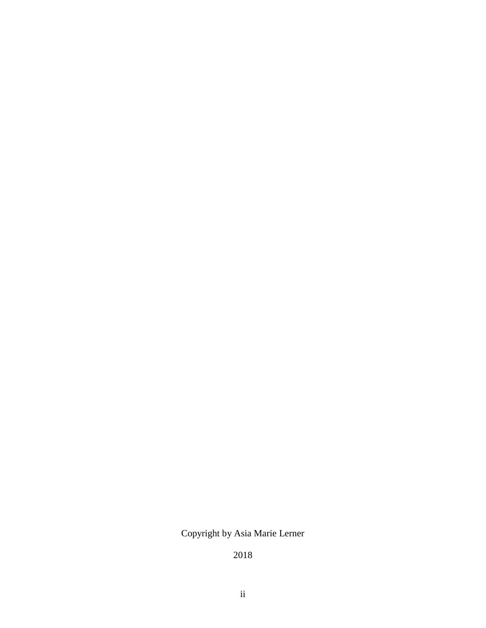## Copyright by Asia Marie Lerner

2018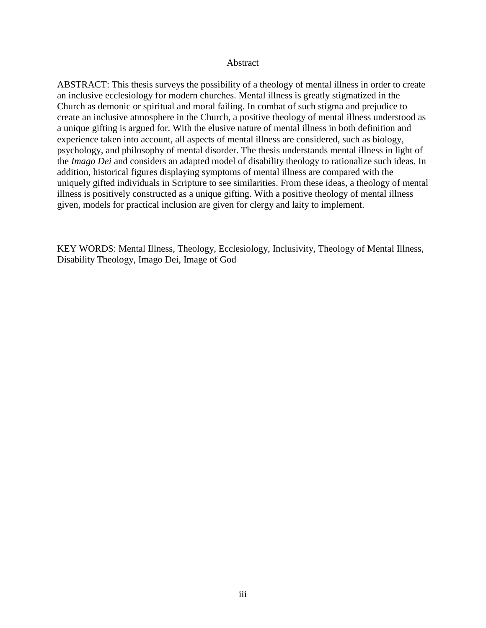#### Abstract

ABSTRACT: This thesis surveys the possibility of a theology of mental illness in order to create an inclusive ecclesiology for modern churches. Mental illness is greatly stigmatized in the Church as demonic or spiritual and moral failing. In combat of such stigma and prejudice to create an inclusive atmosphere in the Church, a positive theology of mental illness understood as a unique gifting is argued for. With the elusive nature of mental illness in both definition and experience taken into account, all aspects of mental illness are considered, such as biology, psychology, and philosophy of mental disorder. The thesis understands mental illness in light of the *Imago Dei* and considers an adapted model of disability theology to rationalize such ideas. In addition, historical figures displaying symptoms of mental illness are compared with the uniquely gifted individuals in Scripture to see similarities. From these ideas, a theology of mental illness is positively constructed as a unique gifting. With a positive theology of mental illness given, models for practical inclusion are given for clergy and laity to implement.

KEY WORDS: Mental Illness, Theology, Ecclesiology, Inclusivity, Theology of Mental Illness, Disability Theology, Imago Dei, Image of God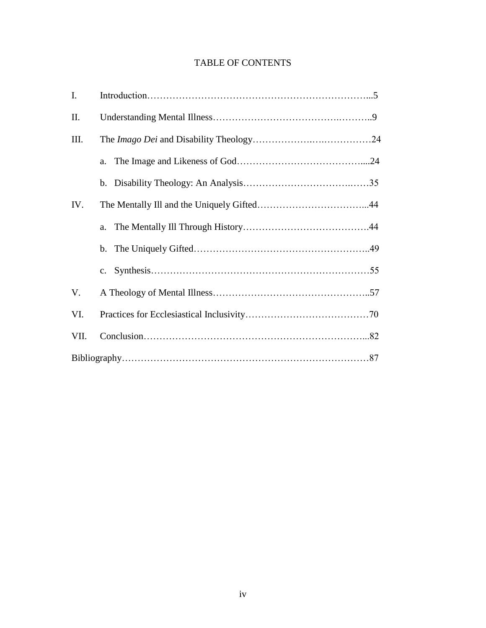## TABLE OF CONTENTS

| I.   |    |  |
|------|----|--|
| П.   |    |  |
| Ш.   |    |  |
|      | a. |  |
|      |    |  |
| IV.  |    |  |
|      | a. |  |
|      |    |  |
|      |    |  |
| V.   |    |  |
| VI.  |    |  |
| VII. |    |  |
|      |    |  |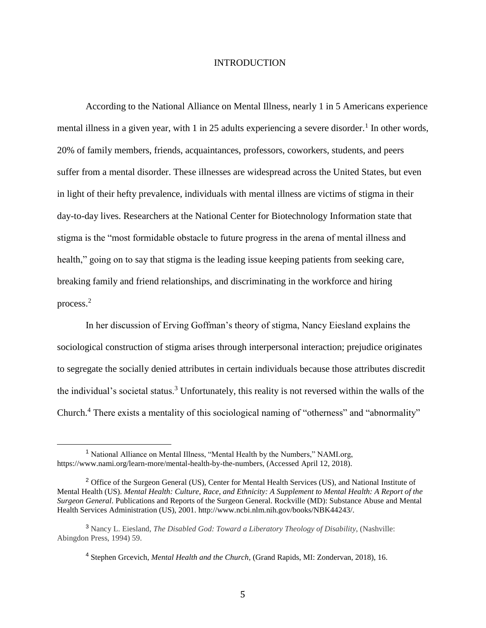#### INTRODUCTION

According to the National Alliance on Mental Illness, nearly 1 in 5 Americans experience mental illness in a given year, with 1 in 25 adults experiencing a severe disorder.<sup>1</sup> In other words, 20% of family members, friends, acquaintances, professors, coworkers, students, and peers suffer from a mental disorder. These illnesses are widespread across the United States, but even in light of their hefty prevalence, individuals with mental illness are victims of stigma in their day-to-day lives. Researchers at the National Center for Biotechnology Information state that stigma is the "most formidable obstacle to future progress in the arena of mental illness and health," going on to say that stigma is the leading issue keeping patients from seeking care, breaking family and friend relationships, and discriminating in the workforce and hiring process.<sup>2</sup>

In her discussion of Erving Goffman's theory of stigma, Nancy Eiesland explains the sociological construction of stigma arises through interpersonal interaction; prejudice originates to segregate the socially denied attributes in certain individuals because those attributes discredit the individual's societal status.<sup>3</sup> Unfortunately, this reality is not reversed within the walls of the Church.<sup>4</sup> There exists a mentality of this sociological naming of "otherness" and "abnormality"

<sup>&</sup>lt;sup>1</sup> National Alliance on Mental Illness, "Mental Health by the Numbers," NAMI.org, https://www.nami.org/learn-more/mental-health-by-the-numbers, (Accessed April 12, 2018).

<sup>&</sup>lt;sup>2</sup> Office of the Surgeon General (US), Center for Mental Health Services (US), and National Institute of Mental Health (US). *Mental Health: Culture, Race, and Ethnicity: A Supplement to Mental Health: A Report of the Surgeon General*. Publications and Reports of the Surgeon General. Rockville (MD): Substance Abuse and Mental Health Services Administration (US), 2001. http://www.ncbi.nlm.nih.gov/books/NBK44243/.

<sup>3</sup> Nancy L. Eiesland, *The Disabled God: Toward a Liberatory Theology of Disability*, (Nashville: Abingdon Press, 1994) 59.

<sup>4</sup> Stephen Grcevich, *Mental Health and the Church*, (Grand Rapids, MI: Zondervan, 2018), 16.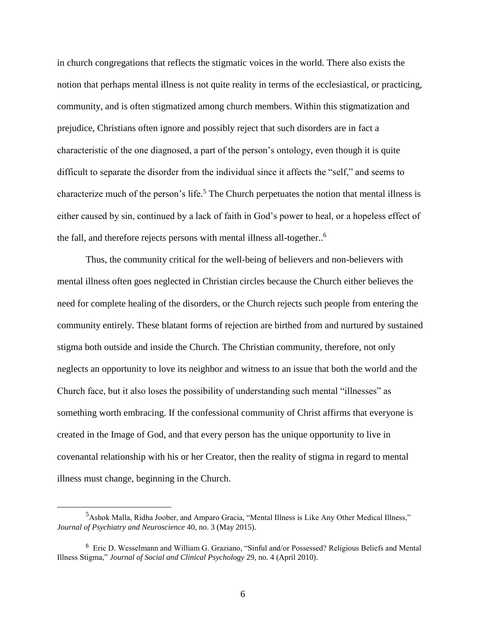in church congregations that reflects the stigmatic voices in the world. There also exists the notion that perhaps mental illness is not quite reality in terms of the ecclesiastical, or practicing, community, and is often stigmatized among church members. Within this stigmatization and prejudice, Christians often ignore and possibly reject that such disorders are in fact a characteristic of the one diagnosed, a part of the person's ontology, even though it is quite difficult to separate the disorder from the individual since it affects the "self," and seems to characterize much of the person's life.<sup>5</sup> The Church perpetuates the notion that mental illness is either caused by sin, continued by a lack of faith in God's power to heal, or a hopeless effect of the fall, and therefore rejects persons with mental illness all-together.. 6

Thus, the community critical for the well-being of believers and non-believers with mental illness often goes neglected in Christian circles because the Church either believes the need for complete healing of the disorders, or the Church rejects such people from entering the community entirely. These blatant forms of rejection are birthed from and nurtured by sustained stigma both outside and inside the Church. The Christian community, therefore, not only neglects an opportunity to love its neighbor and witness to an issue that both the world and the Church face, but it also loses the possibility of understanding such mental "illnesses" as something worth embracing. If the confessional community of Christ affirms that everyone is created in the Image of God, and that every person has the unique opportunity to live in covenantal relationship with his or her Creator, then the reality of stigma in regard to mental illness must change, beginning in the Church.

<sup>&</sup>lt;sup>5</sup>Ashok Malla, Ridha Joober, and Amparo Gracia, "Mental Illness is Like Any Other Medical Illness," *Journal of Psychiatry and Neuroscience* 40, no. 3 (May 2015).

<sup>6</sup> Eric D. Wesselmann and William G. Graziano, "Sinful and/or Possessed? Religious Beliefs and Mental Illness Stigma," *Journal of Social and Clinical Psychology* 29, no. 4 (April 2010).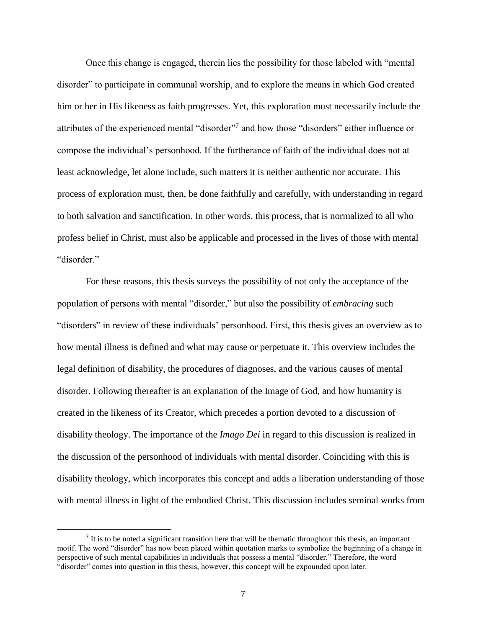Once this change is engaged, therein lies the possibility for those labeled with "mental disorder" to participate in communal worship, and to explore the means in which God created him or her in His likeness as faith progresses. Yet, this exploration must necessarily include the attributes of the experienced mental "disorder"<sup>7</sup> and how those "disorders" either influence or compose the individual's personhood. If the furtherance of faith of the individual does not at least acknowledge, let alone include, such matters it is neither authentic nor accurate. This process of exploration must, then, be done faithfully and carefully, with understanding in regard to both salvation and sanctification. In other words, this process, that is normalized to all who profess belief in Christ, must also be applicable and processed in the lives of those with mental "disorder."

For these reasons, this thesis surveys the possibility of not only the acceptance of the population of persons with mental "disorder," but also the possibility of *embracing* such "disorders" in review of these individuals' personhood. First, this thesis gives an overview as to how mental illness is defined and what may cause or perpetuate it. This overview includes the legal definition of disability, the procedures of diagnoses, and the various causes of mental disorder. Following thereafter is an explanation of the Image of God, and how humanity is created in the likeness of its Creator, which precedes a portion devoted to a discussion of disability theology. The importance of the *Imago Dei* in regard to this discussion is realized in the discussion of the personhood of individuals with mental disorder. Coinciding with this is disability theology, which incorporates this concept and adds a liberation understanding of those with mental illness in light of the embodied Christ. This discussion includes seminal works from

 $<sup>7</sup>$  It is to be noted a significant transition here that will be thematic throughout this thesis, an important</sup> motif. The word "disorder" has now been placed within quotation marks to symbolize the beginning of a change in perspective of such mental capabilities in individuals that possess a mental "disorder." Therefore, the word "disorder" comes into question in this thesis, however, this concept will be expounded upon later.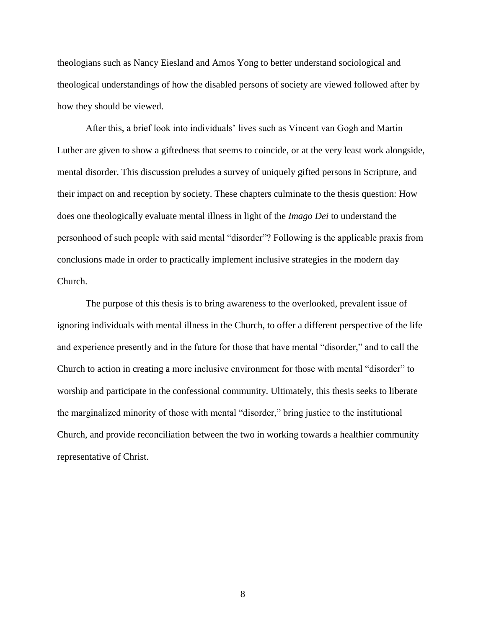theologians such as Nancy Eiesland and Amos Yong to better understand sociological and theological understandings of how the disabled persons of society are viewed followed after by how they should be viewed.

After this, a brief look into individuals' lives such as Vincent van Gogh and Martin Luther are given to show a giftedness that seems to coincide, or at the very least work alongside, mental disorder. This discussion preludes a survey of uniquely gifted persons in Scripture, and their impact on and reception by society. These chapters culminate to the thesis question: How does one theologically evaluate mental illness in light of the *Imago Dei* to understand the personhood of such people with said mental "disorder"? Following is the applicable praxis from conclusions made in order to practically implement inclusive strategies in the modern day Church.

The purpose of this thesis is to bring awareness to the overlooked, prevalent issue of ignoring individuals with mental illness in the Church, to offer a different perspective of the life and experience presently and in the future for those that have mental "disorder," and to call the Church to action in creating a more inclusive environment for those with mental "disorder" to worship and participate in the confessional community. Ultimately, this thesis seeks to liberate the marginalized minority of those with mental "disorder," bring justice to the institutional Church, and provide reconciliation between the two in working towards a healthier community representative of Christ.

8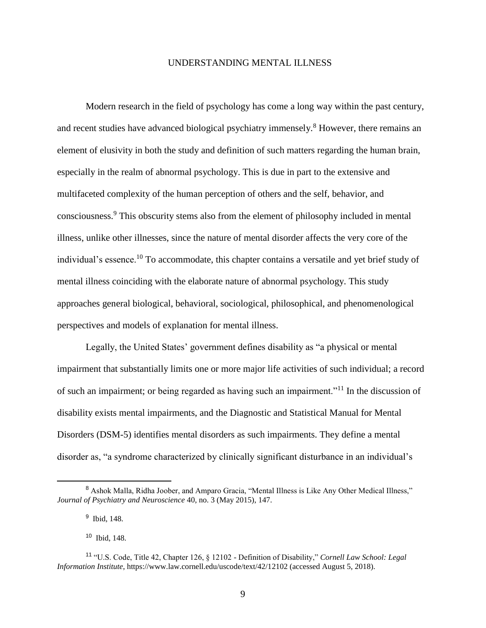#### UNDERSTANDING MENTAL ILLNESS

Modern research in the field of psychology has come a long way within the past century, and recent studies have advanced biological psychiatry immensely.<sup>8</sup> However, there remains an element of elusivity in both the study and definition of such matters regarding the human brain, especially in the realm of abnormal psychology. This is due in part to the extensive and multifaceted complexity of the human perception of others and the self, behavior, and consciousness.<sup>9</sup> This obscurity stems also from the element of philosophy included in mental illness, unlike other illnesses, since the nature of mental disorder affects the very core of the individual's essence.<sup>10</sup> To accommodate, this chapter contains a versatile and yet brief study of mental illness coinciding with the elaborate nature of abnormal psychology. This study approaches general biological, behavioral, sociological, philosophical, and phenomenological perspectives and models of explanation for mental illness.

Legally, the United States' government defines disability as "a [physical or mental](https://www.law.cornell.edu/definitions/uscode.php?width=840&height=800&iframe=true&def_id=42-USC-1722542721-913156962&term_occur=33&term_src=title:42:chapter:126:section:12102)  [impairment](https://www.law.cornell.edu/definitions/uscode.php?width=840&height=800&iframe=true&def_id=42-USC-1722542721-913156962&term_occur=33&term_src=title:42:chapter:126:section:12102) that [substantially limits](https://www.law.cornell.edu/definitions/uscode.php?width=840&height=800&iframe=true&def_id=42-USC-1904506147-1944379194&term_occur=3&term_src=title:42:chapter:126:section:12102) one or more major life activities of such individual; a record of such an impairment; or being regarded as having such an impairment."<sup>11</sup> In the discussion of disability exists mental impairments, and the Diagnostic and Statistical Manual for Mental Disorders (DSM-5) identifies mental disorders as such impairments. They define a mental disorder as, "a syndrome characterized by clinically significant disturbance in an individual's

l

<sup>&</sup>lt;sup>8</sup> Ashok Malla, Ridha Joober, and Amparo Gracia, "Mental Illness is Like Any Other Medical Illness," *Journal of Psychiatry and Neuroscience* 40, no. 3 (May 2015), 147.

<sup>&</sup>lt;sup>9</sup> Ibid, 148.

<sup>10</sup> Ibid, 148.

<sup>11</sup> "U.S. Code, Title 42, Chapter 126, § 12102 - Definition of Disability," *Cornell Law School: Legal Information Institute*, https://www.law.cornell.edu/uscode/text/42/12102 (accessed August 5, 2018).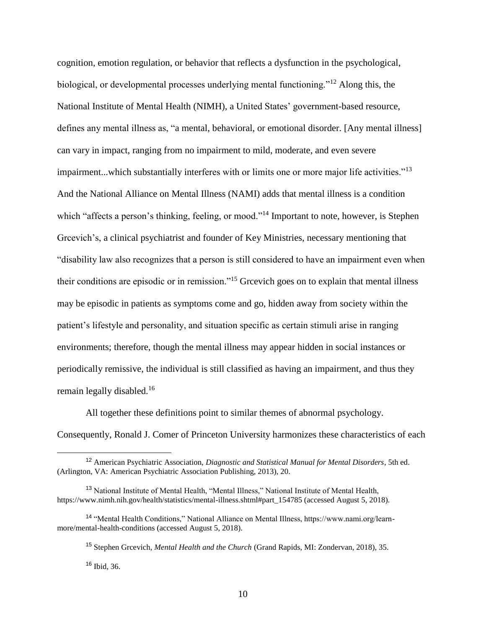cognition, emotion regulation, or behavior that reflects a dysfunction in the psychological, biological, or developmental processes underlying mental functioning."<sup>12</sup> Along this, the National Institute of Mental Health (NIMH), a United States' government-based resource, defines any mental illness as, "a mental, behavioral, or emotional disorder. [Any mental illness] can vary in impact, ranging from no impairment to mild, moderate, and even severe impairment...which substantially interferes with or limits one or more major life activities."<sup>13</sup> And the National Alliance on Mental Illness (NAMI) adds that mental illness is a condition which "affects a person's thinking, feeling, or mood."<sup>14</sup> Important to note, however, is Stephen Grcevich's, a clinical psychiatrist and founder of Key Ministries, necessary mentioning that "disability law also recognizes that a person is still considered to have an impairment even when their conditions are episodic or in remission."<sup>15</sup> Grcevich goes on to explain that mental illness may be episodic in patients as symptoms come and go, hidden away from society within the patient's lifestyle and personality, and situation specific as certain stimuli arise in ranging environments; therefore, though the mental illness may appear hidden in social instances or periodically remissive, the individual is still classified as having an impairment, and thus they remain legally disabled.<sup>16</sup>

All together these definitions point to similar themes of abnormal psychology. Consequently, Ronald J. Comer of Princeton University harmonizes these characteristics of each

l

<sup>12</sup> American Psychiatric Association, *Diagnostic and Statistical Manual for Mental Disorders*, 5th ed. (Arlington, VA: American Psychiatric Association Publishing, 2013), 20.

<sup>&</sup>lt;sup>13</sup> National Institute of Mental Health, "Mental Illness," National Institute of Mental Health, https://www.nimh.nih.gov/health/statistics/mental-illness.shtml#part\_154785 (accessed August 5, 2018).

<sup>14</sup> "Mental Health Conditions," National Alliance on Mental Illness, https://www.nami.org/learnmore/mental-health-conditions (accessed August 5, 2018).

<sup>15</sup> Stephen Grcevich, *Mental Health and the Church* (Grand Rapids, MI: Zondervan, 2018), 35.

 $16$  Ibid, 36.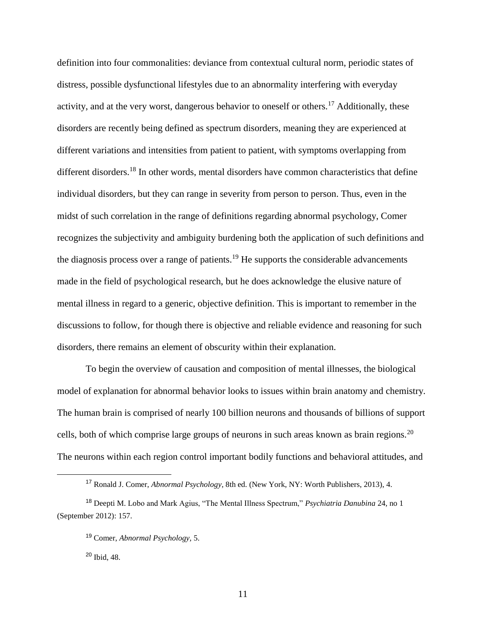definition into four commonalities: deviance from contextual cultural norm, periodic states of distress, possible dysfunctional lifestyles due to an abnormality interfering with everyday activity, and at the very worst, dangerous behavior to oneself or others.<sup>17</sup> Additionally, these disorders are recently being defined as spectrum disorders, meaning they are experienced at different variations and intensities from patient to patient, with symptoms overlapping from different disorders.<sup>18</sup> In other words, mental disorders have common characteristics that define individual disorders, but they can range in severity from person to person. Thus, even in the midst of such correlation in the range of definitions regarding abnormal psychology, Comer recognizes the subjectivity and ambiguity burdening both the application of such definitions and the diagnosis process over a range of patients.<sup>19</sup> He supports the considerable advancements made in the field of psychological research, but he does acknowledge the elusive nature of mental illness in regard to a generic, objective definition. This is important to remember in the discussions to follow, for though there is objective and reliable evidence and reasoning for such disorders, there remains an element of obscurity within their explanation.

To begin the overview of causation and composition of mental illnesses, the biological model of explanation for abnormal behavior looks to issues within brain anatomy and chemistry. The human brain is comprised of nearly 100 billion neurons and thousands of billions of support cells, both of which comprise large groups of neurons in such areas known as brain regions.<sup>20</sup> The neurons within each region control important bodily functions and behavioral attitudes, and

<sup>17</sup> Ronald J. Comer, *Abnormal Psychology*, 8th ed. (New York, NY: Worth Publishers, 2013), 4.

<sup>18</sup> Deepti M. Lobo and Mark Agius, "The Mental Illness Spectrum," *Psychiatria Danubina* 24, no 1 (September 2012): 157.

<sup>19</sup> Comer, *Abnormal Psychology,* 5.

<sup>20</sup> Ibid, 48.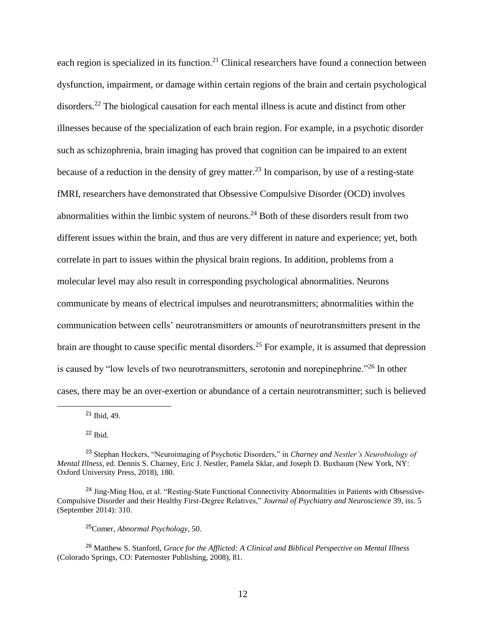each region is specialized in its function.<sup>21</sup> Clinical researchers have found a connection between dysfunction, impairment, or damage within certain regions of the brain and certain psychological disorders.<sup>22</sup> The biological causation for each mental illness is acute and distinct from other illnesses because of the specialization of each brain region. For example, in a psychotic disorder such as schizophrenia, brain imaging has proved that cognition can be impaired to an extent because of a reduction in the density of grey matter.<sup>23</sup> In comparison, by use of a resting-state fMRI, researchers have demonstrated that Obsessive Compulsive Disorder (OCD) involves abnormalities within the limbic system of neurons.<sup>24</sup> Both of these disorders result from two different issues within the brain, and thus are very different in nature and experience; yet, both correlate in part to issues within the physical brain regions. In addition, problems from a molecular level may also result in corresponding psychological abnormalities. Neurons communicate by means of electrical impulses and neurotransmitters; abnormalities within the communication between cells' neurotransmitters or amounts of neurotransmitters present in the brain are thought to cause specific mental disorders.<sup>25</sup> For example, it is assumed that depression is caused by "low levels of two neurotransmitters, serotonin and norepinephrine."<sup>26</sup> In other cases, there may be an over-exertion or abundance of a certain neurotransmitter; such is believed

<sup>21</sup> Ibid, 49.

<sup>22</sup> Ibid.

 $\overline{\phantom{a}}$ 

#### <sup>25</sup>Comer, *Abnormal Psychology*, 50.

<sup>26</sup> Matthew S. Stanford, *Grace for the Afflicted: A Clinical and Biblical Perspective on Mental Illness* (Colorado Springs, CO: Paternoster Publishing, 2008), 81.

<sup>23</sup> Stephan Heckers, "Neuroimaging of Psychotic Disorders," in *Charney and Nestler's Neurobiology of Mental Illness*, ed. Dennis S. Charney, Eric J. Nestler, Pamela Sklar, and Joseph D. Buxbaum (New York, NY: Oxford University Press, 2018), 180.

<sup>&</sup>lt;sup>24</sup> Jing-Ming Hou, et al. "Resting-State Functional Connectivity Abnormalities in Patients with Obsessive-Compulsive Disorder and their Healthy First-Degree Relatives," *Journal of Psychiatry and Neuroscience* 39, iss. 5 (September 2014): 310.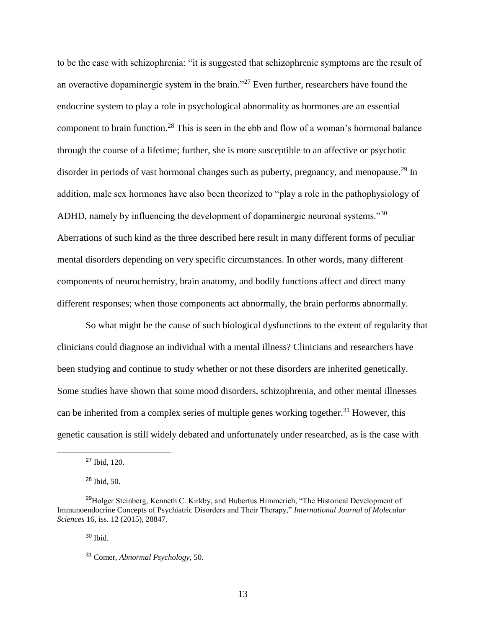to be the case with schizophrenia: "it is suggested that schizophrenic symptoms are the result of an overactive dopaminergic system in the brain."<sup>27</sup> Even further, researchers have found the endocrine system to play a role in psychological abnormality as hormones are an essential component to brain function.<sup>28</sup> This is seen in the ebb and flow of a woman's hormonal balance through the course of a lifetime; further, she is more susceptible to an affective or psychotic disorder in periods of vast hormonal changes such as puberty, pregnancy, and menopause.<sup>29</sup> In addition, male sex hormones have also been theorized to "play a role in the pathophysiology of ADHD, namely by influencing the development of dopaminergic neuronal systems."<sup>30</sup> Aberrations of such kind as the three described here result in many different forms of peculiar mental disorders depending on very specific circumstances. In other words, many different components of neurochemistry, brain anatomy, and bodily functions affect and direct many different responses; when those components act abnormally, the brain performs abnormally.

So what might be the cause of such biological dysfunctions to the extent of regularity that clinicians could diagnose an individual with a mental illness? Clinicians and researchers have been studying and continue to study whether or not these disorders are inherited genetically. Some studies have shown that some mood disorders, schizophrenia, and other mental illnesses can be inherited from a complex series of multiple genes working together.<sup>31</sup> However, this genetic causation is still widely debated and unfortunately under researched, as is the case with

l

 $30$  Ibid.

<sup>27</sup> Ibid, 120.

<sup>28</sup> Ibid, 50.

<sup>&</sup>lt;sup>29</sup>Holger Steinberg, Kenneth C. Kirkby, and Hubertus Himmerich, "The Historical Development of Immunoendocrine Concepts of Psychiatric Disorders and Their Therapy," *International Journal of Molecular Sciences* 16, iss. 12 (2015), 28847.

<sup>31</sup> Comer, *Abnormal Psychology*, 50.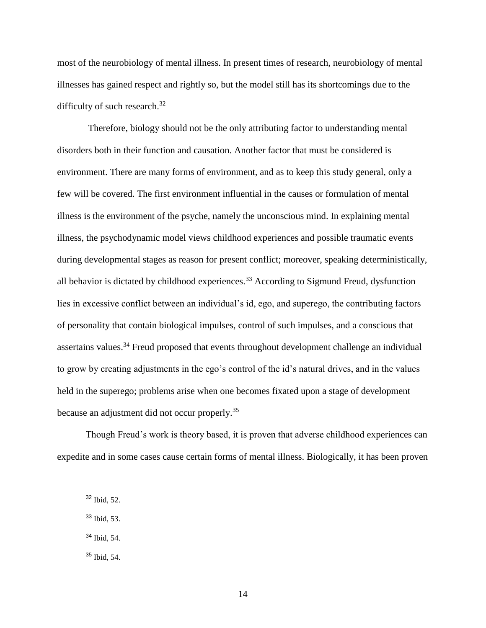most of the neurobiology of mental illness. In present times of research, neurobiology of mental illnesses has gained respect and rightly so, but the model still has its shortcomings due to the difficulty of such research. $32$ 

Therefore, biology should not be the only attributing factor to understanding mental disorders both in their function and causation. Another factor that must be considered is environment. There are many forms of environment, and as to keep this study general, only a few will be covered. The first environment influential in the causes or formulation of mental illness is the environment of the psyche, namely the unconscious mind. In explaining mental illness, the psychodynamic model views childhood experiences and possible traumatic events during developmental stages as reason for present conflict; moreover, speaking deterministically, all behavior is dictated by childhood experiences.<sup>33</sup> According to Sigmund Freud, dysfunction lies in excessive conflict between an individual's id, ego, and superego, the contributing factors of personality that contain biological impulses, control of such impulses, and a conscious that assertains values.<sup>34</sup> Freud proposed that events throughout development challenge an individual to grow by creating adjustments in the ego's control of the id's natural drives, and in the values held in the superego; problems arise when one becomes fixated upon a stage of development because an adjustment did not occur properly.<sup>35</sup>

Though Freud's work is theory based, it is proven that adverse childhood experiences can expedite and in some cases cause certain forms of mental illness. Biologically, it has been proven

- <sup>33</sup> Ibid, 53.
- <sup>34</sup> Ibid, 54.
- <sup>35</sup> Ibid, 54.

<sup>32</sup> Ibid, 52.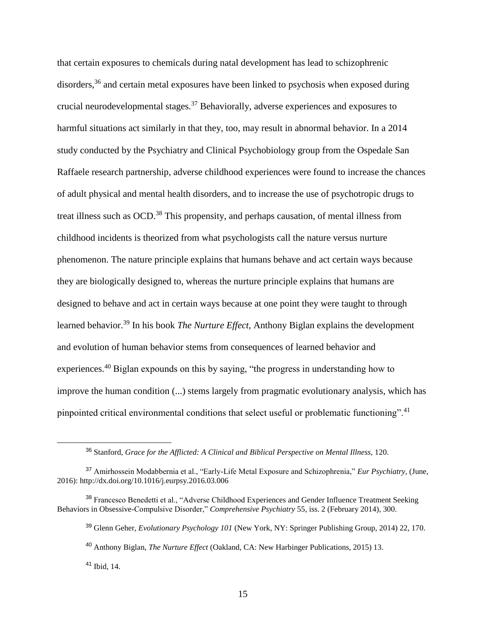that certain exposures to chemicals during natal development has lead to schizophrenic disorders,<sup>36</sup> and certain metal exposures have been linked to psychosis when exposed during crucial neurodevelopmental stages.<sup>37</sup> Behaviorally, adverse experiences and exposures to harmful situations act similarly in that they, too, may result in abnormal behavior. In a 2014 study conducted by the Psychiatry and Clinical Psychobiology group from the Ospedale San Raffaele research partnership, adverse childhood experiences were found to increase the chances of adult physical and mental health disorders, and to increase the use of psychotropic drugs to treat illness such as OCD.<sup>38</sup> This propensity, and perhaps causation, of mental illness from childhood incidents is theorized from what psychologists call the nature versus nurture phenomenon. The nature principle explains that humans behave and act certain ways because they are biologically designed to, whereas the nurture principle explains that humans are designed to behave and act in certain ways because at one point they were taught to through learned behavior.<sup>39</sup> In his book *The Nurture Effect,* Anthony Biglan explains the development and evolution of human behavior stems from consequences of learned behavior and experiences.<sup>40</sup> Biglan expounds on this by saying, "the progress in understanding how to improve the human condition (...) stems largely from pragmatic evolutionary analysis, which has pinpointed critical environmental conditions that select useful or problematic functioning".<sup>41</sup>

<sup>36</sup> Stanford, *Grace for the Afflicted: A Clinical and Biblical Perspective on Mental Illness,* 120.

<sup>37</sup> Amirhossein Modabbernia et al., "Early-Life Metal Exposure and Schizophrenia," *Eur Psychiatry*, (June, 2016): http://dx.doi.org/10.1016/j.eurpsy.2016.03.006

<sup>&</sup>lt;sup>38</sup> Francesco Benedetti et al., "Adverse Childhood Experiences and Gender Influence Treatment Seeking Behaviors in Obsessive-Compulsive Disorder," *Comprehensive Psychiatry* 55, iss. 2 (February 2014), 300.

<sup>39</sup> Glenn Geher, *Evolutionary Psychology 101* (New York, NY: Springer Publishing Group, 2014) 22, 170.

<sup>40</sup> Anthony Biglan, *The Nurture Effect* (Oakland, CA: New Harbinger Publications, 2015) 13.

<sup>41</sup> Ibid, 14.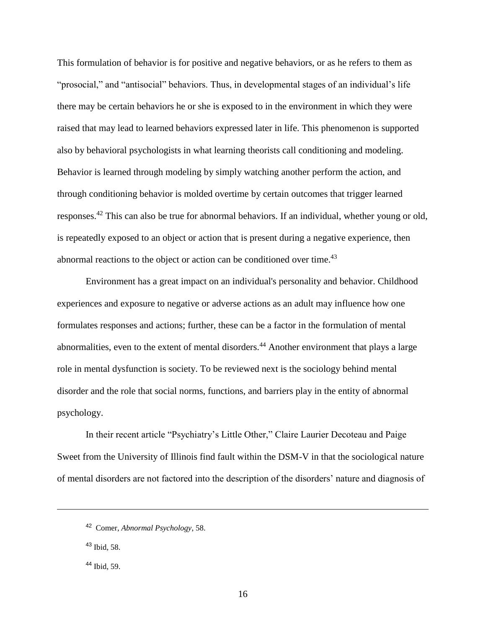This formulation of behavior is for positive and negative behaviors, or as he refers to them as "prosocial," and "antisocial" behaviors. Thus, in developmental stages of an individual's life there may be certain behaviors he or she is exposed to in the environment in which they were raised that may lead to learned behaviors expressed later in life. This phenomenon is supported also by behavioral psychologists in what learning theorists call conditioning and modeling. Behavior is learned through modeling by simply watching another perform the action, and through conditioning behavior is molded overtime by certain outcomes that trigger learned responses.<sup>42</sup> This can also be true for abnormal behaviors. If an individual, whether young or old, is repeatedly exposed to an object or action that is present during a negative experience, then abnormal reactions to the object or action can be conditioned over time.<sup>43</sup>

Environment has a great impact on an individual's personality and behavior. Childhood experiences and exposure to negative or adverse actions as an adult may influence how one formulates responses and actions; further, these can be a factor in the formulation of mental abnormalities, even to the extent of mental disorders.<sup>44</sup> Another environment that plays a large role in mental dysfunction is society. To be reviewed next is the sociology behind mental disorder and the role that social norms, functions, and barriers play in the entity of abnormal psychology.

In their recent article "Psychiatry's Little Other," Claire Laurier Decoteau and Paige Sweet from the University of Illinois find fault within the DSM-V in that the sociological nature of mental disorders are not factored into the description of the disorders' nature and diagnosis of

<sup>43</sup> Ibid, 58.

 $\overline{\phantom{a}}$ 

 $44$  Ibid, 59.

<sup>42</sup> Comer, *Abnormal Psychology*, 58.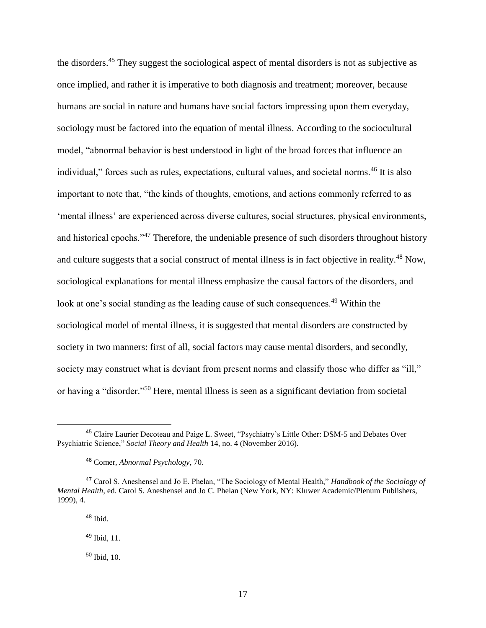the disorders.<sup>45</sup> They suggest the sociological aspect of mental disorders is not as subjective as once implied, and rather it is imperative to both diagnosis and treatment; moreover, because humans are social in nature and humans have social factors impressing upon them everyday, sociology must be factored into the equation of mental illness. According to the sociocultural model, "abnormal behavior is best understood in light of the broad forces that influence an individual," forces such as rules, expectations, cultural values, and societal norms.<sup>46</sup> It is also important to note that, "the kinds of thoughts, emotions, and actions commonly referred to as 'mental illness' are experienced across diverse cultures, social structures, physical environments, and historical epochs."<sup>47</sup> Therefore, the undeniable presence of such disorders throughout history and culture suggests that a social construct of mental illness is in fact objective in reality.<sup>48</sup> Now, sociological explanations for mental illness emphasize the causal factors of the disorders, and look at one's social standing as the leading cause of such consequences.<sup>49</sup> Within the sociological model of mental illness, it is suggested that mental disorders are constructed by society in two manners: first of all, social factors may cause mental disorders, and secondly, society may construct what is deviant from present norms and classify those who differ as "ill," or having a "disorder."<sup>50</sup> Here, mental illness is seen as a significant deviation from societal

<sup>48</sup> Ibid.

l

<sup>49</sup> Ibid, 11.

<sup>50</sup> Ibid, 10.

<sup>45</sup> Claire Laurier Decoteau and Paige L. Sweet, "Psychiatry's Little Other: DSM-5 and Debates Over Psychiatric Science," *Social Theory and Health* 14, no. 4 (November 2016).

<sup>46</sup> Comer, *Abnormal Psychology*, 70.

<sup>47</sup> Carol S. Aneshensel and Jo E. Phelan, "The Sociology of Mental Health," *Handbook of the Sociology of Mental Health,* ed. Carol S. Aneshensel and Jo C. Phelan (New York, NY: Kluwer Academic/Plenum Publishers, 1999), 4.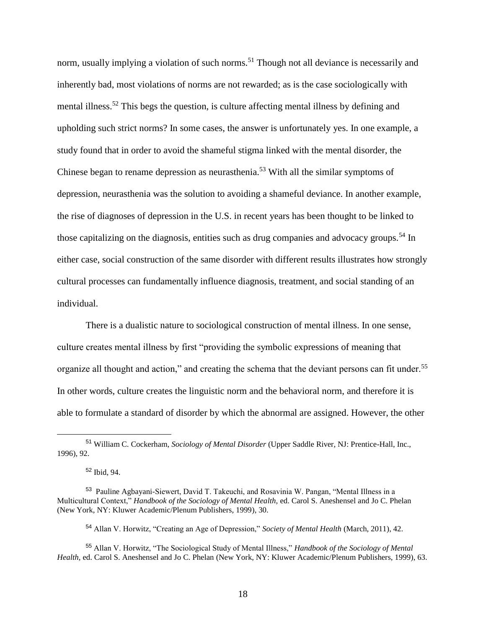norm, usually implying a violation of such norms.<sup>51</sup> Though not all deviance is necessarily and inherently bad, most violations of norms are not rewarded; as is the case sociologically with mental illness.<sup>52</sup> This begs the question, is culture affecting mental illness by defining and upholding such strict norms? In some cases, the answer is unfortunately yes. In one example, a study found that in order to avoid the shameful stigma linked with the mental disorder, the Chinese began to rename depression as neurasthenia.<sup>53</sup> With all the similar symptoms of depression, neurasthenia was the solution to avoiding a shameful deviance. In another example, the rise of diagnoses of depression in the U.S. in recent years has been thought to be linked to those capitalizing on the diagnosis, entities such as drug companies and advocacy groups.<sup>54</sup> In either case, social construction of the same disorder with different results illustrates how strongly cultural processes can fundamentally influence diagnosis, treatment, and social standing of an individual.

There is a dualistic nature to sociological construction of mental illness. In one sense, culture creates mental illness by first "providing the symbolic expressions of meaning that organize all thought and action," and creating the schema that the deviant persons can fit under.<sup>55</sup> In other words, culture creates the linguistic norm and the behavioral norm, and therefore it is able to formulate a standard of disorder by which the abnormal are assigned. However, the other

 $\overline{\phantom{a}}$ 

<sup>54</sup> Allan V. Horwitz, "Creating an Age of Depression," *Society of Mental Health* (March, 2011), 42.

<sup>51</sup> William C. Cockerham, *Sociology of Mental Disorder* (Upper Saddle River, NJ: Prentice-Hall, Inc., 1996), 92.

<sup>52</sup> Ibid, 94.

<sup>&</sup>lt;sup>53</sup> Pauline Agbayani-Siewert, David T. Takeuchi, and Rosavinia W. Pangan, "Mental Illness in a Multicultural Context," *Handbook of the Sociology of Mental Health,* ed. Carol S. Aneshensel and Jo C. Phelan (New York, NY: Kluwer Academic/Plenum Publishers, 1999), 30.

<sup>55</sup> Allan V. Horwitz, "The Sociological Study of Mental Illness," *Handbook of the Sociology of Mental Health,* ed. Carol S. Aneshensel and Jo C. Phelan (New York, NY: Kluwer Academic/Plenum Publishers, 1999), 63.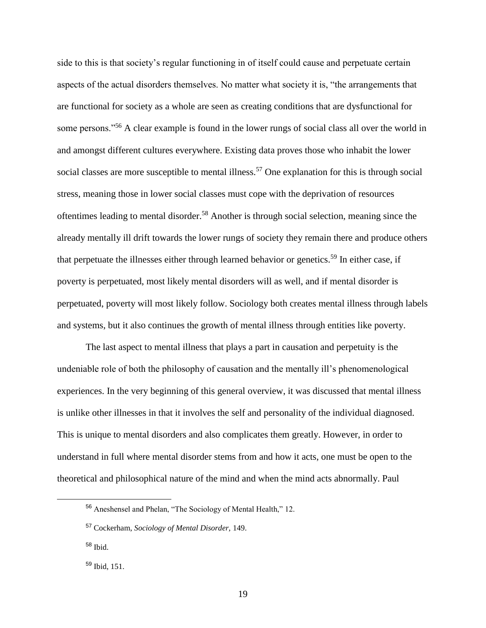side to this is that society's regular functioning in of itself could cause and perpetuate certain aspects of the actual disorders themselves. No matter what society it is, "the arrangements that are functional for society as a whole are seen as creating conditions that are dysfunctional for some persons."<sup>56</sup> A clear example is found in the lower rungs of social class all over the world in and amongst different cultures everywhere. Existing data proves those who inhabit the lower social classes are more susceptible to mental illness.<sup>57</sup> One explanation for this is through social stress, meaning those in lower social classes must cope with the deprivation of resources oftentimes leading to mental disorder.<sup>58</sup> Another is through social selection, meaning since the already mentally ill drift towards the lower rungs of society they remain there and produce others that perpetuate the illnesses either through learned behavior or genetics.<sup>59</sup> In either case, if poverty is perpetuated, most likely mental disorders will as well, and if mental disorder is perpetuated, poverty will most likely follow. Sociology both creates mental illness through labels and systems, but it also continues the growth of mental illness through entities like poverty.

The last aspect to mental illness that plays a part in causation and perpetuity is the undeniable role of both the philosophy of causation and the mentally ill's phenomenological experiences. In the very beginning of this general overview, it was discussed that mental illness is unlike other illnesses in that it involves the self and personality of the individual diagnosed. This is unique to mental disorders and also complicates them greatly. However, in order to understand in full where mental disorder stems from and how it acts, one must be open to the theoretical and philosophical nature of the mind and when the mind acts abnormally. Paul

<sup>56</sup> Aneshensel and Phelan, "The Sociology of Mental Health," 12.

<sup>57</sup> Cockerham, *Sociology of Mental Disorder,* 149.

<sup>58</sup> Ibid.

<sup>59</sup> Ibid, 151.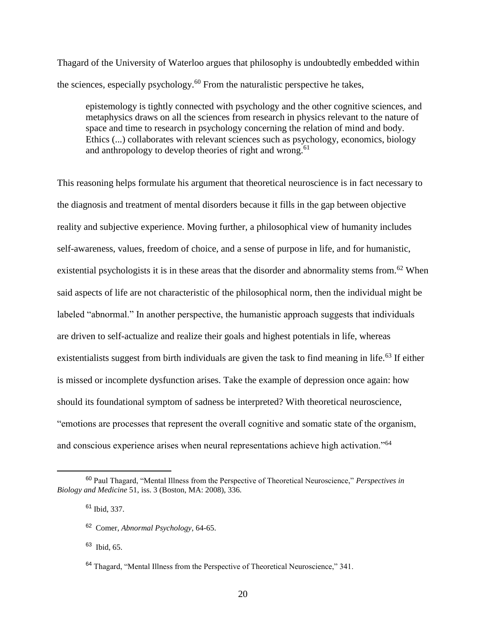Thagard of the University of Waterloo argues that philosophy is undoubtedly embedded within the sciences, especially psychology. $60$  From the naturalistic perspective he takes,

epistemology is tightly connected with psychology and the other cognitive sciences, and metaphysics draws on all the sciences from research in physics relevant to the nature of space and time to research in psychology concerning the relation of mind and body. Ethics (...) collaborates with relevant sciences such as psychology, economics, biology and anthropology to develop theories of right and wrong.<sup>61</sup>

This reasoning helps formulate his argument that theoretical neuroscience is in fact necessary to the diagnosis and treatment of mental disorders because it fills in the gap between objective reality and subjective experience. Moving further, a philosophical view of humanity includes self-awareness, values, freedom of choice, and a sense of purpose in life, and for humanistic, existential psychologists it is in these areas that the disorder and abnormality stems from.<sup>62</sup> When said aspects of life are not characteristic of the philosophical norm, then the individual might be labeled "abnormal." In another perspective, the humanistic approach suggests that individuals are driven to self-actualize and realize their goals and highest potentials in life, whereas existentialists suggest from birth individuals are given the task to find meaning in life.<sup>63</sup> If either is missed or incomplete dysfunction arises. Take the example of depression once again: how should its foundational symptom of sadness be interpreted? With theoretical neuroscience, "emotions are processes that represent the overall cognitive and somatic state of the organism, and conscious experience arises when neural representations achieve high activation."<sup>64</sup>

<sup>60</sup> Paul Thagard, "Mental Illness from the Perspective of Theoretical Neuroscience," *Perspectives in Biology and Medicine* 51, iss. 3 (Boston, MA: 2008), 336.

<sup>61</sup> Ibid, 337.

<sup>62</sup> Comer, *Abnormal Psychology*, 64-65.

<sup>63</sup> Ibid, 65.

<sup>&</sup>lt;sup>64</sup> Thagard, "Mental Illness from the Perspective of Theoretical Neuroscience," 341.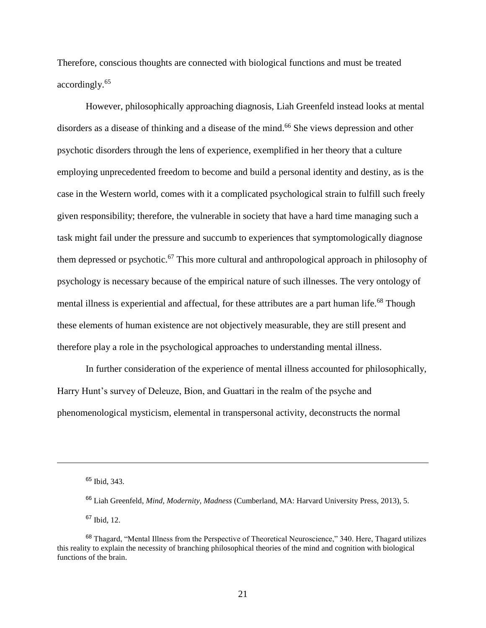Therefore, conscious thoughts are connected with biological functions and must be treated accordingly.<sup>65</sup>

However, philosophically approaching diagnosis, Liah Greenfeld instead looks at mental disorders as a disease of thinking and a disease of the mind.<sup>66</sup> She views depression and other psychotic disorders through the lens of experience, exemplified in her theory that a culture employing unprecedented freedom to become and build a personal identity and destiny, as is the case in the Western world, comes with it a complicated psychological strain to fulfill such freely given responsibility; therefore, the vulnerable in society that have a hard time managing such a task might fail under the pressure and succumb to experiences that symptomologically diagnose them depressed or psychotic.<sup>67</sup> This more cultural and anthropological approach in philosophy of psychology is necessary because of the empirical nature of such illnesses. The very ontology of mental illness is experiential and affectual, for these attributes are a part human life.<sup>68</sup> Though these elements of human existence are not objectively measurable, they are still present and therefore play a role in the psychological approaches to understanding mental illness.

In further consideration of the experience of mental illness accounted for philosophically, Harry Hunt's survey of Deleuze, Bion, and Guattari in the realm of the psyche and phenomenological mysticism, elemental in transpersonal activity, deconstructs the normal

 $\overline{\phantom{a}}$ 

<sup>67</sup> Ibid, 12.

<sup>65</sup> Ibid, 343.

<sup>66</sup> Liah Greenfeld, *Mind, Modernity, Madness* (Cumberland, MA: Harvard University Press, 2013), 5.

<sup>68</sup> Thagard, "Mental Illness from the Perspective of Theoretical Neuroscience," 340. Here, Thagard utilizes this reality to explain the necessity of branching philosophical theories of the mind and cognition with biological functions of the brain.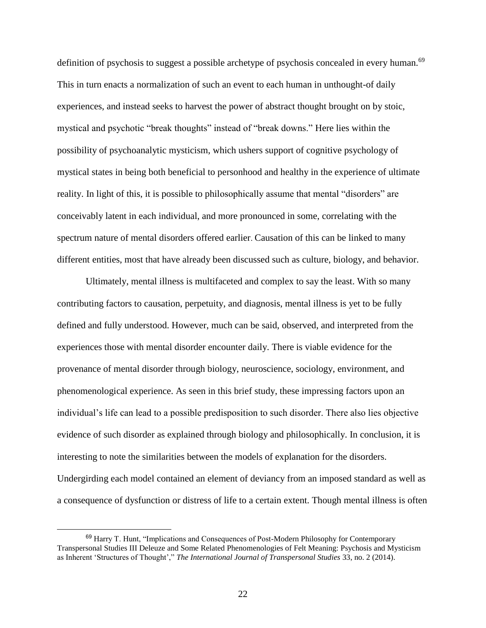definition of psychosis to suggest a possible archetype of psychosis concealed in every human.<sup>69</sup> This in turn enacts a normalization of such an event to each human in unthought-of daily experiences, and instead seeks to harvest the power of abstract thought brought on by stoic, mystical and psychotic "break thoughts" instead of "break downs." Here lies within the possibility of psychoanalytic mysticism, which ushers support of cognitive psychology of mystical states in being both beneficial to personhood and healthy in the experience of ultimate reality. In light of this, it is possible to philosophically assume that mental "disorders" are conceivably latent in each individual, and more pronounced in some, correlating with the spectrum nature of mental disorders offered earlier. Causation of this can be linked to many different entities, most that have already been discussed such as culture, biology, and behavior.

Ultimately, mental illness is multifaceted and complex to say the least. With so many contributing factors to causation, perpetuity, and diagnosis, mental illness is yet to be fully defined and fully understood. However, much can be said, observed, and interpreted from the experiences those with mental disorder encounter daily. There is viable evidence for the provenance of mental disorder through biology, neuroscience, sociology, environment, and phenomenological experience. As seen in this brief study, these impressing factors upon an individual's life can lead to a possible predisposition to such disorder. There also lies objective evidence of such disorder as explained through biology and philosophically. In conclusion, it is interesting to note the similarities between the models of explanation for the disorders. Undergirding each model contained an element of deviancy from an imposed standard as well as a consequence of dysfunction or distress of life to a certain extent. Though mental illness is often

<sup>&</sup>lt;sup>69</sup> Harry T. Hunt, "Implications and Consequences of Post-Modern Philosophy for Contemporary Transpersonal Studies III Deleuze and Some Related Phenomenologies of Felt Meaning: Psychosis and Mysticism as Inherent 'Structures of Thought'," *The International Journal of Transpersonal Studies* 33, no. 2 (2014).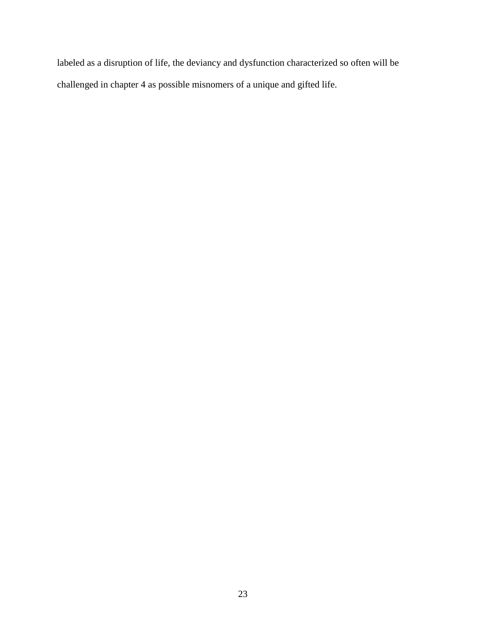labeled as a disruption of life, the deviancy and dysfunction characterized so often will be challenged in chapter 4 as possible misnomers of a unique and gifted life.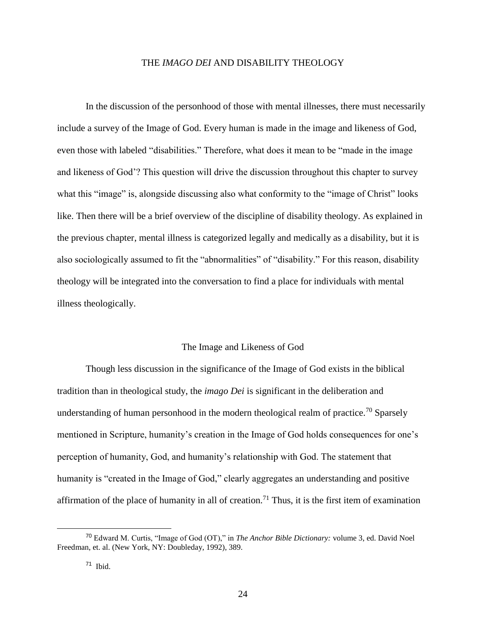#### THE *IMAGO DEI* AND DISABILITY THEOLOGY

In the discussion of the personhood of those with mental illnesses, there must necessarily include a survey of the Image of God. Every human is made in the image and likeness of God, even those with labeled "disabilities." Therefore, what does it mean to be "made in the image and likeness of God'? This question will drive the discussion throughout this chapter to survey what this "image" is, alongside discussing also what conformity to the "image of Christ" looks like. Then there will be a brief overview of the discipline of disability theology. As explained in the previous chapter, mental illness is categorized legally and medically as a disability, but it is also sociologically assumed to fit the "abnormalities" of "disability." For this reason, disability theology will be integrated into the conversation to find a place for individuals with mental illness theologically.

#### The Image and Likeness of God

Though less discussion in the significance of the Image of God exists in the biblical tradition than in theological study, the *imago Dei* is significant in the deliberation and understanding of human personhood in the modern theological realm of practice.<sup>70</sup> Sparsely mentioned in Scripture, humanity's creation in the Image of God holds consequences for one's perception of humanity, God, and humanity's relationship with God. The statement that humanity is "created in the Image of God," clearly aggregates an understanding and positive affirmation of the place of humanity in all of creation.<sup>71</sup> Thus, it is the first item of examination

<sup>70</sup> Edward M. Curtis, "Image of God (OT)," in *The Anchor Bible Dictionary:* volume 3, ed. David Noel Freedman, et. al. (New York, NY: Doubleday, 1992), 389.

<sup>71</sup> Ibid.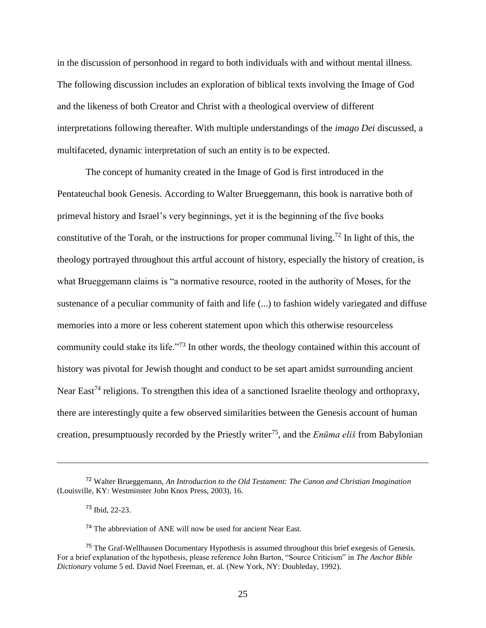in the discussion of personhood in regard to both individuals with and without mental illness. The following discussion includes an exploration of biblical texts involving the Image of God and the likeness of both Creator and Christ with a theological overview of different interpretations following thereafter. With multiple understandings of the *imago Dei* discussed, a multifaceted, dynamic interpretation of such an entity is to be expected.

The concept of humanity created in the Image of God is first introduced in the Pentateuchal book Genesis. According to Walter Brueggemann, this book is narrative both of primeval history and Israel's very beginnings, yet it is the beginning of the five books constitutive of the Torah, or the instructions for proper communal living.<sup>72</sup> In light of this, the theology portrayed throughout this artful account of history, especially the history of creation, is what Brueggemann claims is "a normative resource, rooted in the authority of Moses, for the sustenance of a peculiar community of faith and life (...) to fashion widely variegated and diffuse memories into a more or less coherent statement upon which this otherwise resourceless community could stake its life."<sup>73</sup> In other words, the theology contained within this account of history was pivotal for Jewish thought and conduct to be set apart amidst surrounding ancient Near East<sup>74</sup> religions. To strengthen this idea of a sanctioned Israelite theology and orthopraxy, there are interestingly quite a few observed similarities between the Genesis account of human creation, presumptuously recorded by the Priestly writer<sup>75</sup>, and the *Enūma eliš* from Babylonian

<sup>72</sup> Walter Brueggemann, *An Introduction to the Old Testament: The Canon and Christian Imagination* (Louisville, KY: Westminster John Knox Press, 2003), 16.

<sup>73</sup> Ibid, 22-23.

<sup>74</sup> The abbreviation of ANE will now be used for ancient Near East.

<sup>&</sup>lt;sup>75</sup> The Graf-Wellhausen Documentary Hypothesis is assumed throughout this brief exegesis of Genesis. For a brief explanation of the hypothesis, please reference John Barton, "Source Criticism" in *The Anchor Bible Dictionary* volume 5 ed. David Noel Freeman, et. al. (New York, NY: Doubleday, 1992).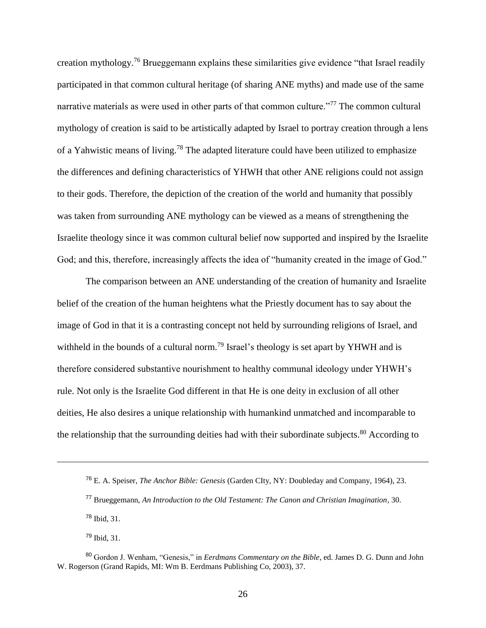creation mythology.<sup>76</sup> Brueggemann explains these similarities give evidence "that Israel readily participated in that common cultural heritage (of sharing ANE myths) and made use of the same narrative materials as were used in other parts of that common culture."<sup>77</sup> The common cultural mythology of creation is said to be artistically adapted by Israel to portray creation through a lens of a Yahwistic means of living.<sup>78</sup> The adapted literature could have been utilized to emphasize the differences and defining characteristics of YHWH that other ANE religions could not assign to their gods. Therefore, the depiction of the creation of the world and humanity that possibly was taken from surrounding ANE mythology can be viewed as a means of strengthening the Israelite theology since it was common cultural belief now supported and inspired by the Israelite God; and this, therefore, increasingly affects the idea of "humanity created in the image of God."

The comparison between an ANE understanding of the creation of humanity and Israelite belief of the creation of the human heightens what the Priestly document has to say about the image of God in that it is a contrasting concept not held by surrounding religions of Israel, and withheld in the bounds of a cultural norm.<sup>79</sup> Israel's theology is set apart by YHWH and is therefore considered substantive nourishment to healthy communal ideology under YHWH's rule. Not only is the Israelite God different in that He is one deity in exclusion of all other deities, He also desires a unique relationship with humankind unmatched and incomparable to the relationship that the surrounding deities had with their subordinate subjects. $80$  According to

<sup>78</sup> Ibid, 31.

 $\overline{\phantom{a}}$ 

 $79$  Ibid,  $31$ .

<sup>76</sup> E. A. Speiser, *The Anchor Bible: Genesis* (Garden CIty, NY: Doubleday and Company, 1964), 23.

<sup>77</sup> Brueggemann, *An Introduction to the Old Testament: The Canon and Christian Imagination*, 30.

<sup>80</sup> Gordon J. Wenham, "Genesis," in *Eerdmans Commentary on the Bible*, ed. James D. G. Dunn and John W. Rogerson (Grand Rapids, MI: Wm B. Eerdmans Publishing Co, 2003), 37.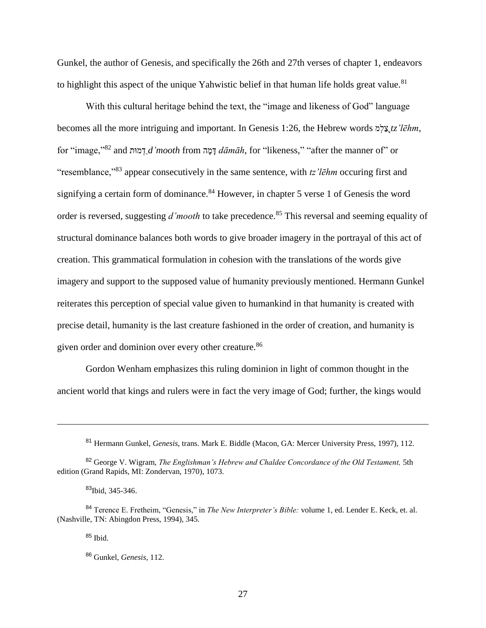Gunkel, the author of Genesis, and specifically the 26th and 27th verses of chapter 1, endeavors to highlight this aspect of the unique Yahwistic belief in that human life holds great value.<sup>81</sup>

With this cultural heritage behind the text, the "image and likeness of God" language becomes all the more intriguing and important. In Genesis 1:26, the Hebrew words מ ְל ַצֵ֖*tz'lēhm*, for "image,"82 and *הֲמוּת a'mooth* from רְמוּת *dāmāh*, for "likeness," "after the manner of" or "resemblance,"<sup>83</sup> appear consecutively in the same sentence, with *tz'lēhm* occuring first and signifying a certain form of dominance.<sup>84</sup> However, in chapter 5 verse 1 of Genesis the word order is reversed, suggesting *d'mooth* to take precedence.<sup>85</sup> This reversal and seeming equality of structural dominance balances both words to give broader imagery in the portrayal of this act of creation. This grammatical formulation in cohesion with the translations of the words give imagery and support to the supposed value of humanity previously mentioned. Hermann Gunkel reiterates this perception of special value given to humankind in that humanity is created with precise detail, humanity is the last creature fashioned in the order of creation, and humanity is given order and dominion over every other creature.<sup>86</sup>

Gordon Wenham emphasizes this ruling dominion in light of common thought in the ancient world that kings and rulers were in fact the very image of God; further, the kings would

<sup>85</sup> Ibid.

l

<sup>81</sup> Hermann Gunkel, *Genesis,* trans. Mark E. Biddle (Macon, GA: Mercer University Press, 1997), 112.

<sup>82</sup> George V. Wigram, *The Englishman's Hebrew and Chaldee Concordance of the Old Testament,* 5th edition (Grand Rapids, MI: Zondervan, 1970), 1073.

<sup>83</sup>Ibid, 345-346.

<sup>84</sup> Terence E. Fretheim, "Genesis," in *The New Interpreter's Bible:* volume 1, ed. Lender E. Keck, et. al. (Nashville, TN: Abingdon Press, 1994), 345.

<sup>86</sup> Gunkel, *Genesis,* 112.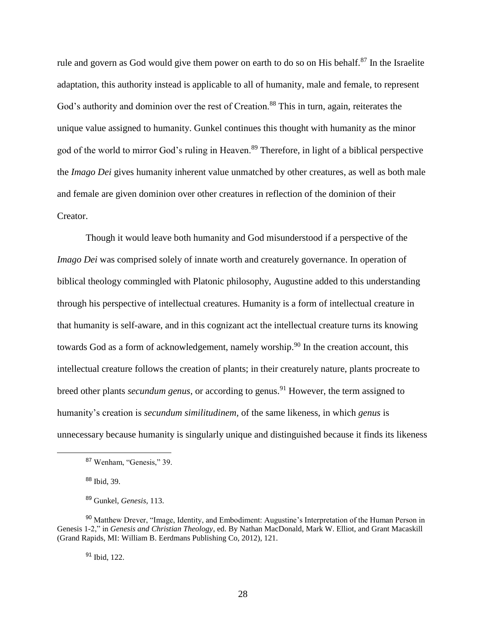rule and govern as God would give them power on earth to do so on His behalf.<sup>87</sup> In the Israelite adaptation, this authority instead is applicable to all of humanity, male and female, to represent God's authority and dominion over the rest of Creation.<sup>88</sup> This in turn, again, reiterates the unique value assigned to humanity. Gunkel continues this thought with humanity as the minor god of the world to mirror God's ruling in Heaven.<sup>89</sup> Therefore, in light of a biblical perspective the *Imago Dei* gives humanity inherent value unmatched by other creatures, as well as both male and female are given dominion over other creatures in reflection of the dominion of their Creator.

Though it would leave both humanity and God misunderstood if a perspective of the *Imago Dei* was comprised solely of innate worth and creaturely governance. In operation of biblical theology commingled with Platonic philosophy, Augustine added to this understanding through his perspective of intellectual creatures. Humanity is a form of intellectual creature in that humanity is self-aware, and in this cognizant act the intellectual creature turns its knowing towards God as a form of acknowledgement, namely worship.<sup>90</sup> In the creation account, this intellectual creature follows the creation of plants; in their creaturely nature, plants procreate to breed other plants *secundum genus*, or according to genus.<sup>91</sup> However, the term assigned to humanity's creation is *secundum similitudinem,* of the same likeness, in which *genus* is unnecessary because humanity is singularly unique and distinguished because it finds its likeness

l

<sup>91</sup> Ibid, 122.

<sup>87</sup> Wenham, "Genesis," 39.

<sup>88</sup> Ibid, 39.

<sup>89</sup> Gunkel, *Genesis,* 113.

<sup>&</sup>lt;sup>90</sup> Matthew Drever, "Image, Identity, and Embodiment: Augustine's Interpretation of the Human Person in Genesis 1-2," in *Genesis and Christian Theology*, ed. By Nathan MacDonald, Mark W. Elliot, and Grant Macaskill (Grand Rapids, MI: William B. Eerdmans Publishing Co, 2012), 121.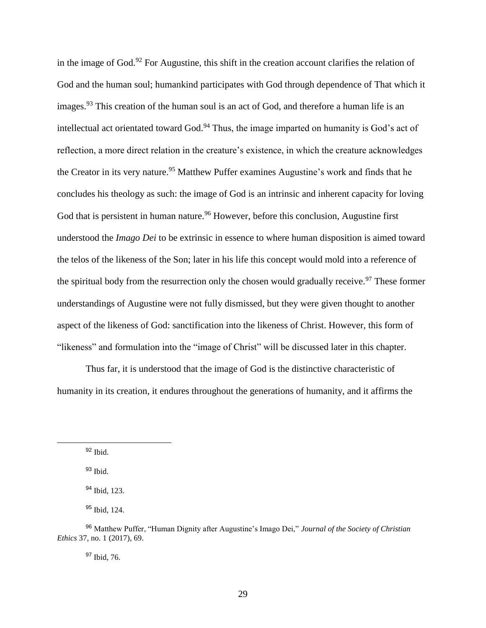in the image of God.<sup>92</sup> For Augustine, this shift in the creation account clarifies the relation of God and the human soul; humankind participates with God through dependence of That which it images.<sup>93</sup> This creation of the human soul is an act of God, and therefore a human life is an intellectual act orientated toward God.<sup>94</sup> Thus, the image imparted on humanity is God's act of reflection, a more direct relation in the creature's existence, in which the creature acknowledges the Creator in its very nature.<sup>95</sup> Matthew Puffer examines Augustine's work and finds that he concludes his theology as such: the image of God is an intrinsic and inherent capacity for loving God that is persistent in human nature.<sup>96</sup> However, before this conclusion, Augustine first understood the *Imago Dei* to be extrinsic in essence to where human disposition is aimed toward the telos of the likeness of the Son; later in his life this concept would mold into a reference of the spiritual body from the resurrection only the chosen would gradually receive.<sup>97</sup> These former understandings of Augustine were not fully dismissed, but they were given thought to another aspect of the likeness of God: sanctification into the likeness of Christ. However, this form of "likeness" and formulation into the "image of Christ" will be discussed later in this chapter.

Thus far, it is understood that the image of God is the distinctive characteristic of humanity in its creation, it endures throughout the generations of humanity, and it affirms the

 $\overline{\phantom{a}}$ 

<sup>97</sup> Ibid, 76.

 $92$  Ibid.

<sup>93</sup> Ibid.

<sup>94</sup> Ibid, 123.

<sup>95</sup> Ibid, 124.

<sup>96</sup> Matthew Puffer, "Human Dignity after Augustine's Imago Dei," *Journal of the Society of Christian Ethics* 37*,* no. 1 (2017), 69.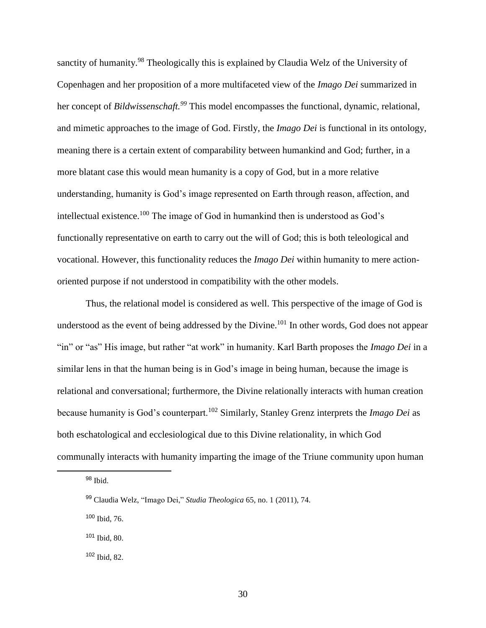sanctity of humanity.<sup>98</sup> Theologically this is explained by Claudia Welz of the University of Copenhagen and her proposition of a more multifaceted view of the *Imago Dei* summarized in her concept of *Bildwissenschaft.<sup>99</sup>* This model encompasses the functional, dynamic, relational, and mimetic approaches to the image of God. Firstly, the *Imago Dei* is functional in its ontology, meaning there is a certain extent of comparability between humankind and God; further, in a more blatant case this would mean humanity is a copy of God, but in a more relative understanding, humanity is God's image represented on Earth through reason, affection, and intellectual existence.<sup>100</sup> The image of God in humankind then is understood as God's functionally representative on earth to carry out the will of God; this is both teleological and vocational. However, this functionality reduces the *Imago Dei* within humanity to mere actionoriented purpose if not understood in compatibility with the other models.

Thus, the relational model is considered as well. This perspective of the image of God is understood as the event of being addressed by the Divine.<sup>101</sup> In other words, God does not appear "in" or "as" His image, but rather "at work" in humanity. Karl Barth proposes the *Imago Dei* in a similar lens in that the human being is in God's image in being human, because the image is relational and conversational; furthermore, the Divine relationally interacts with human creation because humanity is God's counterpart.<sup>102</sup> Similarly, Stanley Grenz interprets the *Imago Dei* as both eschatological and ecclesiological due to this Divine relationality, in which God communally interacts with humanity imparting the image of the Triune community upon human

<sup>98</sup> Ibid.

 $\overline{\phantom{a}}$ 

<sup>100</sup> Ibid, 76.

<sup>101</sup> Ibid, 80.

<sup>102</sup> Ibid, 82.

<sup>99</sup> Claudia Welz, "Imago Dei," *Studia Theologica* 65, no. 1 (2011), 74.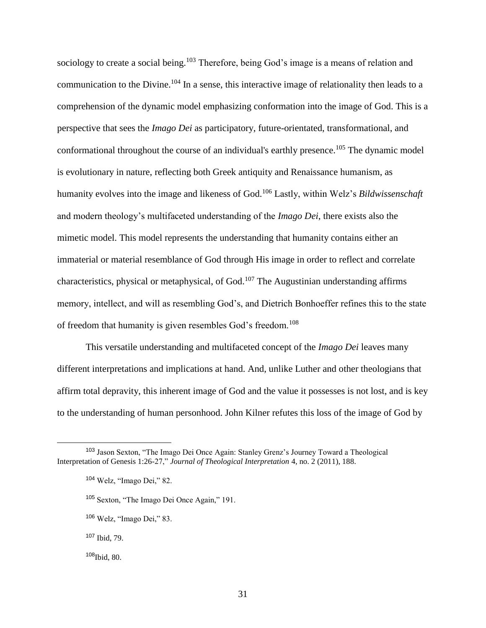sociology to create a social being.<sup>103</sup> Therefore, being God's image is a means of relation and communication to the Divine.<sup>104</sup> In a sense, this interactive image of relationality then leads to a comprehension of the dynamic model emphasizing conformation into the image of God. This is a perspective that sees the *Imago Dei* as participatory, future-orientated, transformational, and conformational throughout the course of an individual's earthly presence.<sup>105</sup> The dynamic model is evolutionary in nature, reflecting both Greek antiquity and Renaissance humanism, as humanity evolves into the image and likeness of God.<sup>106</sup> Lastly, within Welz's *Bildwissenschaft*  and modern theology's multifaceted understanding of the *Imago Dei*, there exists also the mimetic model. This model represents the understanding that humanity contains either an immaterial or material resemblance of God through His image in order to reflect and correlate characteristics, physical or metaphysical, of God.<sup>107</sup> The Augustinian understanding affirms memory, intellect, and will as resembling God's, and Dietrich Bonhoeffer refines this to the state of freedom that humanity is given resembles God's freedom.<sup>108</sup>

This versatile understanding and multifaceted concept of the *Imago Dei* leaves many different interpretations and implications at hand. And, unlike Luther and other theologians that affirm total depravity, this inherent image of God and the value it possesses is not lost, and is key to the understanding of human personhood. John Kilner refutes this loss of the image of God by

<sup>103</sup> Jason Sexton, "The Imago Dei Once Again: Stanley Grenz's Journey Toward a Theological Interpretation of Genesis 1:26-27," *Journal of Theological Interpretation* 4, no. 2 (2011), 188.

<sup>104</sup> Welz, "Imago Dei," 82.

<sup>105</sup> Sexton, "The Imago Dei Once Again," 191.

<sup>106</sup> Welz, "Imago Dei," 83.

<sup>107</sup> Ibid, 79.

<sup>108</sup>Ibid, 80.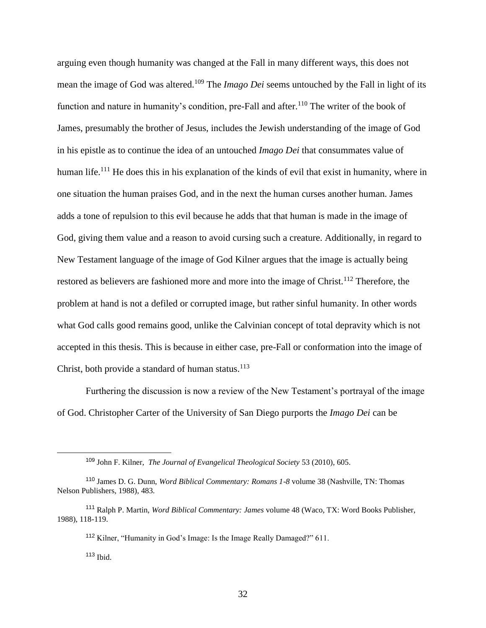arguing even though humanity was changed at the Fall in many different ways, this does not mean the image of God was altered.<sup>109</sup> The *Imago Dei* seems untouched by the Fall in light of its function and nature in humanity's condition, pre-Fall and after.<sup>110</sup> The writer of the book of James, presumably the brother of Jesus, includes the Jewish understanding of the image of God in his epistle as to continue the idea of an untouched *Imago Dei* that consummates value of human life.<sup>111</sup> He does this in his explanation of the kinds of evil that exist in humanity, where in one situation the human praises God, and in the next the human curses another human. James adds a tone of repulsion to this evil because he adds that that human is made in the image of God, giving them value and a reason to avoid cursing such a creature. Additionally, in regard to New Testament language of the image of God Kilner argues that the image is actually being restored as believers are fashioned more and more into the image of Christ.<sup>112</sup> Therefore, the problem at hand is not a defiled or corrupted image, but rather sinful humanity. In other words what God calls good remains good, unlike the Calvinian concept of total depravity which is not accepted in this thesis. This is because in either case, pre-Fall or conformation into the image of Christ, both provide a standard of human status. $^{113}$ 

Furthering the discussion is now a review of the New Testament's portrayal of the image of God. Christopher Carter of the University of San Diego purports the *Imago Dei* can be

l

<sup>109</sup> John F. Kilner, *The Journal of Evangelical Theological Society* 53 (2010), 605.

<sup>110</sup> James D. G. Dunn, *Word Biblical Commentary: Romans 1-8* volume 38 (Nashville, TN: Thomas Nelson Publishers, 1988), 483.

<sup>111</sup> Ralph P. Martin, *Word Biblical Commentary: James* volume 48 (Waco, TX: Word Books Publisher, 1988), 118-119.

<sup>112</sup> Kilner, "Humanity in God's Image: Is the Image Really Damaged?" 611.

 $113$  Ibid.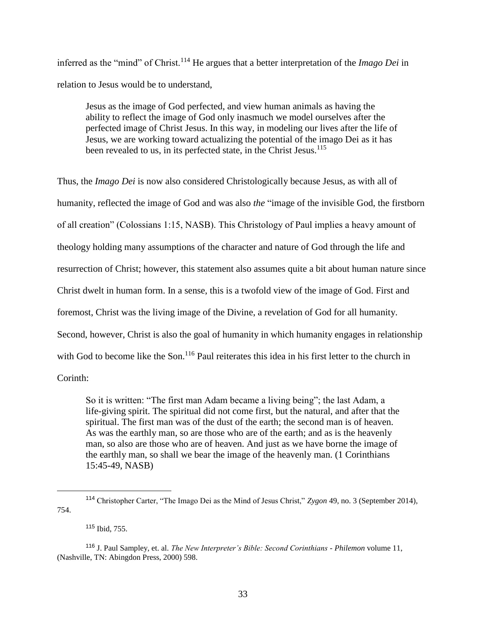inferred as the "mind" of Christ.<sup>114</sup> He argues that a better interpretation of the *Imago Dei* in relation to Jesus would be to understand,

Jesus as the image of God perfected, and view human animals as having the ability to reflect the image of God only inasmuch we model ourselves after the perfected image of Christ Jesus. In this way, in modeling our lives after the life of Jesus, we are working toward actualizing the potential of the imago Dei as it has been revealed to us, in its perfected state, in the Christ Jesus.<sup>115</sup>

Thus, the *Imago Dei* is now also considered Christologically because Jesus, as with all of humanity, reflected the image of God and was also *the* "image of the invisible God, the firstborn of all creation" (Colossians 1:15, NASB). This Christology of Paul implies a heavy amount of theology holding many assumptions of the character and nature of God through the life and resurrection of Christ; however, this statement also assumes quite a bit about human nature since Christ dwelt in human form. In a sense, this is a twofold view of the image of God. First and foremost, Christ was the living image of the Divine, a revelation of God for all humanity. Second, however, Christ is also the goal of humanity in which humanity engages in relationship with God to become like the Son.<sup>116</sup> Paul reiterates this idea in his first letter to the church in

Corinth:

 $\overline{\phantom{a}}$ 

So it is written: "The first man Adam became a living being"; the last Adam, a life-giving spirit. The spiritual did not come first, but the natural, and after that the spiritual. The first man was of the dust of the earth; the second man is of heaven. As was the earthly man, so are those who are of the earth; and as is the heavenly man, so also are those who are of heaven. And just as we have borne the image of the earthly man, so shall we bear the image of the heavenly man. (1 Corinthians 15:45-49, NASB)

<sup>115</sup> Ibid, 755.

<sup>114</sup> Christopher Carter, "The Imago Dei as the Mind of Jesus Christ," *Zygon* 49, no. 3 (September 2014), 754.

<sup>116</sup> J. Paul Sampley, et. al. *The New Interpreter's Bible: Second Corinthians - Philemon* volume 11, (Nashville, TN: Abingdon Press, 2000) 598.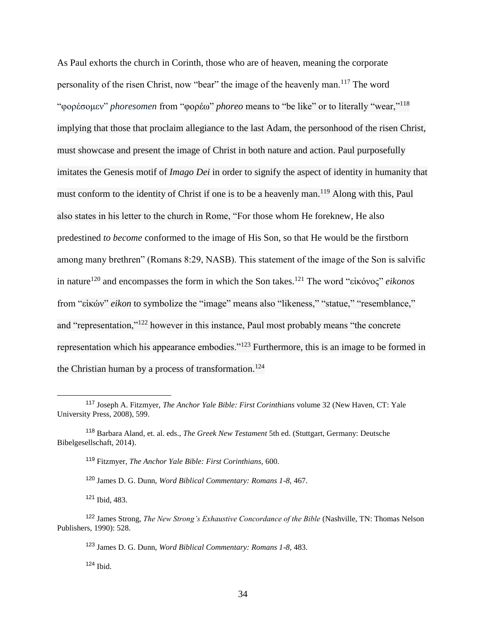As Paul exhorts the church in Corinth, those who are of heaven, meaning the corporate personality of the risen Christ, now "bear" the image of the heavenly man.<sup>117</sup> The word "φορέσομεν" *phoresomen* from "φορέω" *phoreo* means to "be like" or to literally "wear,"<sup>118</sup> implying that those that proclaim allegiance to the last Adam, the personhood of the risen Christ, must showcase and present the image of Christ in both nature and action. Paul purposefully imitates the Genesis motif of *Imago Dei* in order to signify the aspect of identity in humanity that must conform to the identity of Christ if one is to be a heavenly man.<sup>119</sup> Along with this, Paul also states in his letter to the church in Rome, "For those whom He foreknew, He also predestined *to become* conformed to the image of His Son, so that He would be the firstborn among many brethren" (Romans 8:29, NASB). This statement of the image of the Son is salvific in nature<sup>120</sup> and encompasses the form in which the Son takes.<sup>121</sup> The word "εἰκόνος" *eikonos* from "εἰκών" *eikon* to symbolize the "image" means also "likeness," "statue," "resemblance," and "representation,"<sup>122</sup> however in this instance, Paul most probably means "the concrete representation which his appearance embodies."<sup>123</sup> Furthermore, this is an image to be formed in the Christian human by a process of transformation.<sup>124</sup>

<sup>120</sup> James D. G. Dunn, *Word Biblical Commentary: Romans 1-8,* 467.

<sup>121</sup> Ibid, 483.

<sup>117</sup> Joseph A. Fitzmyer, *The Anchor Yale Bible: First Corinthians* volume 32 (New Haven, CT: Yale University Press, 2008), 599.

<sup>118</sup> Barbara Aland, et. al. eds., *The Greek New Testament* 5th ed. (Stuttgart, Germany: Deutsche Bibelgesellschaft, 2014).

<sup>119</sup> Fitzmyer, *The Anchor Yale Bible: First Corinthians,* 600.

<sup>122</sup> James Strong, *The New Strong's Exhaustive Concordance of the Bible* (Nashville, TN: Thomas Nelson Publishers, 1990): 528.

<sup>123</sup> James D. G. Dunn, *Word Biblical Commentary: Romans 1-8,* 483.

 $124$  Ibid.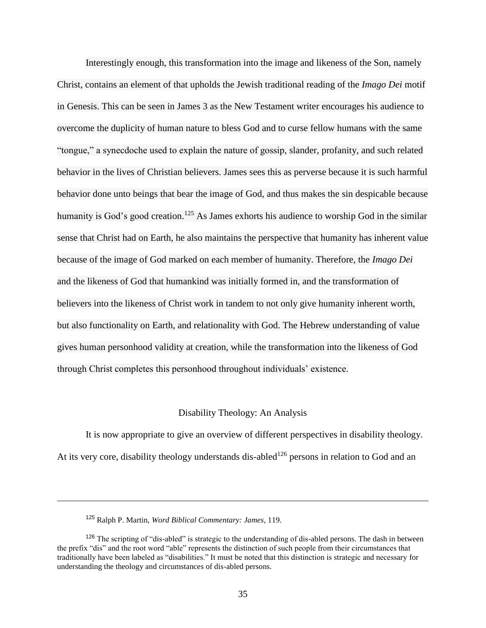Interestingly enough, this transformation into the image and likeness of the Son, namely Christ, contains an element of that upholds the Jewish traditional reading of the *Imago Dei* motif in Genesis. This can be seen in James 3 as the New Testament writer encourages his audience to overcome the duplicity of human nature to bless God and to curse fellow humans with the same "tongue," a synecdoche used to explain the nature of gossip, slander, profanity, and such related behavior in the lives of Christian believers. James sees this as perverse because it is such harmful behavior done unto beings that bear the image of God, and thus makes the sin despicable because humanity is God's good creation.<sup>125</sup> As James exhorts his audience to worship God in the similar sense that Christ had on Earth, he also maintains the perspective that humanity has inherent value because of the image of God marked on each member of humanity. Therefore, the *Imago Dei* and the likeness of God that humankind was initially formed in, and the transformation of believers into the likeness of Christ work in tandem to not only give humanity inherent worth, but also functionality on Earth, and relationality with God. The Hebrew understanding of value gives human personhood validity at creation, while the transformation into the likeness of God through Christ completes this personhood throughout individuals' existence.

#### Disability Theology: An Analysis

It is now appropriate to give an overview of different perspectives in disability theology. At its very core, disability theology understands dis-abled<sup>126</sup> persons in relation to God and an

<sup>125</sup> Ralph P. Martin, *Word Biblical Commentary: James*, 119.

<sup>&</sup>lt;sup>126</sup> The scripting of "dis-abled" is strategic to the understanding of dis-abled persons. The dash in between the prefix "dis" and the root word "able" represents the distinction of such people from their circumstances that traditionally have been labeled as "disabilities." It must be noted that this distinction is strategic and necessary for understanding the theology and circumstances of dis-abled persons.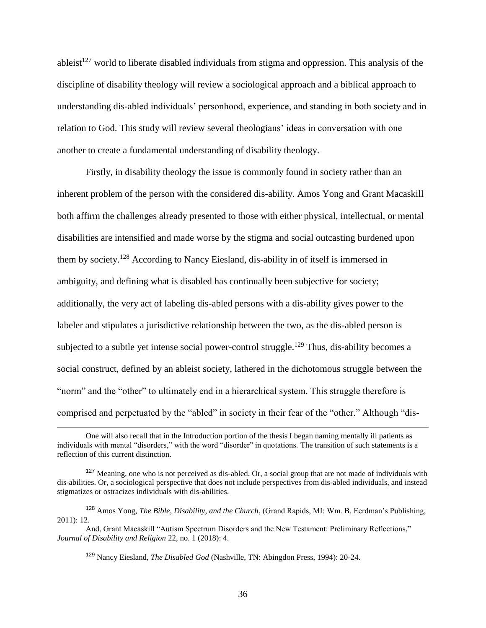ableist<sup>127</sup> world to liberate disabled individuals from stigma and oppression. This analysis of the discipline of disability theology will review a sociological approach and a biblical approach to understanding dis-abled individuals' personhood, experience, and standing in both society and in relation to God. This study will review several theologians' ideas in conversation with one another to create a fundamental understanding of disability theology.

Firstly, in disability theology the issue is commonly found in society rather than an inherent problem of the person with the considered dis-ability. Amos Yong and Grant Macaskill both affirm the challenges already presented to those with either physical, intellectual, or mental disabilities are intensified and made worse by the stigma and social outcasting burdened upon them by society.<sup>128</sup> According to Nancy Eiesland, dis-ability in of itself is immersed in ambiguity, and defining what is disabled has continually been subjective for society; additionally, the very act of labeling dis-abled persons with a dis-ability gives power to the labeler and stipulates a jurisdictive relationship between the two, as the dis-abled person is subjected to a subtle yet intense social power-control struggle.<sup>129</sup> Thus, dis-ability becomes a social construct, defined by an ableist society, lathered in the dichotomous struggle between the "norm" and the "other" to ultimately end in a hierarchical system. This struggle therefore is comprised and perpetuated by the "abled" in society in their fear of the "other." Although "dis-

One will also recall that in the Introduction portion of the thesis I began naming mentally ill patients as individuals with mental "disorders," with the word "disorder" in quotations. The transition of such statements is a reflection of this current distinction.

 $127$  Meaning, one who is not perceived as dis-abled. Or, a social group that are not made of individuals with dis-abilities. Or, a sociological perspective that does not include perspectives from dis-abled individuals, and instead stigmatizes or ostracizes individuals with dis-abilities.

<sup>128</sup> Amos Yong, *The Bible, Disability, and the Church*, (Grand Rapids, MI: Wm. B. Eerdman's Publishing, 2011): 12.

And, Grant Macaskill "Autism Spectrum Disorders and the New Testament: Preliminary Reflections," *Journal of Disability and Religion* 22, no. 1 (2018): 4.

<sup>129</sup> Nancy Eiesland, *The Disabled God* (Nashville, TN: Abingdon Press, 1994): 20-24.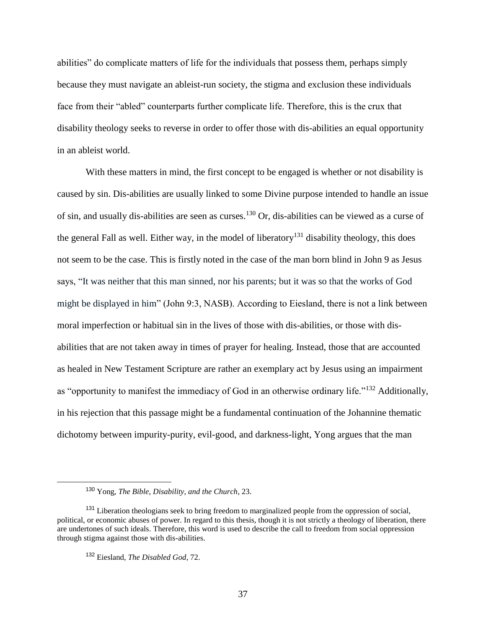abilities" do complicate matters of life for the individuals that possess them, perhaps simply because they must navigate an ableist-run society, the stigma and exclusion these individuals face from their "abled" counterparts further complicate life. Therefore, this is the crux that disability theology seeks to reverse in order to offer those with dis-abilities an equal opportunity in an ableist world.

With these matters in mind, the first concept to be engaged is whether or not disability is caused by sin. Dis-abilities are usually linked to some Divine purpose intended to handle an issue of sin, and usually dis-abilities are seen as curses.<sup>130</sup> Or, dis-abilities can be viewed as a curse of the general Fall as well. Either way, in the model of liberatory<sup>131</sup> disability theology, this does not seem to be the case. This is firstly noted in the case of the man born blind in John 9 as Jesus says, "It was neither that this man sinned, nor his parents; but it was so that the works of God might be displayed in him" (John 9:3, NASB). According to Eiesland, there is not a link between moral imperfection or habitual sin in the lives of those with dis-abilities, or those with disabilities that are not taken away in times of prayer for healing. Instead, those that are accounted as healed in New Testament Scripture are rather an exemplary act by Jesus using an impairment as "opportunity to manifest the immediacy of God in an otherwise ordinary life."<sup>132</sup> Additionally, in his rejection that this passage might be a fundamental continuation of the Johannine thematic dichotomy between impurity-purity, evil-good, and darkness-light, Yong argues that the man

<sup>130</sup> Yong, *The Bible, Disability, and the Church*, 23.

<sup>&</sup>lt;sup>131</sup> Liberation theologians seek to bring freedom to marginalized people from the oppression of social, political, or economic abuses of power. In regard to this thesis, though it is not strictly a theology of liberation, there are undertones of such ideals. Therefore, this word is used to describe the call to freedom from social oppression through stigma against those with dis-abilities.

<sup>132</sup> Eiesland, *The Disabled God*, 72.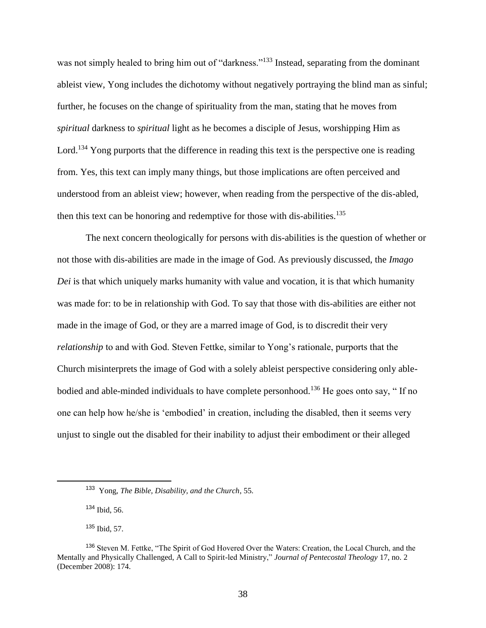was not simply healed to bring him out of "darkness."<sup>133</sup> Instead, separating from the dominant ableist view, Yong includes the dichotomy without negatively portraying the blind man as sinful; further, he focuses on the change of spirituality from the man, stating that he moves from *spiritual* darkness to *spiritual* light as he becomes a disciple of Jesus, worshipping Him as Lord.<sup>134</sup> Yong purports that the difference in reading this text is the perspective one is reading from. Yes, this text can imply many things, but those implications are often perceived and understood from an ableist view; however, when reading from the perspective of the dis-abled, then this text can be honoring and redemptive for those with dis-abilities.<sup>135</sup>

The next concern theologically for persons with dis-abilities is the question of whether or not those with dis-abilities are made in the image of God. As previously discussed, the *Imago Dei* is that which uniquely marks humanity with value and vocation, it is that which humanity was made for: to be in relationship with God. To say that those with dis-abilities are either not made in the image of God, or they are a marred image of God, is to discredit their very *relationship* to and with God. Steven Fettke, similar to Yong's rationale, purports that the Church misinterprets the image of God with a solely ableist perspective considering only ablebodied and able-minded individuals to have complete personhood.<sup>136</sup> He goes onto say, "If no one can help how he/she is 'embodied' in creation, including the disabled, then it seems very unjust to single out the disabled for their inability to adjust their embodiment or their alleged

<sup>134</sup> Ibid, 56.

l

<sup>135</sup> Ibid, 57.

<sup>133</sup> Yong, *The Bible, Disability, and the Church*, 55.

<sup>&</sup>lt;sup>136</sup> Steven M. Fettke, "The Spirit of God Hovered Over the Waters: Creation, the Local Church, and the Mentally and Physically Challenged, A Call to Spirit-led Ministry," *Journal of Pentecostal Theology* 17, no. 2 (December 2008): 174.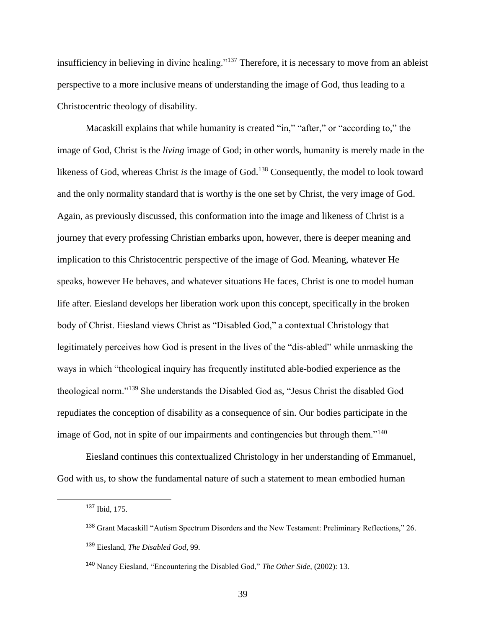insufficiency in believing in divine healing."<sup>137</sup> Therefore, it is necessary to move from an ableist perspective to a more inclusive means of understanding the image of God, thus leading to a Christocentric theology of disability.

Macaskill explains that while humanity is created "in," "after," or "according to," the image of God, Christ is the *living* image of God; in other words, humanity is merely made in the likeness of God, whereas Christ *is* the image of God.<sup>138</sup> Consequently, the model to look toward and the only normality standard that is worthy is the one set by Christ, the very image of God. Again, as previously discussed, this conformation into the image and likeness of Christ is a journey that every professing Christian embarks upon, however, there is deeper meaning and implication to this Christocentric perspective of the image of God. Meaning, whatever He speaks, however He behaves, and whatever situations He faces, Christ is one to model human life after. Eiesland develops her liberation work upon this concept, specifically in the broken body of Christ. Eiesland views Christ as "Disabled God," a contextual Christology that legitimately perceives how God is present in the lives of the "dis-abled" while unmasking the ways in which "theological inquiry has frequently instituted able-bodied experience as the theological norm."<sup>139</sup> She understands the Disabled God as, "Jesus Christ the disabled God repudiates the conception of disability as a consequence of sin. Our bodies participate in the image of God, not in spite of our impairments and contingencies but through them."<sup>140</sup>

Eiesland continues this contextualized Christology in her understanding of Emmanuel, God with us, to show the fundamental nature of such a statement to mean embodied human

<sup>137</sup> Ibid, 175.

<sup>138</sup> Grant Macaskill "Autism Spectrum Disorders and the New Testament: Preliminary Reflections," 26.

<sup>139</sup> Eiesland, *The Disabled God*, 99.

<sup>140</sup> Nancy Eiesland, "Encountering the Disabled God," *The Other Side*, (2002): 13.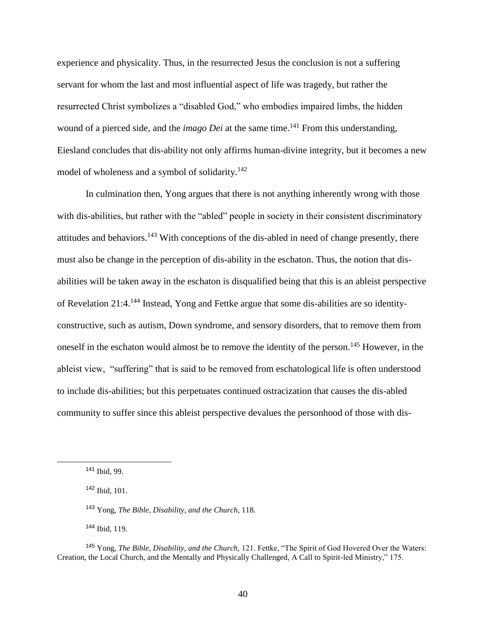experience and physicality. Thus, in the resurrected Jesus the conclusion is not a suffering servant for whom the last and most influential aspect of life was tragedy, but rather the resurrected Christ symbolizes a "disabled God," who embodies impaired limbs, the hidden wound of a pierced side, and the *imago Dei* at the same time.<sup>141</sup> From this understanding, Eiesland concludes that dis-ability not only affirms human-divine integrity, but it becomes a new model of wholeness and a symbol of solidarity.<sup>142</sup>

In culmination then, Yong argues that there is not anything inherently wrong with those with dis-abilities, but rather with the "abled" people in society in their consistent discriminatory attitudes and behaviors.<sup>143</sup> With conceptions of the dis-abled in need of change presently, there must also be change in the perception of dis-ability in the eschaton. Thus, the notion that disabilities will be taken away in the eschaton is disqualified being that this is an ableist perspective of Revelation 21:4.<sup>144</sup> Instead, Yong and Fettke argue that some dis-abilities are so identityconstructive, such as autism, Down syndrome, and sensory disorders, that to remove them from oneself in the eschaton would almost be to remove the identity of the person.<sup>145</sup> However, in the ableist view, "suffering" that is said to be removed from eschatological life is often understood to include dis-abilities; but this perpetuates continued ostracization that causes the dis-abled community to suffer since this ableist perspective devalues the personhood of those with dis-

 $\overline{a}$ 

<sup>144</sup> Ibid, 119.

<sup>141</sup> Ibid, 99.

<sup>142</sup> Ibid, 101.

<sup>143</sup> Yong, *The Bible, Disability, and the Church*, 118.

<sup>145</sup> Yong, *The Bible, Disability, and the Church,* 121. Fettke, "The Spirit of God Hovered Over the Waters: Creation, the Local Church, and the Mentally and Physically Challenged, A Call to Spirit-led Ministry," 175.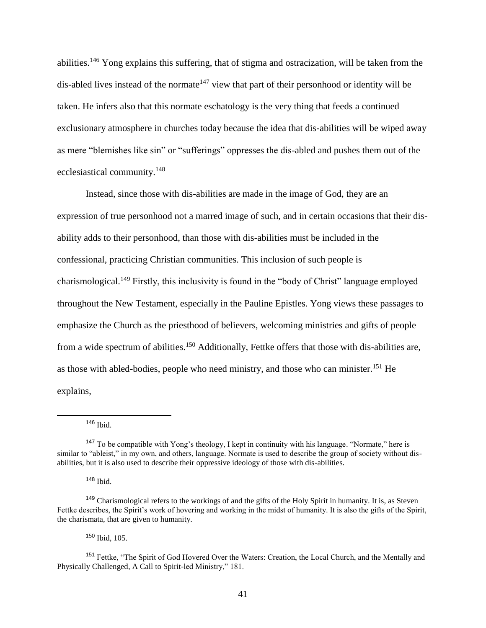abilities.<sup>146</sup> Yong explains this suffering, that of stigma and ostracization, will be taken from the dis-abled lives instead of the normate<sup> $147$ </sup> view that part of their personhood or identity will be taken. He infers also that this normate eschatology is the very thing that feeds a continued exclusionary atmosphere in churches today because the idea that dis-abilities will be wiped away as mere "blemishes like sin" or "sufferings" oppresses the dis-abled and pushes them out of the ecclesiastical community.<sup>148</sup>

Instead, since those with dis-abilities are made in the image of God, they are an expression of true personhood not a marred image of such, and in certain occasions that their disability adds to their personhood, than those with dis-abilities must be included in the confessional, practicing Christian communities. This inclusion of such people is charismological.<sup>149</sup> Firstly, this inclusivity is found in the "body of Christ" language employed throughout the New Testament, especially in the Pauline Epistles. Yong views these passages to emphasize the Church as the priesthood of believers, welcoming ministries and gifts of people from a wide spectrum of abilities.<sup>150</sup> Additionally, Fettke offers that those with dis-abilities are, as those with abled-bodies, people who need ministry, and those who can minister.<sup>151</sup> He explains,

 $\overline{a}$ 

<sup>148</sup> Ibid.

<sup>150</sup> Ibid, 105.

<sup>146</sup> Ibid.

<sup>147</sup> To be compatible with Yong's theology, I kept in continuity with his language. "Normate," here is similar to "ableist," in my own, and others, language. Normate is used to describe the group of society without disabilities, but it is also used to describe their oppressive ideology of those with dis-abilities.

<sup>149</sup> Charismological refers to the workings of and the gifts of the Holy Spirit in humanity. It is, as Steven Fettke describes, the Spirit's work of hovering and working in the midst of humanity. It is also the gifts of the Spirit, the charismata, that are given to humanity.

<sup>&</sup>lt;sup>151</sup> Fettke, "The Spirit of God Hovered Over the Waters: Creation, the Local Church, and the Mentally and Physically Challenged, A Call to Spirit-led Ministry," 181.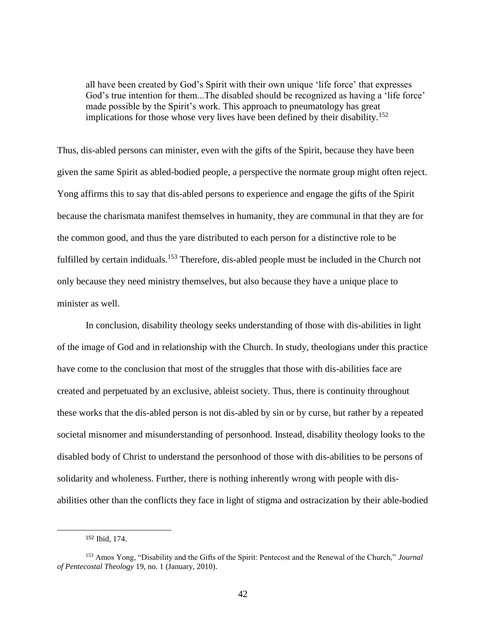all have been created by God's Spirit with their own unique 'life force' that expresses God's true intention for them...The disabled should be recognized as having a 'life force' made possible by the Spirit's work. This approach to pneumatology has great implications for those whose very lives have been defined by their disability.<sup>152</sup>

Thus, dis-abled persons can minister, even with the gifts of the Spirit, because they have been given the same Spirit as abled-bodied people, a perspective the normate group might often reject. Yong affirms this to say that dis-abled persons to experience and engage the gifts of the Spirit because the charismata manifest themselves in humanity, they are communal in that they are for the common good, and thus the yare distributed to each person for a distinctive role to be fulfilled by certain indiduals.<sup>153</sup> Therefore, dis-abled people must be included in the Church not only because they need ministry themselves, but also because they have a unique place to minister as well.

In conclusion, disability theology seeks understanding of those with dis-abilities in light of the image of God and in relationship with the Church. In study, theologians under this practice have come to the conclusion that most of the struggles that those with dis-abilities face are created and perpetuated by an exclusive, ableist society. Thus, there is continuity throughout these works that the dis-abled person is not dis-abled by sin or by curse, but rather by a repeated societal misnomer and misunderstanding of personhood. Instead, disability theology looks to the disabled body of Christ to understand the personhood of those with dis-abilities to be persons of solidarity and wholeness. Further, there is nothing inherently wrong with people with disabilities other than the conflicts they face in light of stigma and ostracization by their able-bodied

<sup>152</sup> Ibid, 174.

<sup>153</sup> Amos Yong, "Disability and the Gifts of the Spirit: Pentecost and the Renewal of the Church," *Journal of Pentecostal Theology* 19, no. 1 (January, 2010).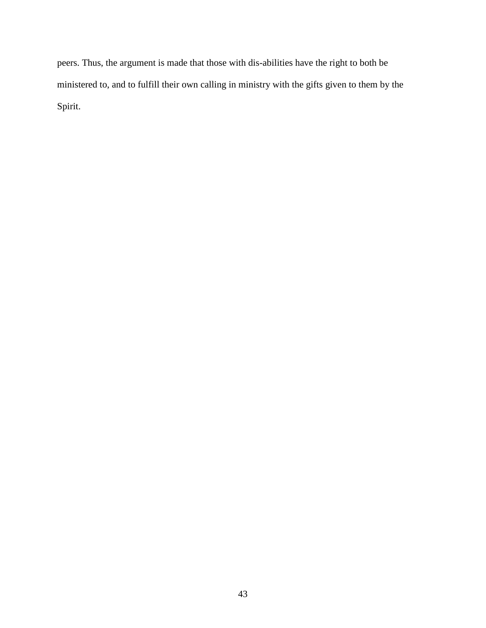peers. Thus, the argument is made that those with dis-abilities have the right to both be ministered to, and to fulfill their own calling in ministry with the gifts given to them by the Spirit.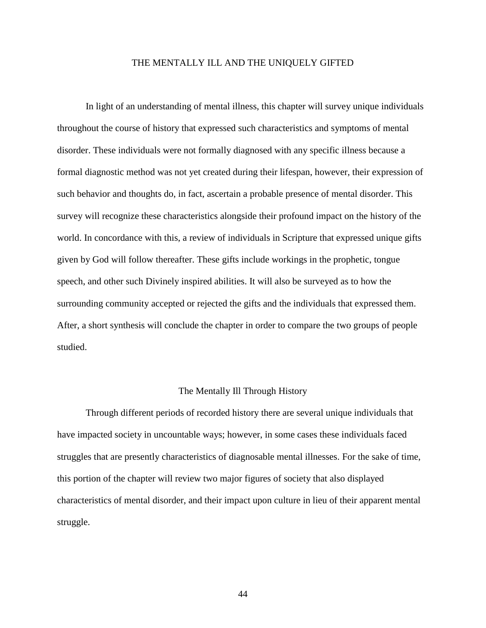# THE MENTALLY ILL AND THE UNIQUELY GIFTED

In light of an understanding of mental illness, this chapter will survey unique individuals throughout the course of history that expressed such characteristics and symptoms of mental disorder. These individuals were not formally diagnosed with any specific illness because a formal diagnostic method was not yet created during their lifespan, however, their expression of such behavior and thoughts do, in fact, ascertain a probable presence of mental disorder. This survey will recognize these characteristics alongside their profound impact on the history of the world. In concordance with this, a review of individuals in Scripture that expressed unique gifts given by God will follow thereafter. These gifts include workings in the prophetic, tongue speech, and other such Divinely inspired abilities. It will also be surveyed as to how the surrounding community accepted or rejected the gifts and the individuals that expressed them. After, a short synthesis will conclude the chapter in order to compare the two groups of people studied.

# The Mentally Ill Through History

Through different periods of recorded history there are several unique individuals that have impacted society in uncountable ways; however, in some cases these individuals faced struggles that are presently characteristics of diagnosable mental illnesses. For the sake of time, this portion of the chapter will review two major figures of society that also displayed characteristics of mental disorder, and their impact upon culture in lieu of their apparent mental struggle.

44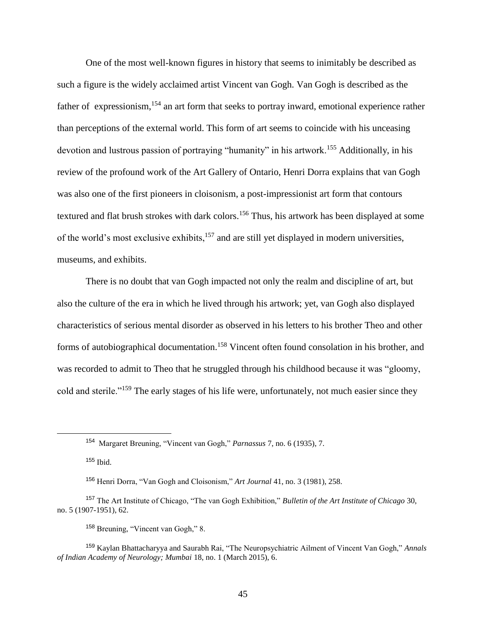One of the most well-known figures in history that seems to inimitably be described as such a figure is the widely acclaimed artist Vincent van Gogh. Van Gogh is described as the father of expressionism, <sup>154</sup> an art form that seeks to portray inward, emotional experience rather than perceptions of the external world. This form of art seems to coincide with his unceasing devotion and lustrous passion of portraying "humanity" in his artwork.<sup>155</sup> Additionally, in his review of the profound work of the Art Gallery of Ontario, Henri Dorra explains that van Gogh was also one of the first pioneers in cloisonism, a post-impressionist art form that contours textured and flat brush strokes with dark colors.<sup>156</sup> Thus, his artwork has been displayed at some of the world's most exclusive exhibits,<sup>157</sup> and are still yet displayed in modern universities, museums, and exhibits.

There is no doubt that van Gogh impacted not only the realm and discipline of art, but also the culture of the era in which he lived through his artwork; yet, van Gogh also displayed characteristics of serious mental disorder as observed in his letters to his brother Theo and other forms of autobiographical documentation.<sup>158</sup> Vincent often found consolation in his brother, and was recorded to admit to Theo that he struggled through his childhood because it was "gloomy, cold and sterile."<sup>159</sup> The early stages of his life were, unfortunately, not much easier since they

<sup>154</sup> Margaret Breuning, "Vincent van Gogh," *Parnassus* 7, no. 6 (1935), 7.

 $155$  Ibid.

<sup>156</sup> Henri Dorra, "Van Gogh and Cloisonism," *Art Journal* 41, no. 3 (1981), 258.

<sup>157</sup> The Art Institute of Chicago, "The van Gogh Exhibition," *Bulletin of the Art Institute of Chicago* 30, no. 5 (1907-1951), 62.

<sup>158</sup> Breuning, "Vincent van Gogh," 8.

<sup>159</sup> Kaylan Bhattacharyya and Saurabh Rai, "The Neuropsychiatric Ailment of Vincent Van Gogh," *Annals of Indian Academy of Neurology; Mumbai* 18, no. 1 (March 2015), 6.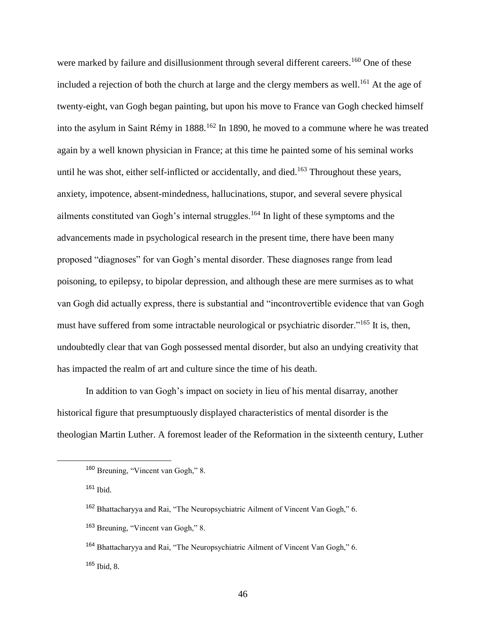were marked by failure and disillusionment through several different careers.<sup>160</sup> One of these included a rejection of both the church at large and the clergy members as well.<sup>161</sup> At the age of twenty-eight, van Gogh began painting, but upon his move to France van Gogh checked himself into the asylum in Saint Rémy in 1888.<sup>162</sup> In 1890, he moved to a commune where he was treated again by a well known physician in France; at this time he painted some of his seminal works until he was shot, either self-inflicted or accidentally, and died.<sup>163</sup> Throughout these years, anxiety, impotence, absent-mindedness, hallucinations, stupor, and several severe physical ailments constituted van Gogh's internal struggles.<sup>164</sup> In light of these symptoms and the advancements made in psychological research in the present time, there have been many proposed "diagnoses" for van Gogh's mental disorder. These diagnoses range from lead poisoning, to epilepsy, to bipolar depression, and although these are mere surmises as to what van Gogh did actually express, there is substantial and "incontrovertible evidence that van Gogh must have suffered from some intractable neurological or psychiatric disorder."<sup>165</sup> It is, then, undoubtedly clear that van Gogh possessed mental disorder, but also an undying creativity that has impacted the realm of art and culture since the time of his death.

In addition to van Gogh's impact on society in lieu of his mental disarray, another historical figure that presumptuously displayed characteristics of mental disorder is the theologian Martin Luther. A foremost leader of the Reformation in the sixteenth century, Luther

<sup>160</sup> Breuning, "Vincent van Gogh," 8.

<sup>161</sup> Ibid.

<sup>162</sup> Bhattacharyya and Rai, "The Neuropsychiatric Ailment of Vincent Van Gogh," 6.

<sup>163</sup> Breuning, "Vincent van Gogh," 8.

<sup>164</sup> Bhattacharyya and Rai, "The Neuropsychiatric Ailment of Vincent Van Gogh," 6. <sup>165</sup> Ibid, 8.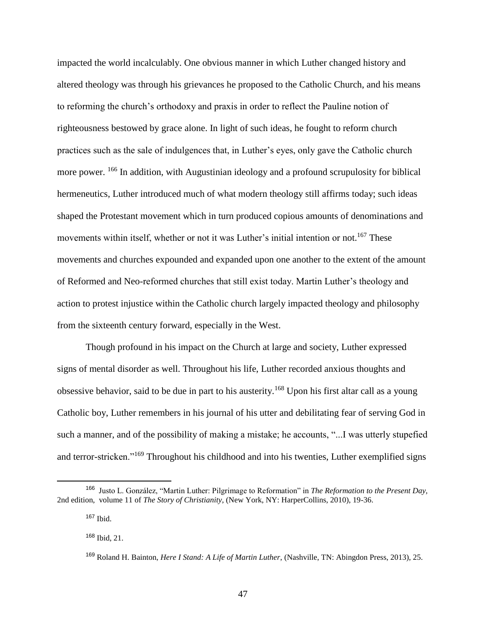impacted the world incalculably. One obvious manner in which Luther changed history and altered theology was through his grievances he proposed to the Catholic Church, and his means to reforming the church's orthodoxy and praxis in order to reflect the Pauline notion of righteousness bestowed by grace alone. In light of such ideas, he fought to reform church practices such as the sale of indulgences that, in Luther's eyes, only gave the Catholic church more power. <sup>166</sup> In addition, with Augustinian ideology and a profound scrupulosity for biblical hermeneutics, Luther introduced much of what modern theology still affirms today; such ideas shaped the Protestant movement which in turn produced copious amounts of denominations and movements within itself, whether or not it was Luther's initial intention or not.<sup>167</sup> These movements and churches expounded and expanded upon one another to the extent of the amount of Reformed and Neo-reformed churches that still exist today. Martin Luther's theology and action to protest injustice within the Catholic church largely impacted theology and philosophy from the sixteenth century forward, especially in the West.

Though profound in his impact on the Church at large and society, Luther expressed signs of mental disorder as well. Throughout his life, Luther recorded anxious thoughts and obsessive behavior, said to be due in part to his austerity.<sup>168</sup> Upon his first altar call as a young Catholic boy, Luther remembers in his journal of his utter and debilitating fear of serving God in such a manner, and of the possibility of making a mistake; he accounts, "...I was utterly stupefied and terror-stricken."<sup>169</sup> Throughout his childhood and into his twenties, Luther exemplified signs

l

<sup>166</sup> Justo L. González, "Martin Luther: Pilgrimage to Reformation" in *The Reformation to the Present Day,* 2nd edition, volume 11 of *The Story of Christianity*, (New York, NY: HarperCollins, 2010), 19-36.

<sup>167</sup> Ibid.

<sup>168</sup> Ibid, 21.

<sup>169</sup> Roland H. Bainton, *Here I Stand: A Life of Martin Luther*, (Nashville, TN: Abingdon Press, 2013), 25.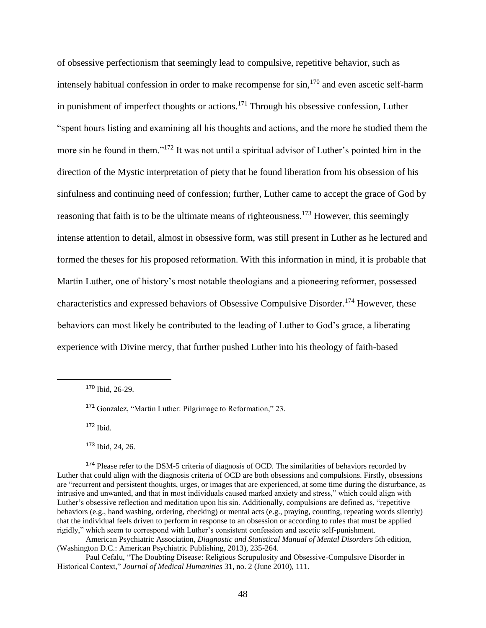of obsessive perfectionism that seemingly lead to compulsive, repetitive behavior, such as intensely habitual confession in order to make recompense for  $\sin$ ,<sup>170</sup> and even ascetic self-harm in punishment of imperfect thoughts or actions.<sup>171</sup> Through his obsessive confession, Luther "spent hours listing and examining all his thoughts and actions, and the more he studied them the more sin he found in them."<sup>172</sup> It was not until a spiritual advisor of Luther's pointed him in the direction of the Mystic interpretation of piety that he found liberation from his obsession of his sinfulness and continuing need of confession; further, Luther came to accept the grace of God by reasoning that faith is to be the ultimate means of righteousness.<sup>173</sup> However, this seemingly intense attention to detail, almost in obsessive form, was still present in Luther as he lectured and formed the theses for his proposed reformation. With this information in mind, it is probable that Martin Luther, one of history's most notable theologians and a pioneering reformer, possessed characteristics and expressed behaviors of Obsessive Compulsive Disorder.<sup>174</sup> However, these behaviors can most likely be contributed to the leading of Luther to God's grace, a liberating experience with Divine mercy, that further pushed Luther into his theology of faith-based

<sup>172</sup> Ibid.

 $\overline{a}$ 

<sup>173</sup> Ibid, 24, 26.

<sup>170</sup> Ibid, 26-29.

<sup>171</sup> Gonzalez, "Martin Luther: Pilgrimage to Reformation," 23.

<sup>&</sup>lt;sup>174</sup> Please refer to the DSM-5 criteria of diagnosis of OCD. The similarities of behaviors recorded by Luther that could align with the diagnosis criteria of OCD are both obsessions and compulsions. Firstly, obsessions are "recurrent and persistent thoughts, urges, or images that are experienced, at some time during the disturbance, as intrusive and unwanted, and that in most individuals caused marked anxiety and stress," which could align with Luther's obsessive reflection and meditation upon his sin. Additionally, compulsions are defined as, "repetitive behaviors (e.g., hand washing, ordering, checking) or mental acts (e.g., praying, counting, repeating words silently) that the individual feels driven to perform in response to an obsession or according to rules that must be applied rigidly," which seem to correspond with Luther's consistent confession and ascetic self-punishment.

American Psychiatric Association, *Diagnostic and Statistical Manual of Mental Disorders* 5th edition, (Washington D.C.: American Psychiatric Publishing, 2013), 235-264.

Paul Cefalu, "The Doubting Disease: Religious Scrupulosity and Obsessive-Compulsive Disorder in Historical Context," *Journal of Medical Humanities* 31, no. 2 (June 2010), 111.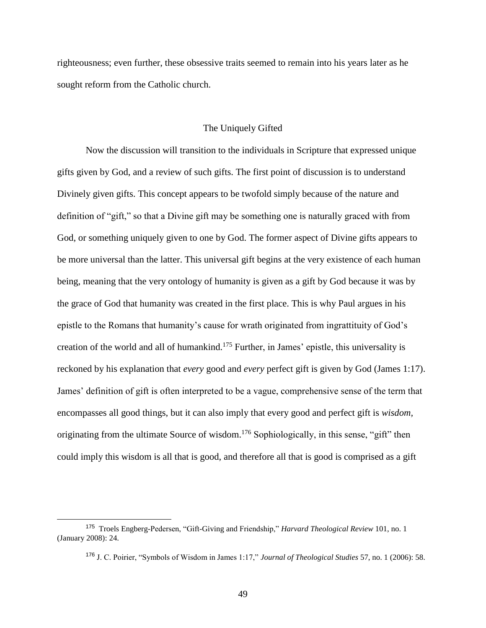righteousness; even further, these obsessive traits seemed to remain into his years later as he sought reform from the Catholic church.

# The Uniquely Gifted

Now the discussion will transition to the individuals in Scripture that expressed unique gifts given by God, and a review of such gifts. The first point of discussion is to understand Divinely given gifts. This concept appears to be twofold simply because of the nature and definition of "gift," so that a Divine gift may be something one is naturally graced with from God, or something uniquely given to one by God. The former aspect of Divine gifts appears to be more universal than the latter. This universal gift begins at the very existence of each human being, meaning that the very ontology of humanity is given as a gift by God because it was by the grace of God that humanity was created in the first place. This is why Paul argues in his epistle to the Romans that humanity's cause for wrath originated from ingrattituity of God's creation of the world and all of humankind.<sup>175</sup> Further, in James' epistle, this universality is reckoned by his explanation that *every* good and *every* perfect gift is given by God (James 1:17). James' definition of gift is often interpreted to be a vague, comprehensive sense of the term that encompasses all good things, but it can also imply that every good and perfect gift is *wisdom,* originating from the ultimate Source of wisdom.<sup>176</sup> Sophiologically, in this sense, "gift" then could imply this wisdom is all that is good, and therefore all that is good is comprised as a gift

<sup>175</sup> Troels Engberg-Pedersen, "Gift-Giving and Friendship," *Harvard Theological Review* 101, no. 1 (January 2008): 24.

<sup>176</sup> J. C. Poirier, "Symbols of Wisdom in James 1:17," *Journal of Theological Studies* 57, no. 1 (2006): 58.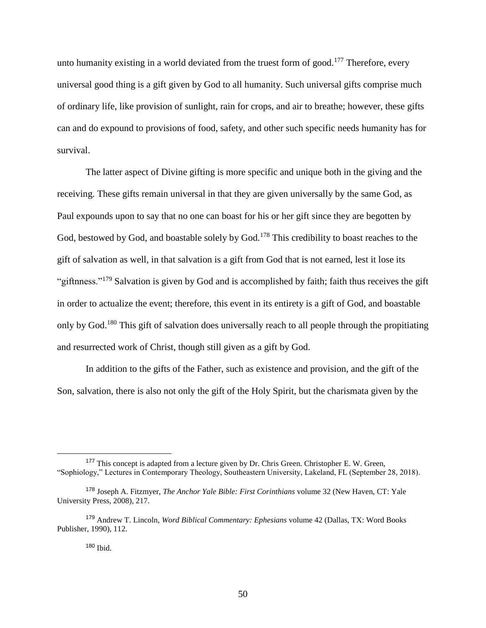unto humanity existing in a world deviated from the truest form of good.<sup>177</sup> Therefore, every universal good thing is a gift given by God to all humanity. Such universal gifts comprise much of ordinary life, like provision of sunlight, rain for crops, and air to breathe; however, these gifts can and do expound to provisions of food, safety, and other such specific needs humanity has for survival.

The latter aspect of Divine gifting is more specific and unique both in the giving and the receiving. These gifts remain universal in that they are given universally by the same God, as Paul expounds upon to say that no one can boast for his or her gift since they are begotten by God, bestowed by God, and boastable solely by God.<sup>178</sup> This credibility to boast reaches to the gift of salvation as well, in that salvation is a gift from God that is not earned, lest it lose its "giftnness."<sup>179</sup> Salvation is given by God and is accomplished by faith; faith thus receives the gift in order to actualize the event; therefore, this event in its entirety is a gift of God, and boastable only by God.<sup>180</sup> This gift of salvation does universally reach to all people through the propitiating and resurrected work of Christ, though still given as a gift by God.

In addition to the gifts of the Father, such as existence and provision, and the gift of the Son, salvation, there is also not only the gift of the Holy Spirit, but the charismata given by the

<sup>&</sup>lt;sup>177</sup> This concept is adapted from a lecture given by Dr. Chris Green. Christopher E. W. Green, "Sophiology," Lectures in Contemporary Theology, Southeastern University, Lakeland, FL (September 28, 2018).

<sup>178</sup> Joseph A. Fitzmyer, *The Anchor Yale Bible: First Corinthians* volume 32 (New Haven, CT: Yale University Press, 2008), 217.

<sup>179</sup> Andrew T. Lincoln, *Word Biblical Commentary: Ephesians* volume 42 (Dallas, TX: Word Books Publisher, 1990), 112.

<sup>180</sup> Ibid.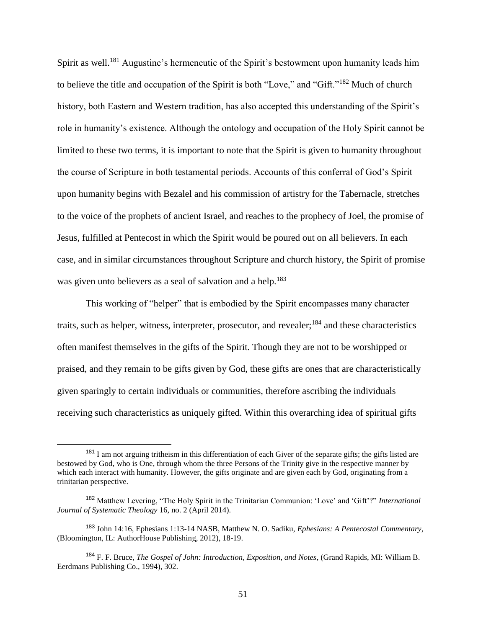Spirit as well.<sup>181</sup> Augustine's hermeneutic of the Spirit's bestowment upon humanity leads him to believe the title and occupation of the Spirit is both "Love," and "Gift."<sup>182</sup> Much of church history, both Eastern and Western tradition, has also accepted this understanding of the Spirit's role in humanity's existence. Although the ontology and occupation of the Holy Spirit cannot be limited to these two terms, it is important to note that the Spirit is given to humanity throughout the course of Scripture in both testamental periods. Accounts of this conferral of God's Spirit upon humanity begins with Bezalel and his commission of artistry for the Tabernacle, stretches to the voice of the prophets of ancient Israel, and reaches to the prophecy of Joel, the promise of Jesus, fulfilled at Pentecost in which the Spirit would be poured out on all believers. In each case, and in similar circumstances throughout Scripture and church history, the Spirit of promise was given unto believers as a seal of salvation and a help.<sup>183</sup>

This working of "helper" that is embodied by the Spirit encompasses many character traits, such as helper, witness, interpreter, prosecutor, and revealer;<sup>184</sup> and these characteristics often manifest themselves in the gifts of the Spirit. Though they are not to be worshipped or praised, and they remain to be gifts given by God, these gifts are ones that are characteristically given sparingly to certain individuals or communities, therefore ascribing the individuals receiving such characteristics as uniquely gifted. Within this overarching idea of spiritual gifts

<sup>&</sup>lt;sup>181</sup> I am not arguing tritheism in this differentiation of each Giver of the separate gifts; the gifts listed are bestowed by God, who is One, through whom the three Persons of the Trinity give in the respective manner by which each interact with humanity. However, the gifts originate and are given each by God, originating from a trinitarian perspective.

<sup>182</sup> Matthew Levering, "The Holy Spirit in the Trinitarian Communion: 'Love' and 'Gift'?" *International Journal of Systematic Theology* 16, no. 2 (April 2014).

<sup>183</sup> John 14:16, Ephesians 1:13-14 NASB, Matthew N. O. Sadiku, *Ephesians: A Pentecostal Commentary*, (Bloomington, IL: AuthorHouse Publishing, 2012), 18-19.

<sup>184</sup> F. F. Bruce, *The Gospel of John: Introduction, Exposition, and Notes*, (Grand Rapids, MI: William B. Eerdmans Publishing Co., 1994), 302.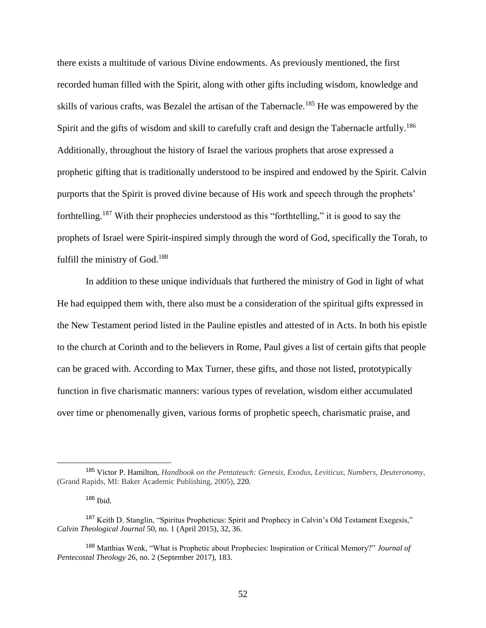there exists a multitude of various Divine endowments. As previously mentioned, the first recorded human filled with the Spirit, along with other gifts including wisdom, knowledge and skills of various crafts, was Bezalel the artisan of the Tabernacle.<sup>185</sup> He was empowered by the Spirit and the gifts of wisdom and skill to carefully craft and design the Tabernacle artfully.<sup>186</sup> Additionally, throughout the history of Israel the various prophets that arose expressed a prophetic gifting that is traditionally understood to be inspired and endowed by the Spirit. Calvin purports that the Spirit is proved divine because of His work and speech through the prophets' forthtelling.<sup>187</sup> With their prophecies understood as this "forthtelling," it is good to say the prophets of Israel were Spirit-inspired simply through the word of God, specifically the Torah, to fulfill the ministry of God.<sup>188</sup>

In addition to these unique individuals that furthered the ministry of God in light of what He had equipped them with, there also must be a consideration of the spiritual gifts expressed in the New Testament period listed in the Pauline epistles and attested of in Acts. In both his epistle to the church at Corinth and to the believers in Rome, Paul gives a list of certain gifts that people can be graced with. According to Max Turner, these gifts, and those not listed, prototypically function in five charismatic manners: various types of revelation, wisdom either accumulated over time or phenomenally given, various forms of prophetic speech, charismatic praise, and

<sup>185</sup> Victor P. Hamilton, *Handbook on the Pentateuch: Genesis, Exodus, Leviticus, Numbers, Deuteronomy,* (Grand Rapids, MI: Baker Academic Publishing, 2005), 220.

<sup>186</sup> Ibid.

<sup>187</sup> Keith D. Stanglin, "Spiritus Propheticus: Spirit and Prophecy in Calvin's Old Testament Exegesis," *Calvin Theological Journal* 50, no. 1 (April 2015), 32, 36.

<sup>188</sup> Matthias Wenk, "What is Prophetic about Prophecies: Inspiration or Critical Memory?" *Journal of Pentecostal Theology* 26, no. 2 (September 2017), 183.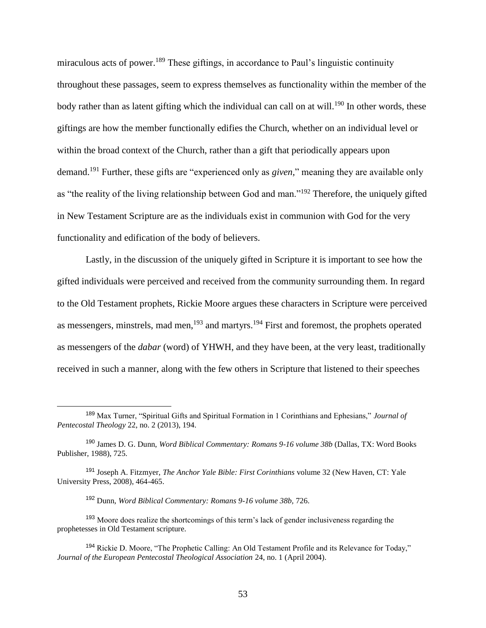miraculous acts of power.<sup>189</sup> These giftings, in accordance to Paul's linguistic continuity throughout these passages, seem to express themselves as functionality within the member of the body rather than as latent gifting which the individual can call on at will.<sup>190</sup> In other words, these giftings are how the member functionally edifies the Church, whether on an individual level or within the broad context of the Church, rather than a gift that periodically appears upon demand.<sup>191</sup> Further, these gifts are "experienced only as *given,*" meaning they are available only as "the reality of the living relationship between God and man."<sup>192</sup> Therefore, the uniquely gifted in New Testament Scripture are as the individuals exist in communion with God for the very functionality and edification of the body of believers.

Lastly, in the discussion of the uniquely gifted in Scripture it is important to see how the gifted individuals were perceived and received from the community surrounding them. In regard to the Old Testament prophets, Rickie Moore argues these characters in Scripture were perceived as messengers, minstrels, mad men,<sup>193</sup> and martyrs.<sup>194</sup> First and foremost, the prophets operated as messengers of the *dabar* (word) of YHWH, and they have been, at the very least, traditionally received in such a manner, along with the few others in Scripture that listened to their speeches

<sup>189</sup> Max Turner, "Spiritual Gifts and Spiritual Formation in 1 Corinthians and Ephesians," *Journal of Pentecostal Theology* 22, no. 2 (2013), 194.

<sup>190</sup> James D. G. Dunn, *Word Biblical Commentary: Romans 9-16 volume 38b* (Dallas, TX: Word Books Publisher, 1988), 725.

<sup>191</sup> Joseph A. Fitzmyer, *The Anchor Yale Bible: First Corinthians* volume 32 (New Haven, CT: Yale University Press, 2008), 464-465.

<sup>192</sup> Dunn, *Word Biblical Commentary: Romans 9-16 volume 38b,* 726.

<sup>&</sup>lt;sup>193</sup> Moore does realize the shortcomings of this term's lack of gender inclusiveness regarding the prophetesses in Old Testament scripture.

<sup>194</sup> Rickie D. Moore, "The Prophetic Calling: An Old Testament Profile and its Relevance for Today," *Journal of the European Pentecostal Theological Association* 24, no. 1 (April 2004).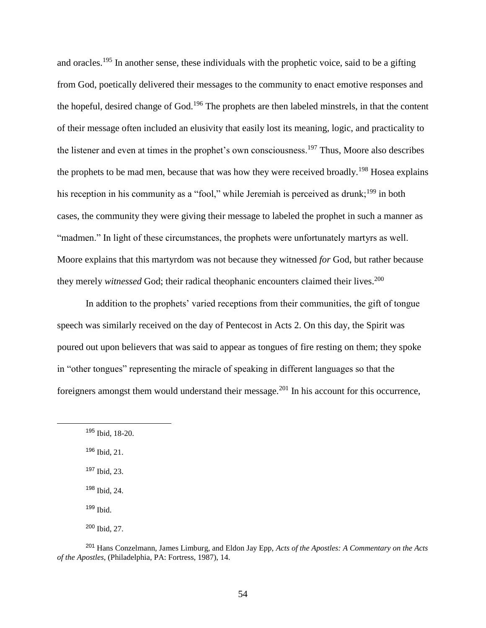and oracles.<sup>195</sup> In another sense, these individuals with the prophetic voice, said to be a gifting from God, poetically delivered their messages to the community to enact emotive responses and the hopeful, desired change of God.<sup>196</sup> The prophets are then labeled minstrels, in that the content of their message often included an elusivity that easily lost its meaning, logic, and practicality to the listener and even at times in the prophet's own consciousness.<sup>197</sup> Thus, Moore also describes the prophets to be mad men, because that was how they were received broadly.<sup>198</sup> Hosea explains his reception in his community as a "fool," while Jeremiah is perceived as drunk;<sup>199</sup> in both cases, the community they were giving their message to labeled the prophet in such a manner as "madmen." In light of these circumstances, the prophets were unfortunately martyrs as well. Moore explains that this martyrdom was not because they witnessed *for* God, but rather because they merely *witnessed* God; their radical theophanic encounters claimed their lives.<sup>200</sup>

In addition to the prophets' varied receptions from their communities, the gift of tongue speech was similarly received on the day of Pentecost in Acts 2. On this day, the Spirit was poured out upon believers that was said to appear as tongues of fire resting on them; they spoke in "other tongues" representing the miracle of speaking in different languages so that the foreigners amongst them would understand their message.<sup>201</sup> In his account for this occurrence,

<sup>196</sup> Ibid, 21.

 $\overline{a}$ 

<sup>197</sup> Ibid, 23.

<sup>198</sup> Ibid, 24.

<sup>199</sup> Ibid.

<sup>200</sup> Ibid, 27.

<sup>201</sup> Hans Conzelmann, James Limburg, and Eldon Jay Epp, *Acts of the Apostles: A Commentary on the Acts of the Apostles*, (Philadelphia, PA: Fortress, 1987), 14.

<sup>195</sup> Ibid, 18-20.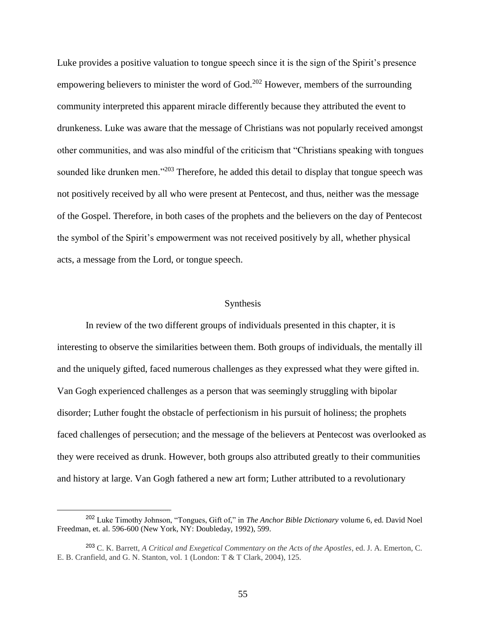Luke provides a positive valuation to tongue speech since it is the sign of the Spirit's presence empowering believers to minister the word of God.<sup>202</sup> However, members of the surrounding community interpreted this apparent miracle differently because they attributed the event to drunkeness. Luke was aware that the message of Christians was not popularly received amongst other communities, and was also mindful of the criticism that "Christians speaking with tongues sounded like drunken men."<sup>203</sup> Therefore, he added this detail to display that tongue speech was not positively received by all who were present at Pentecost, and thus, neither was the message of the Gospel. Therefore, in both cases of the prophets and the believers on the day of Pentecost the symbol of the Spirit's empowerment was not received positively by all, whether physical acts, a message from the Lord, or tongue speech.

# Synthesis

In review of the two different groups of individuals presented in this chapter, it is interesting to observe the similarities between them. Both groups of individuals, the mentally ill and the uniquely gifted, faced numerous challenges as they expressed what they were gifted in. Van Gogh experienced challenges as a person that was seemingly struggling with bipolar disorder; Luther fought the obstacle of perfectionism in his pursuit of holiness; the prophets faced challenges of persecution; and the message of the believers at Pentecost was overlooked as they were received as drunk. However, both groups also attributed greatly to their communities and history at large. Van Gogh fathered a new art form; Luther attributed to a revolutionary

<sup>202</sup> Luke Timothy Johnson, "Tongues, Gift of," in *The Anchor Bible Dictionary* volume 6, ed. David Noel Freedman, et. al. 596-600 (New York, NY: Doubleday, 1992), 599.

<sup>203</sup> C. K. Barrett, *A Critical and Exegetical Commentary on the Acts of the Apostles*, ed. J. A. Emerton, C. E. B. Cranfield, and G. N. Stanton, vol. 1 (London: T & T Clark, 2004), 125.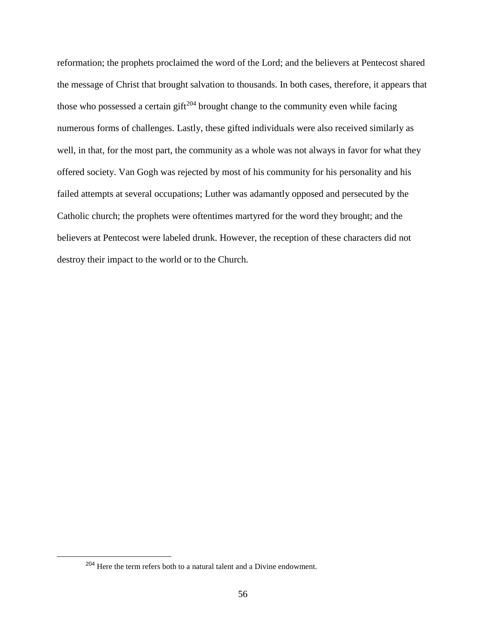reformation; the prophets proclaimed the word of the Lord; and the believers at Pentecost shared the message of Christ that brought salvation to thousands. In both cases, therefore, it appears that those who possessed a certain gift<sup>204</sup> brought change to the community even while facing numerous forms of challenges. Lastly, these gifted individuals were also received similarly as well, in that, for the most part, the community as a whole was not always in favor for what they offered society. Van Gogh was rejected by most of his community for his personality and his failed attempts at several occupations; Luther was adamantly opposed and persecuted by the Catholic church; the prophets were oftentimes martyred for the word they brought; and the believers at Pentecost were labeled drunk. However, the reception of these characters did not destroy their impact to the world or to the Church.

<sup>&</sup>lt;sup>204</sup> Here the term refers both to a natural talent and a Divine endowment.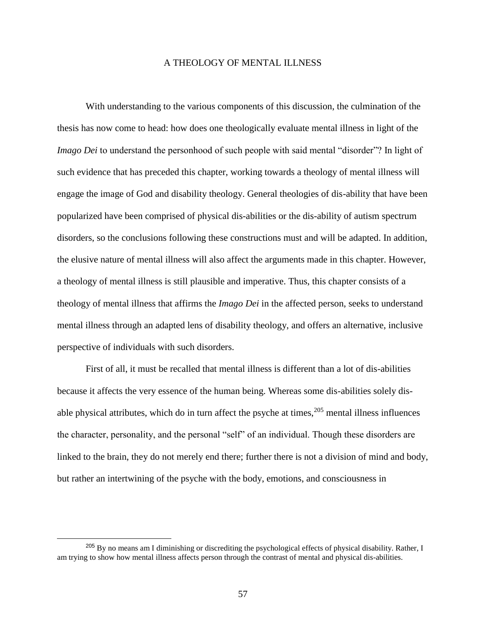### A THEOLOGY OF MENTAL ILLNESS

With understanding to the various components of this discussion, the culmination of the thesis has now come to head: how does one theologically evaluate mental illness in light of the *Imago Dei* to understand the personhood of such people with said mental "disorder"? In light of such evidence that has preceded this chapter, working towards a theology of mental illness will engage the image of God and disability theology. General theologies of dis-ability that have been popularized have been comprised of physical dis-abilities or the dis-ability of autism spectrum disorders, so the conclusions following these constructions must and will be adapted. In addition, the elusive nature of mental illness will also affect the arguments made in this chapter. However, a theology of mental illness is still plausible and imperative. Thus, this chapter consists of a theology of mental illness that affirms the *Imago Dei* in the affected person, seeks to understand mental illness through an adapted lens of disability theology, and offers an alternative, inclusive perspective of individuals with such disorders.

First of all, it must be recalled that mental illness is different than a lot of dis-abilities because it affects the very essence of the human being. Whereas some dis-abilities solely disable physical attributes, which do in turn affect the psyche at times,  $205$  mental illness influences the character, personality, and the personal "self" of an individual. Though these disorders are linked to the brain, they do not merely end there; further there is not a division of mind and body, but rather an intertwining of the psyche with the body, emotions, and consciousness in

<sup>&</sup>lt;sup>205</sup> By no means am I diminishing or discrediting the psychological effects of physical disability. Rather, I am trying to show how mental illness affects person through the contrast of mental and physical dis-abilities.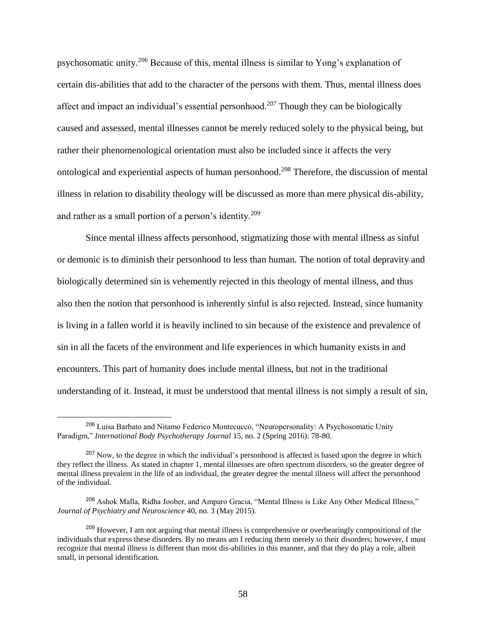psychosomatic unity.<sup>206</sup> Because of this, mental illness is similar to Yong's explanation of certain dis-abilities that add to the character of the persons with them. Thus, mental illness does affect and impact an individual's essential personhood.<sup>207</sup> Though they can be biologically caused and assessed, mental illnesses cannot be merely reduced solely to the physical being, but rather their phenomenological orientation must also be included since it affects the very ontological and experiential aspects of human personhood.<sup>208</sup> Therefore, the discussion of mental illness in relation to disability theology will be discussed as more than mere physical dis-ability, and rather as a small portion of a person's identity.<sup>209</sup>

Since mental illness affects personhood, stigmatizing those with mental illness as sinful or demonic is to diminish their personhood to less than human. The notion of total depravity and biologically determined sin is vehemently rejected in this theology of mental illness, and thus also then the notion that personhood is inherently sinful is also rejected. Instead, since humanity is living in a fallen world it is heavily inclined to sin because of the existence and prevalence of sin in all the facets of the environment and life experiences in which humanity exists in and encounters. This part of humanity does include mental illness, but not in the traditional understanding of it. Instead, it must be understood that mental illness is not simply a result of sin,

<sup>206</sup> Luisa Barbato and Nitamo Federico Montecucco, "Neuropersonality: A Psychosomatic Unity Paradigm," *International Body Psychotherapy Journal* 15, no. 2 (Spring 2016): 78-80.

<sup>&</sup>lt;sup>207</sup> Now, to the degree in which the individual's personhood is affected is based upon the degree in which they reflect the illness. As stated in chapter 1, mental illnesses are often spectrum disorders, so the greater degree of mental illness prevalent in the life of an individual, the greater degree the mental illness will affect the personhood of the individual.

<sup>208</sup> Ashok Malla, Ridha Joober, and Amparo Gracia, "Mental Illness is Like Any Other Medical Illness," *Journal of Psychiatry and Neuroscience* 40, no. 3 (May 2015).

<sup>&</sup>lt;sup>209</sup> However, I am not arguing that mental illness is comprehensive or overbearingly compositional of the individuals that express these disorders. By no means am I reducing them merely to their disorders; however, I must recognize that mental illness is different than most dis-abilities in this manner, and that they do play a role, albeit small, in personal identification.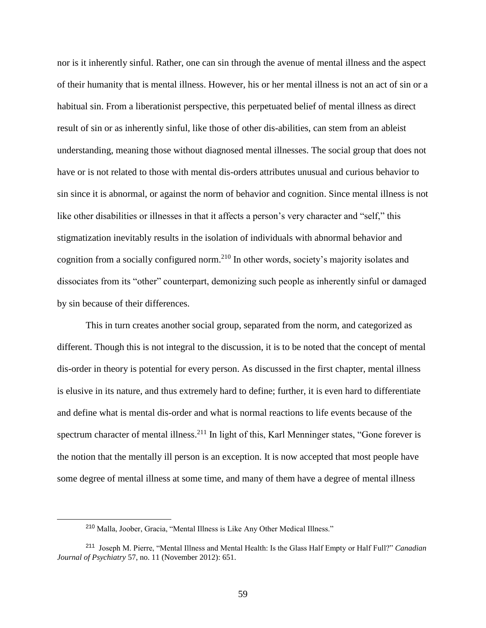nor is it inherently sinful. Rather, one can sin through the avenue of mental illness and the aspect of their humanity that is mental illness. However, his or her mental illness is not an act of sin or a habitual sin. From a liberationist perspective, this perpetuated belief of mental illness as direct result of sin or as inherently sinful, like those of other dis-abilities, can stem from an ableist understanding, meaning those without diagnosed mental illnesses. The social group that does not have or is not related to those with mental dis-orders attributes unusual and curious behavior to sin since it is abnormal, or against the norm of behavior and cognition. Since mental illness is not like other disabilities or illnesses in that it affects a person's very character and "self," this stigmatization inevitably results in the isolation of individuals with abnormal behavior and cognition from a socially configured norm.<sup>210</sup> In other words, society's majority isolates and dissociates from its "other" counterpart, demonizing such people as inherently sinful or damaged by sin because of their differences.

This in turn creates another social group, separated from the norm, and categorized as different. Though this is not integral to the discussion, it is to be noted that the concept of mental dis-order in theory is potential for every person. As discussed in the first chapter, mental illness is elusive in its nature, and thus extremely hard to define; further, it is even hard to differentiate and define what is mental dis-order and what is normal reactions to life events because of the spectrum character of mental illness.<sup>211</sup> In light of this, Karl Menninger states, "Gone forever is the notion that the mentally ill person is an exception. It is now accepted that most people have some degree of mental illness at some time, and many of them have a degree of mental illness

<sup>210</sup> Malla, Joober, Gracia, "Mental Illness is Like Any Other Medical Illness."

<sup>211</sup> Joseph M. Pierre, "Mental Illness and Mental Health: Is the Glass Half Empty or Half Full?" *Canadian Journal of Psychiatry* 57, no. 11 (November 2012): 651.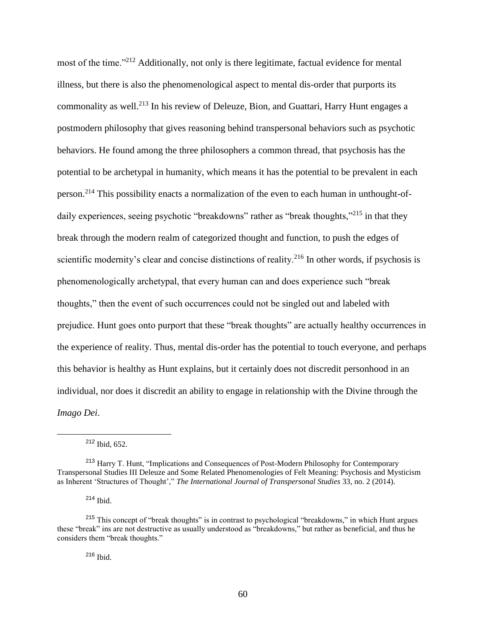most of the time."<sup>212</sup> Additionally, not only is there legitimate, factual evidence for mental illness, but there is also the phenomenological aspect to mental dis-order that purports its commonality as well.<sup>213</sup> In his review of Deleuze, Bion, and Guattari, Harry Hunt engages a postmodern philosophy that gives reasoning behind transpersonal behaviors such as psychotic behaviors. He found among the three philosophers a common thread, that psychosis has the potential to be archetypal in humanity, which means it has the potential to be prevalent in each person.<sup>214</sup> This possibility enacts a normalization of the even to each human in unthought-ofdaily experiences, seeing psychotic "breakdowns" rather as "break thoughts,"<sup>215</sup> in that they break through the modern realm of categorized thought and function, to push the edges of scientific modernity's clear and concise distinctions of reality.<sup>216</sup> In other words, if psychosis is phenomenologically archetypal, that every human can and does experience such "break thoughts," then the event of such occurrences could not be singled out and labeled with prejudice. Hunt goes onto purport that these "break thoughts" are actually healthy occurrences in the experience of reality. Thus, mental dis-order has the potential to touch everyone, and perhaps this behavior is healthy as Hunt explains, but it certainly does not discredit personhood in an individual, nor does it discredit an ability to engage in relationship with the Divine through the *Imago Dei*.

 $212$  Ibid, 652.

 $\overline{a}$ 

<sup>214</sup> Ibid.

<sup>216</sup> Ibid.

<sup>213</sup> Harry T. Hunt, "Implications and Consequences of Post-Modern Philosophy for Contemporary Transpersonal Studies III Deleuze and Some Related Phenomenologies of Felt Meaning: Psychosis and Mysticism as Inherent 'Structures of Thought'," *The International Journal of Transpersonal Studies* 33, no. 2 (2014).

<sup>215</sup> This concept of "break thoughts" is in contrast to psychological "breakdowns," in which Hunt argues these "break" ins are not destructive as usually understood as "breakdowns," but rather as beneficial, and thus he considers them "break thoughts."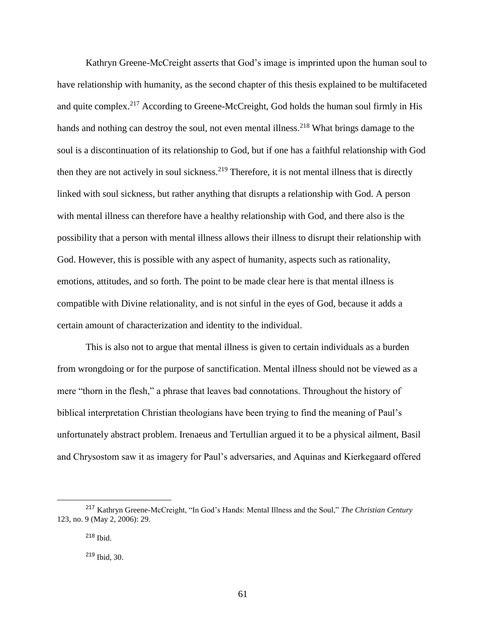Kathryn Greene-McCreight asserts that God's image is imprinted upon the human soul to have relationship with humanity, as the second chapter of this thesis explained to be multifaceted and quite complex.<sup>217</sup> According to Greene-McCreight, God holds the human soul firmly in His hands and nothing can destroy the soul, not even mental illness.<sup>218</sup> What brings damage to the soul is a discontinuation of its relationship to God, but if one has a faithful relationship with God then they are not actively in soul sickness.<sup>219</sup> Therefore, it is not mental illness that is directly linked with soul sickness, but rather anything that disrupts a relationship with God. A person with mental illness can therefore have a healthy relationship with God, and there also is the possibility that a person with mental illness allows their illness to disrupt their relationship with God. However, this is possible with any aspect of humanity, aspects such as rationality, emotions, attitudes, and so forth. The point to be made clear here is that mental illness is compatible with Divine relationality, and is not sinful in the eyes of God, because it adds a certain amount of characterization and identity to the individual.

This is also not to argue that mental illness is given to certain individuals as a burden from wrongdoing or for the purpose of sanctification. Mental illness should not be viewed as a mere "thorn in the flesh," a phrase that leaves bad connotations. Throughout the history of biblical interpretation Christian theologians have been trying to find the meaning of Paul's unfortunately abstract problem. Irenaeus and Tertullian argued it to be a physical ailment, Basil and Chrysostom saw it as imagery for Paul's adversaries, and Aquinas and Kierkegaard offered

<sup>217</sup> Kathryn Greene-McCreight, "In God's Hands: Mental Illness and the Soul," *The Christian Century* 123, no. 9 (May 2, 2006): 29.

<sup>218</sup> Ibid.

<sup>219</sup> Ibid, 30.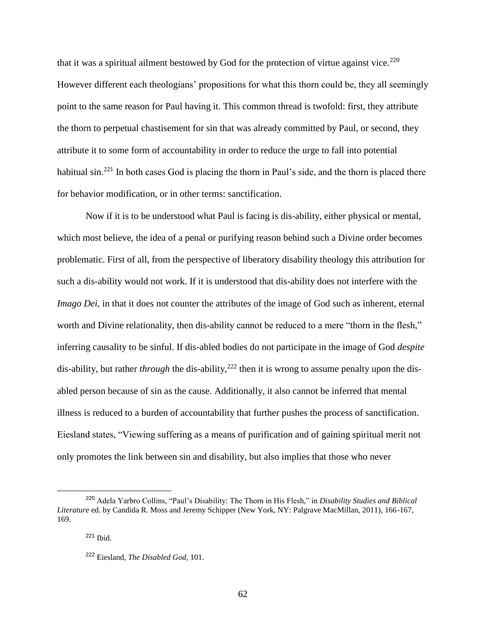that it was a spiritual ailment bestowed by God for the protection of virtue against vice.<sup>220</sup> However different each theologians' propositions for what this thorn could be, they all seemingly point to the same reason for Paul having it. This common thread is twofold: first, they attribute the thorn to perpetual chastisement for sin that was already committed by Paul, or second, they attribute it to some form of accountability in order to reduce the urge to fall into potential habitual sin.<sup>221</sup> In both cases God is placing the thorn in Paul's side, and the thorn is placed there for behavior modification, or in other terms: sanctification.

Now if it is to be understood what Paul is facing is dis-ability, either physical or mental, which most believe, the idea of a penal or purifying reason behind such a Divine order becomes problematic. First of all, from the perspective of liberatory disability theology this attribution for such a dis-ability would not work. If it is understood that dis-ability does not interfere with the *Imago Dei,* in that it does not counter the attributes of the image of God such as inherent, eternal worth and Divine relationality, then dis-ability cannot be reduced to a mere "thorn in the flesh," inferring causality to be sinful. If dis-abled bodies do not participate in the image of God *despite* dis-ability, but rather *through* the dis-ability,<sup>222</sup> then it is wrong to assume penalty upon the disabled person because of sin as the cause. Additionally, it also cannot be inferred that mental illness is reduced to a burden of accountability that further pushes the process of sanctification. Eiesland states, "Viewing suffering as a means of purification and of gaining spiritual merit not only promotes the link between sin and disability, but also implies that those who never

<sup>220</sup> Adela Yarbro Collins, "Paul's Disability: The Thorn in His Flesh," in *Disability Studies and Biblical Literature* ed. by Candida R. Moss and Jeremy Schipper (New York, NY: Palgrave MacMillan, 2011), 166-167, 169.

<sup>221</sup> Ibid.

<sup>222</sup> Eiesland, *The Disabled God*, 101.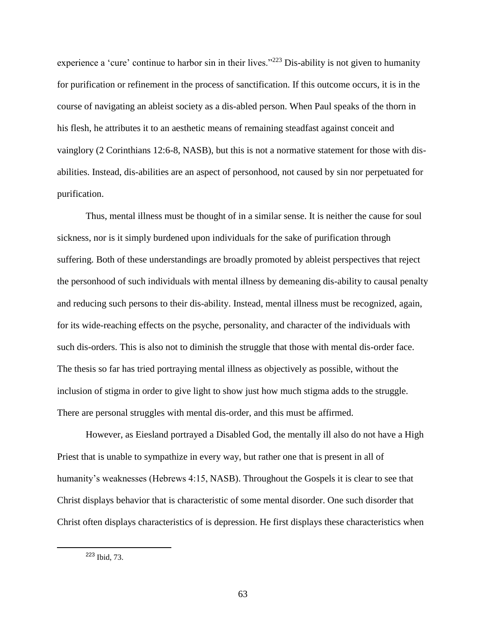experience a 'cure' continue to harbor sin in their lives."<sup>223</sup> Dis-ability is not given to humanity for purification or refinement in the process of sanctification. If this outcome occurs, it is in the course of navigating an ableist society as a dis-abled person. When Paul speaks of the thorn in his flesh, he attributes it to an aesthetic means of remaining steadfast against conceit and vainglory (2 Corinthians 12:6-8, NASB), but this is not a normative statement for those with disabilities. Instead, dis-abilities are an aspect of personhood, not caused by sin nor perpetuated for purification.

Thus, mental illness must be thought of in a similar sense. It is neither the cause for soul sickness, nor is it simply burdened upon individuals for the sake of purification through suffering. Both of these understandings are broadly promoted by ableist perspectives that reject the personhood of such individuals with mental illness by demeaning dis-ability to causal penalty and reducing such persons to their dis-ability. Instead, mental illness must be recognized, again, for its wide-reaching effects on the psyche, personality, and character of the individuals with such dis-orders. This is also not to diminish the struggle that those with mental dis-order face. The thesis so far has tried portraying mental illness as objectively as possible, without the inclusion of stigma in order to give light to show just how much stigma adds to the struggle. There are personal struggles with mental dis-order, and this must be affirmed.

However, as Eiesland portrayed a Disabled God, the mentally ill also do not have a High Priest that is unable to sympathize in every way, but rather one that is present in all of humanity's weaknesses (Hebrews 4:15, NASB). Throughout the Gospels it is clear to see that Christ displays behavior that is characteristic of some mental disorder. One such disorder that Christ often displays characteristics of is depression. He first displays these characteristics when

l

<sup>223</sup> Ibid, 73.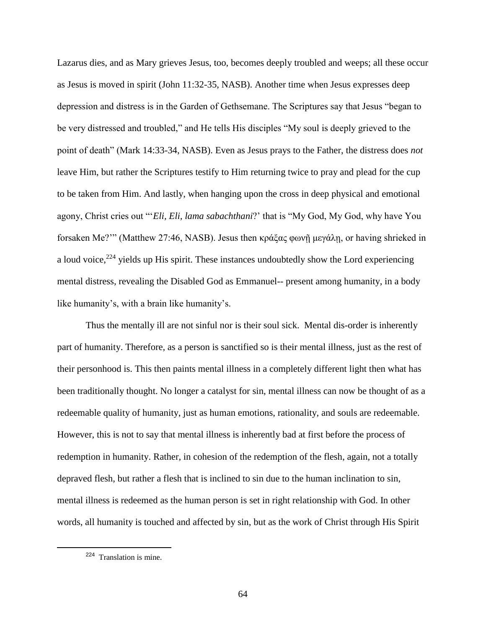Lazarus dies, and as Mary grieves Jesus, too, becomes deeply troubled and weeps; all these occur as Jesus is moved in spirit (John 11:32-35, NASB). Another time when Jesus expresses deep depression and distress is in the Garden of Gethsemane. The Scriptures say that Jesus "began to be very distressed and troubled," and He tells His disciples "My soul is deeply grieved to the point of death" (Mark 14:33-34, NASB). Even as Jesus prays to the Father, the distress does *not* leave Him, but rather the Scriptures testify to Him returning twice to pray and plead for the cup to be taken from Him. And lastly, when hanging upon the cross in deep physical and emotional agony, Christ cries out "'*Eli, Eli, lama sabachthani*?' that is "My God, My God, why have You forsaken Me?'" (Matthew 27:46, NASB). Jesus then κράξας φωνῇ μεγάλῃ, or having shrieked in a loud voice,  $224$  yields up His spirit. These instances undoubtedly show the Lord experiencing mental distress, revealing the Disabled God as Emmanuel-- present among humanity, in a body like humanity's, with a brain like humanity's.

Thus the mentally ill are not sinful nor is their soul sick. Mental dis-order is inherently part of humanity. Therefore, as a person is sanctified so is their mental illness, just as the rest of their personhood is. This then paints mental illness in a completely different light then what has been traditionally thought. No longer a catalyst for sin, mental illness can now be thought of as a redeemable quality of humanity, just as human emotions, rationality, and souls are redeemable. However, this is not to say that mental illness is inherently bad at first before the process of redemption in humanity. Rather, in cohesion of the redemption of the flesh, again, not a totally depraved flesh, but rather a flesh that is inclined to sin due to the human inclination to sin, mental illness is redeemed as the human person is set in right relationship with God. In other words, all humanity is touched and affected by sin, but as the work of Christ through His Spirit

l

<sup>&</sup>lt;sup>224</sup> Translation is mine.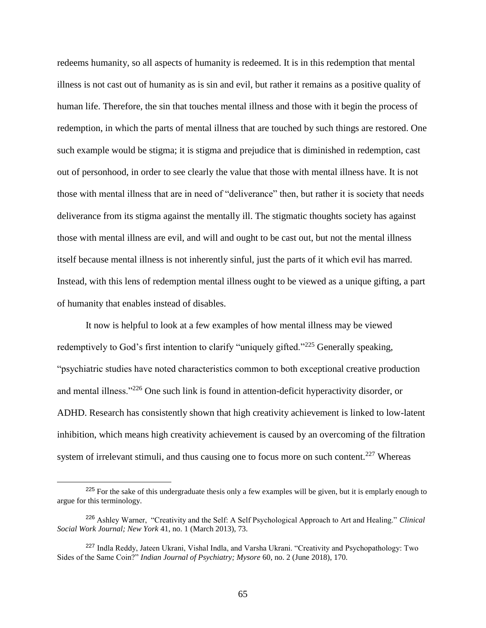redeems humanity, so all aspects of humanity is redeemed. It is in this redemption that mental illness is not cast out of humanity as is sin and evil, but rather it remains as a positive quality of human life. Therefore, the sin that touches mental illness and those with it begin the process of redemption, in which the parts of mental illness that are touched by such things are restored. One such example would be stigma; it is stigma and prejudice that is diminished in redemption, cast out of personhood, in order to see clearly the value that those with mental illness have. It is not those with mental illness that are in need of "deliverance" then, but rather it is society that needs deliverance from its stigma against the mentally ill. The stigmatic thoughts society has against those with mental illness are evil, and will and ought to be cast out, but not the mental illness itself because mental illness is not inherently sinful, just the parts of it which evil has marred. Instead, with this lens of redemption mental illness ought to be viewed as a unique gifting, a part of humanity that enables instead of disables.

It now is helpful to look at a few examples of how mental illness may be viewed redemptively to God's first intention to clarify "uniquely gifted."<sup>225</sup> Generally speaking, "psychiatric studies have noted characteristics common to both exceptional creative production and mental illness."<sup>226</sup> One such link is found in attention-deficit hyperactivity disorder, or ADHD. Research has consistently shown that high creativity achievement is linked to low-latent inhibition, which means high creativity achievement is caused by an overcoming of the filtration system of irrelevant stimuli, and thus causing one to focus more on such content.<sup>227</sup> Whereas

<sup>&</sup>lt;sup>225</sup> For the sake of this undergraduate thesis only a few examples will be given, but it is emplarly enough to argue for this terminology.

<sup>226</sup> Ashley Warner, "Creativity and the Self: A Self Psychological Approach to Art and Healing." *Clinical Social Work Journal; New York* 41, no. 1 (March 2013), 73.

<sup>227</sup> Indla Reddy, Jateen Ukrani, Vishal Indla, and Varsha Ukrani. "Creativity and Psychopathology: Two Sides of the Same Coin?" *Indian Journal of Psychiatry; Mysore* 60, no. 2 (June 2018), 170.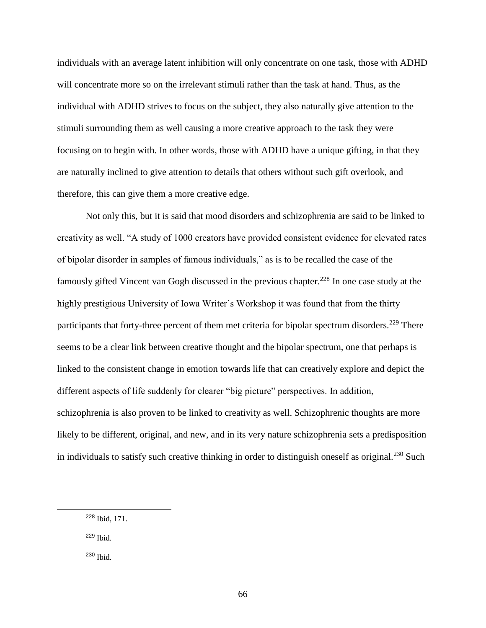individuals with an average latent inhibition will only concentrate on one task, those with ADHD will concentrate more so on the irrelevant stimuli rather than the task at hand. Thus, as the individual with ADHD strives to focus on the subject, they also naturally give attention to the stimuli surrounding them as well causing a more creative approach to the task they were focusing on to begin with. In other words, those with ADHD have a unique gifting, in that they are naturally inclined to give attention to details that others without such gift overlook, and therefore, this can give them a more creative edge.

Not only this, but it is said that mood disorders and schizophrenia are said to be linked to creativity as well. "A study of 1000 creators have provided consistent evidence for elevated rates of bipolar disorder in samples of famous individuals," as is to be recalled the case of the famously gifted Vincent van Gogh discussed in the previous chapter.<sup>228</sup> In one case study at the highly prestigious University of Iowa Writer's Workshop it was found that from the thirty participants that forty-three percent of them met criteria for bipolar spectrum disorders.<sup>229</sup> There seems to be a clear link between creative thought and the bipolar spectrum, one that perhaps is linked to the consistent change in emotion towards life that can creatively explore and depict the different aspects of life suddenly for clearer "big picture" perspectives. In addition, schizophrenia is also proven to be linked to creativity as well. Schizophrenic thoughts are more likely to be different, original, and new, and in its very nature schizophrenia sets a predisposition in individuals to satisfy such creative thinking in order to distinguish oneself as original.<sup>230</sup> Such

<sup>229</sup> Ibid.

 $\overline{a}$ 

<sup>230</sup> Ibid.

<sup>228</sup> Ibid, 171.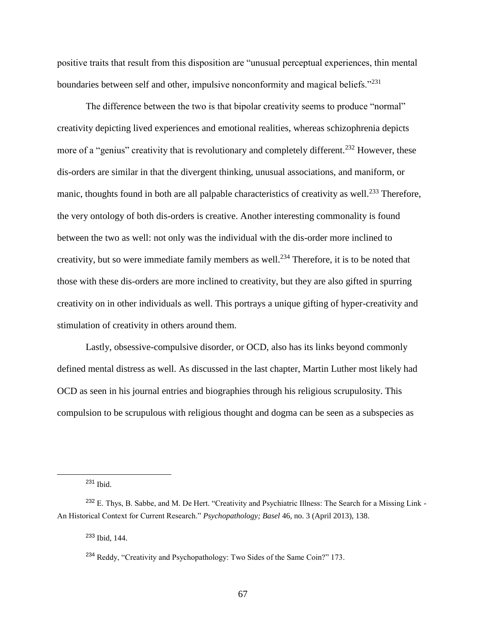positive traits that result from this disposition are "unusual perceptual experiences, thin mental boundaries between self and other, impulsive nonconformity and magical beliefs."<sup>231</sup>

The difference between the two is that bipolar creativity seems to produce "normal" creativity depicting lived experiences and emotional realities, whereas schizophrenia depicts more of a "genius" creativity that is revolutionary and completely different.<sup>232</sup> However, these dis-orders are similar in that the divergent thinking, unusual associations, and maniform, or manic, thoughts found in both are all palpable characteristics of creativity as well.<sup>233</sup> Therefore, the very ontology of both dis-orders is creative. Another interesting commonality is found between the two as well: not only was the individual with the dis-order more inclined to creativity, but so were immediate family members as well.<sup>234</sup> Therefore, it is to be noted that those with these dis-orders are more inclined to creativity, but they are also gifted in spurring creativity on in other individuals as well. This portrays a unique gifting of hyper-creativity and stimulation of creativity in others around them.

Lastly, obsessive-compulsive disorder, or OCD, also has its links beyond commonly defined mental distress as well. As discussed in the last chapter, Martin Luther most likely had OCD as seen in his journal entries and biographies through his religious scrupulosity. This compulsion to be scrupulous with religious thought and dogma can be seen as a subspecies as

<sup>231</sup> Ibid.

 $\overline{a}$ 

<sup>233</sup> Ibid, 144.

 $232$  E. Thys, B. Sabbe, and M. De Hert. "Creativity and Psychiatric Illness: The Search for a Missing Link -An Historical Context for Current Research." *Psychopathology; Basel* 46, no. 3 (April 2013), 138.

<sup>&</sup>lt;sup>234</sup> Reddy, "Creativity and Psychopathology: Two Sides of the Same Coin?" 173.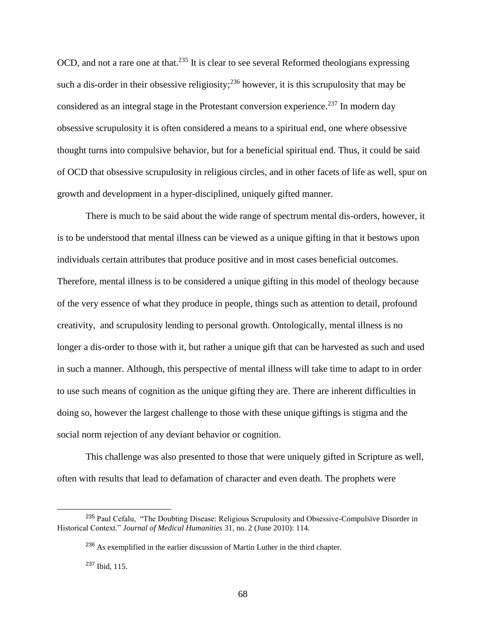OCD, and not a rare one at that.<sup>235</sup> It is clear to see several Reformed theologians expressing such a dis-order in their obsessive religiosity;  $236$  however, it is this scrupulosity that may be considered as an integral stage in the Protestant conversion experience.<sup>237</sup> In modern day obsessive scrupulosity it is often considered a means to a spiritual end, one where obsessive thought turns into compulsive behavior, but for a beneficial spiritual end. Thus, it could be said of OCD that obsessive scrupulosity in religious circles, and in other facets of life as well, spur on growth and development in a hyper-disciplined, uniquely gifted manner.

There is much to be said about the wide range of spectrum mental dis-orders, however, it is to be understood that mental illness can be viewed as a unique gifting in that it bestows upon individuals certain attributes that produce positive and in most cases beneficial outcomes. Therefore, mental illness is to be considered a unique gifting in this model of theology because of the very essence of what they produce in people, things such as attention to detail, profound creativity, and scrupulosity lending to personal growth. Ontologically, mental illness is no longer a dis-order to those with it, but rather a unique gift that can be harvested as such and used in such a manner. Although, this perspective of mental illness will take time to adapt to in order to use such means of cognition as the unique gifting they are. There are inherent difficulties in doing so, however the largest challenge to those with these unique giftings is stigma and the social norm rejection of any deviant behavior or cognition.

This challenge was also presented to those that were uniquely gifted in Scripture as well, often with results that lead to defamation of character and even death. The prophets were

<sup>&</sup>lt;sup>235</sup> Paul Cefalu, "The Doubting Disease: Religious Scrupulosity and Obsessive-Compulsive Disorder in Historical Context." *Journal of Medical Humanities* 31, no. 2 (June 2010): 114.

<sup>&</sup>lt;sup>236</sup> As exemplified in the earlier discussion of Martin Luther in the third chapter.

<sup>237</sup> Ibid, 115.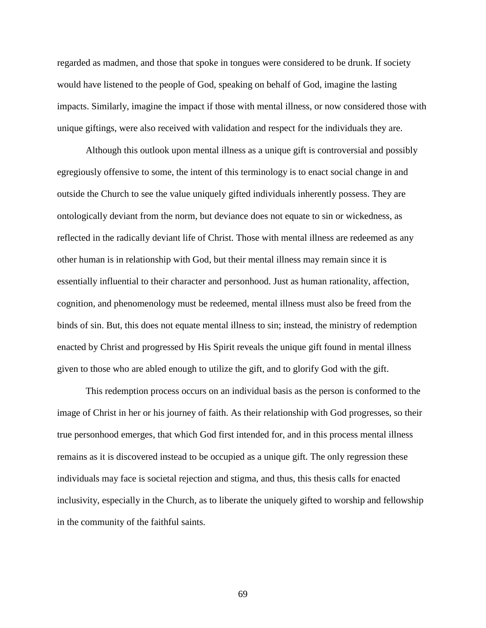regarded as madmen, and those that spoke in tongues were considered to be drunk. If society would have listened to the people of God, speaking on behalf of God, imagine the lasting impacts. Similarly, imagine the impact if those with mental illness, or now considered those with unique giftings, were also received with validation and respect for the individuals they are.

Although this outlook upon mental illness as a unique gift is controversial and possibly egregiously offensive to some, the intent of this terminology is to enact social change in and outside the Church to see the value uniquely gifted individuals inherently possess. They are ontologically deviant from the norm, but deviance does not equate to sin or wickedness, as reflected in the radically deviant life of Christ. Those with mental illness are redeemed as any other human is in relationship with God, but their mental illness may remain since it is essentially influential to their character and personhood. Just as human rationality, affection, cognition, and phenomenology must be redeemed, mental illness must also be freed from the binds of sin. But, this does not equate mental illness to sin; instead, the ministry of redemption enacted by Christ and progressed by His Spirit reveals the unique gift found in mental illness given to those who are abled enough to utilize the gift, and to glorify God with the gift.

This redemption process occurs on an individual basis as the person is conformed to the image of Christ in her or his journey of faith. As their relationship with God progresses, so their true personhood emerges, that which God first intended for, and in this process mental illness remains as it is discovered instead to be occupied as a unique gift. The only regression these individuals may face is societal rejection and stigma, and thus, this thesis calls for enacted inclusivity, especially in the Church, as to liberate the uniquely gifted to worship and fellowship in the community of the faithful saints.

69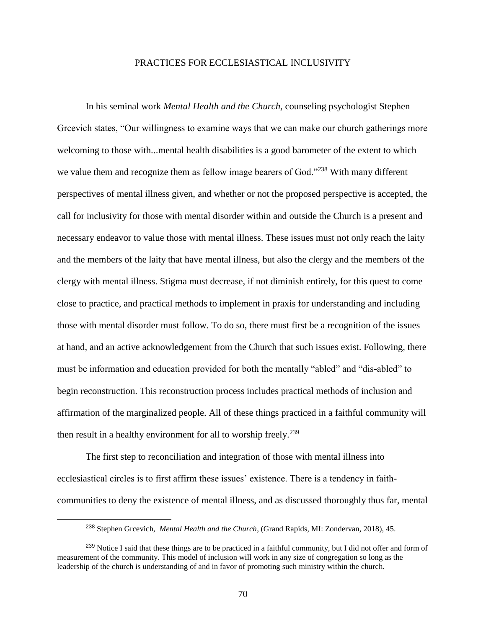# PRACTICES FOR ECCLESIASTICAL INCLUSIVITY

In his seminal work *Mental Health and the Church,* counseling psychologist Stephen Grcevich states, "Our willingness to examine ways that we can make our church gatherings more welcoming to those with...mental health disabilities is a good barometer of the extent to which we value them and recognize them as fellow image bearers of God."<sup>238</sup> With many different perspectives of mental illness given, and whether or not the proposed perspective is accepted, the call for inclusivity for those with mental disorder within and outside the Church is a present and necessary endeavor to value those with mental illness. These issues must not only reach the laity and the members of the laity that have mental illness, but also the clergy and the members of the clergy with mental illness. Stigma must decrease, if not diminish entirely, for this quest to come close to practice, and practical methods to implement in praxis for understanding and including those with mental disorder must follow. To do so, there must first be a recognition of the issues at hand, and an active acknowledgement from the Church that such issues exist. Following, there must be information and education provided for both the mentally "abled" and "dis-abled" to begin reconstruction. This reconstruction process includes practical methods of inclusion and affirmation of the marginalized people. All of these things practiced in a faithful community will then result in a healthy environment for all to worship freely.<sup>239</sup>

The first step to reconciliation and integration of those with mental illness into ecclesiastical circles is to first affirm these issues' existence. There is a tendency in faithcommunities to deny the existence of mental illness, and as discussed thoroughly thus far, mental

<sup>238</sup> Stephen Grcevich, *Mental Health and the Church*, (Grand Rapids, MI: Zondervan, 2018), 45.

<sup>&</sup>lt;sup>239</sup> Notice I said that these things are to be practiced in a faithful community, but I did not offer and form of measurement of the community. This model of inclusion will work in any size of congregation so long as the leadership of the church is understanding of and in favor of promoting such ministry within the church.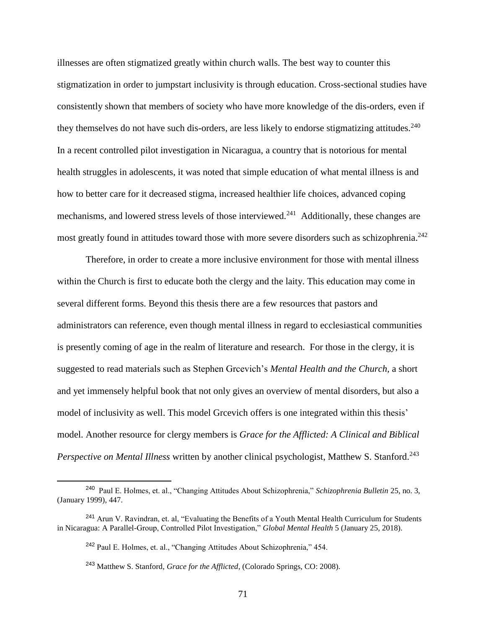illnesses are often stigmatized greatly within church walls. The best way to counter this stigmatization in order to jumpstart inclusivity is through education. Cross-sectional studies have consistently shown that members of society who have more knowledge of the dis-orders, even if they themselves do not have such dis-orders, are less likely to endorse stigmatizing attitudes.<sup>240</sup> In a recent controlled pilot investigation in Nicaragua, a country that is notorious for mental health struggles in adolescents, it was noted that simple education of what mental illness is and how to better care for it decreased stigma, increased healthier life choices, advanced coping mechanisms, and lowered stress levels of those interviewed.<sup>241</sup> Additionally, these changes are most greatly found in attitudes toward those with more severe disorders such as schizophrenia.<sup>242</sup>

Therefore, in order to create a more inclusive environment for those with mental illness within the Church is first to educate both the clergy and the laity. This education may come in several different forms. Beyond this thesis there are a few resources that pastors and administrators can reference, even though mental illness in regard to ecclesiastical communities is presently coming of age in the realm of literature and research. For those in the clergy, it is suggested to read materials such as Stephen Grcevich's *Mental Health and the Church,* a short and yet immensely helpful book that not only gives an overview of mental disorders, but also a model of inclusivity as well. This model Greevich offers is one integrated within this thesis' model. Another resource for clergy members is *Grace for the Afflicted: A Clinical and Biblical Perspective on Mental Illness* written by another clinical psychologist, Matthew S. Stanford.<sup>243</sup>

l

<sup>240</sup> Paul E. Holmes, et. al., "Changing Attitudes About Schizophrenia," *Schizophrenia Bulletin* 25, no. 3, (January 1999), 447.

<sup>&</sup>lt;sup>241</sup> Arun V. Ravindran, et. al, "Evaluating the Benefits of a Youth Mental Health Curriculum for Students in Nicaragua: A Parallel-Group, Controlled Pilot Investigation," *Global Mental Health* 5 (January 25, 2018)[.](https://doi.org/10.1017/gmh.2017.27)

<sup>242</sup> Paul E. Holmes, et. al., "Changing Attitudes About Schizophrenia," 454.

<sup>243</sup> Matthew S. Stanford, *Grace for the Afflicted*, (Colorado Springs, CO: 2008).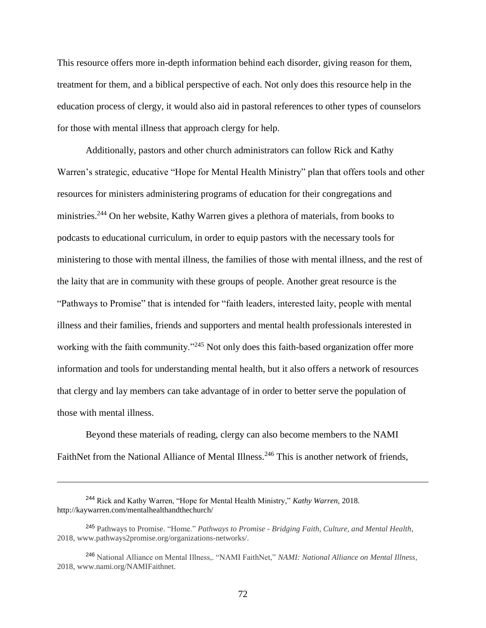This resource offers more in-depth information behind each disorder, giving reason for them, treatment for them, and a biblical perspective of each. Not only does this resource help in the education process of clergy, it would also aid in pastoral references to other types of counselors for those with mental illness that approach clergy for help.

Additionally, pastors and other church administrators can follow Rick and Kathy Warren's strategic, educative "Hope for Mental Health Ministry" plan that offers tools and other resources for ministers administering programs of education for their congregations and ministries.<sup>244</sup> On her website, Kathy Warren gives a plethora of materials, from books to podcasts to educational curriculum, in order to equip pastors with the necessary tools for ministering to those with mental illness, the families of those with mental illness, and the rest of the laity that are in community with these groups of people. Another great resource is the "Pathways to Promise" that is intended for "faith leaders, interested laity, people with mental illness and their families, friends and supporters and mental health professionals interested in working with the faith community."<sup>245</sup> Not only does this faith-based organization offer more information and tools for understanding mental health, but it also offers a network of resources that clergy and lay members can take advantage of in order to better serve the population of those with mental illness.

Beyond these materials of reading, clergy can also become members to the NAMI FaithNet from the National Alliance of Mental Illness.<sup>246</sup> This is another network of friends,

<sup>244</sup> Rick and Kathy Warren, "Hope for Mental Health Ministry," *Kathy Warren,* 2018. http://kaywarren.com/mentalhealthandthechurch/

<sup>245</sup> Pathways to Promise. "Home." *Pathways to Promise - Bridging Faith, Culture, and Mental Health*, 2018, www.pathways2promise.org/organizations-networks/.

<sup>246</sup> National Alliance on Mental Illness,. "NAMI FaithNet," *NAMI: National Alliance on Mental Illness*, 2018, www.nami.org/NAMIFaithnet.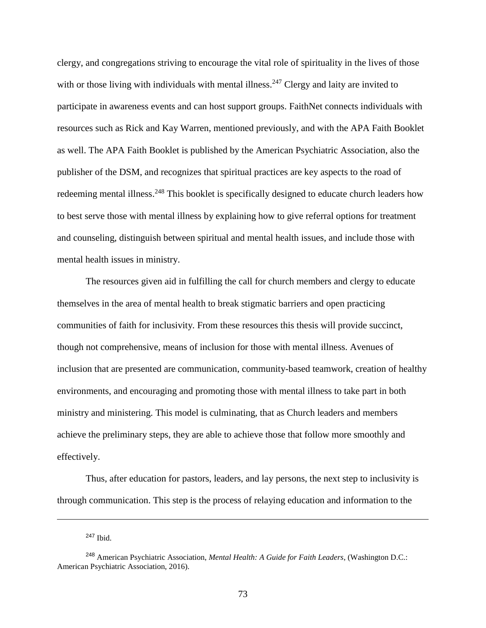clergy, and congregations striving to encourage the vital role of spirituality in the lives of those with or those living with individuals with mental illness.<sup>247</sup> Clergy and laity are invited to participate in awareness events and can host support groups. FaithNet connects individuals with resources such as Rick and Kay Warren, mentioned previously, and with the APA Faith Booklet as well. The APA Faith Booklet is published by the American Psychiatric Association, also the publisher of the DSM, and recognizes that spiritual practices are key aspects to the road of redeeming mental illness.<sup>248</sup> This booklet is specifically designed to educate church leaders how to best serve those with mental illness by explaining how to give referral options for treatment and counseling, distinguish between spiritual and mental health issues, and include those with mental health issues in ministry.

The resources given aid in fulfilling the call for church members and clergy to educate themselves in the area of mental health to break stigmatic barriers and open practicing communities of faith for inclusivity. From these resources this thesis will provide succinct, though not comprehensive, means of inclusion for those with mental illness. Avenues of inclusion that are presented are communication, community-based teamwork, creation of healthy environments, and encouraging and promoting those with mental illness to take part in both ministry and ministering. This model is culminating, that as Church leaders and members achieve the preliminary steps, they are able to achieve those that follow more smoothly and effectively.

Thus, after education for pastors, leaders, and lay persons, the next step to inclusivity is through communication. This step is the process of relaying education and information to the

<sup>247</sup> Ibid.

<sup>248</sup> American Psychiatric Association, *Mental Health: A Guide for Faith Leaders*, (Washington D.C.: American Psychiatric Association, 2016).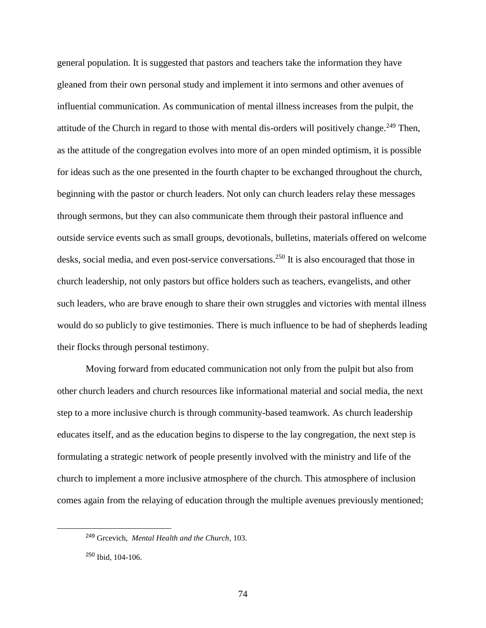general population. It is suggested that pastors and teachers take the information they have gleaned from their own personal study and implement it into sermons and other avenues of influential communication. As communication of mental illness increases from the pulpit, the attitude of the Church in regard to those with mental dis-orders will positively change.<sup>249</sup> Then, as the attitude of the congregation evolves into more of an open minded optimism, it is possible for ideas such as the one presented in the fourth chapter to be exchanged throughout the church, beginning with the pastor or church leaders. Not only can church leaders relay these messages through sermons, but they can also communicate them through their pastoral influence and outside service events such as small groups, devotionals, bulletins, materials offered on welcome desks, social media, and even post-service conversations.<sup>250</sup> It is also encouraged that those in church leadership, not only pastors but office holders such as teachers, evangelists, and other such leaders, who are brave enough to share their own struggles and victories with mental illness would do so publicly to give testimonies. There is much influence to be had of shepherds leading their flocks through personal testimony.

Moving forward from educated communication not only from the pulpit but also from other church leaders and church resources like informational material and social media, the next step to a more inclusive church is through community-based teamwork. As church leadership educates itself, and as the education begins to disperse to the lay congregation, the next step is formulating a strategic network of people presently involved with the ministry and life of the church to implement a more inclusive atmosphere of the church. This atmosphere of inclusion comes again from the relaying of education through the multiple avenues previously mentioned;

<sup>249</sup> Grcevich, *Mental Health and the Church*, 103.

<sup>250</sup> Ibid, 104-106.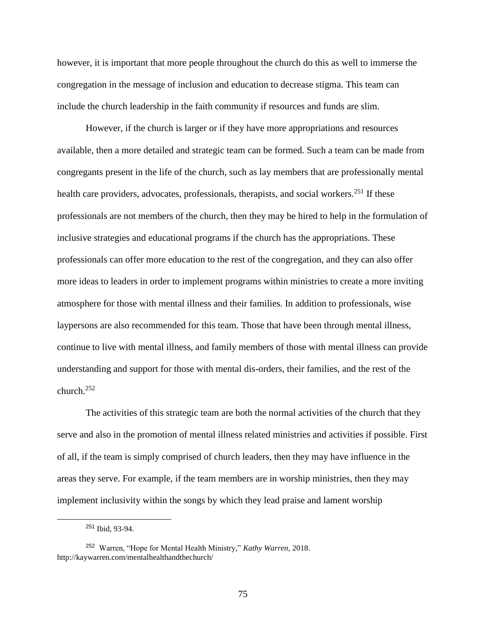however, it is important that more people throughout the church do this as well to immerse the congregation in the message of inclusion and education to decrease stigma. This team can include the church leadership in the faith community if resources and funds are slim.

However, if the church is larger or if they have more appropriations and resources available, then a more detailed and strategic team can be formed. Such a team can be made from congregants present in the life of the church, such as lay members that are professionally mental health care providers, advocates, professionals, therapists, and social workers.<sup>251</sup> If these professionals are not members of the church, then they may be hired to help in the formulation of inclusive strategies and educational programs if the church has the appropriations. These professionals can offer more education to the rest of the congregation, and they can also offer more ideas to leaders in order to implement programs within ministries to create a more inviting atmosphere for those with mental illness and their families. In addition to professionals, wise laypersons are also recommended for this team. Those that have been through mental illness, continue to live with mental illness, and family members of those with mental illness can provide understanding and support for those with mental dis-orders, their families, and the rest of the church.<sup>252</sup>

The activities of this strategic team are both the normal activities of the church that they serve and also in the promotion of mental illness related ministries and activities if possible. First of all, if the team is simply comprised of church leaders, then they may have influence in the areas they serve. For example, if the team members are in worship ministries, then they may implement inclusivity within the songs by which they lead praise and lament worship

<sup>251</sup> Ibid, 93-94.

<sup>252</sup> Warren, "Hope for Mental Health Ministry," *Kathy Warren,* 2018. http://kaywarren.com/mentalhealthandthechurch/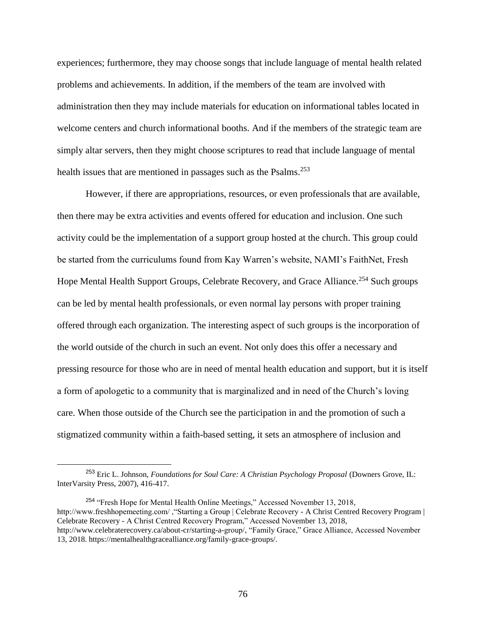experiences; furthermore, they may choose songs that include language of mental health related problems and achievements. In addition, if the members of the team are involved with administration then they may include materials for education on informational tables located in welcome centers and church informational booths. And if the members of the strategic team are simply altar servers, then they might choose scriptures to read that include language of mental health issues that are mentioned in passages such as the Psalms.<sup>253</sup>

However, if there are appropriations, resources, or even professionals that are available, then there may be extra activities and events offered for education and inclusion. One such activity could be the implementation of a support group hosted at the church. This group could be started from the curriculums found from Kay Warren's website, NAMI's FaithNet, Fresh Hope Mental Health Support Groups, Celebrate Recovery, and Grace Alliance.<sup>254</sup> Such groups can be led by mental health professionals, or even normal lay persons with proper training offered through each organization. The interesting aspect of such groups is the incorporation of the world outside of the church in such an event. Not only does this offer a necessary and pressing resource for those who are in need of mental health education and support, but it is itself a form of apologetic to a community that is marginalized and in need of the Church's loving care. When those outside of the Church see the participation in and the promotion of such a stigmatized community within a faith-based setting, it sets an atmosphere of inclusion and

l

<sup>253</sup> Eric L. Johnson, *Foundations for Soul Care: A Christian Psychology Proposal* (Downers Grove, IL: InterVarsity Press, 2007), 416-417.

<sup>254</sup> "Fresh Hope for Mental Health Online Meetings," Accessed November 13, 2018, http://www.freshhopemeeting.com/ ,"Starting a Group | Celebrate Recovery - A Christ Centred Recovery Program | Celebrate Recovery - A Christ Centred Recovery Program," Accessed November 13, 2018, http://www.celebraterecovery.ca/about-cr/starting-a-group/, "Family Grace," Grace Alliance, Accessed November 13, 2018. https://mentalhealthgracealliance.org/family-grace-groups/.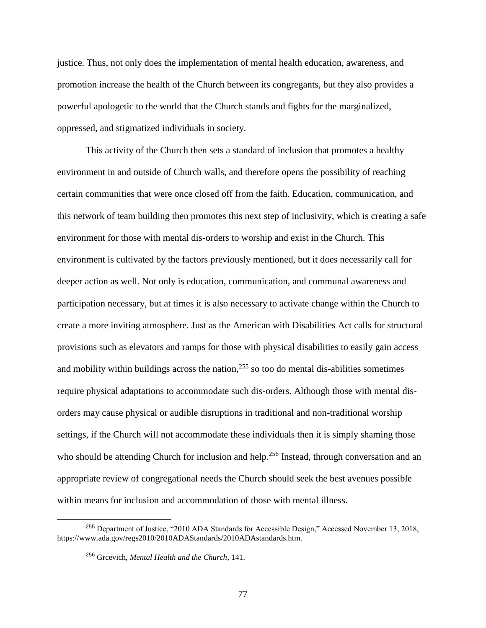justice. Thus, not only does the implementation of mental health education, awareness, and promotion increase the health of the Church between its congregants, but they also provides a powerful apologetic to the world that the Church stands and fights for the marginalized, oppressed, and stigmatized individuals in society.

This activity of the Church then sets a standard of inclusion that promotes a healthy environment in and outside of Church walls, and therefore opens the possibility of reaching certain communities that were once closed off from the faith. Education, communication, and this network of team building then promotes this next step of inclusivity, which is creating a safe environment for those with mental dis-orders to worship and exist in the Church. This environment is cultivated by the factors previously mentioned, but it does necessarily call for deeper action as well. Not only is education, communication, and communal awareness and participation necessary, but at times it is also necessary to activate change within the Church to create a more inviting atmosphere. Just as the American with Disabilities Act calls for structural provisions such as elevators and ramps for those with physical disabilities to easily gain access and mobility within buildings across the nation, $255$  so too do mental dis-abilities sometimes require physical adaptations to accommodate such dis-orders. Although those with mental disorders may cause physical or audible disruptions in traditional and non-traditional worship settings, if the Church will not accommodate these individuals then it is simply shaming those who should be attending Church for inclusion and help.<sup>256</sup> Instead, through conversation and an appropriate review of congregational needs the Church should seek the best avenues possible within means for inclusion and accommodation of those with mental illness.

<sup>255</sup> Department of Justice, "2010 ADA Standards for Accessible Design," Accessed November 13, 2018, https://www.ada.gov/regs2010/2010ADAStandards/2010ADAstandards.htm.

<sup>256</sup> Grcevich, *Mental Health and the Church*, 141.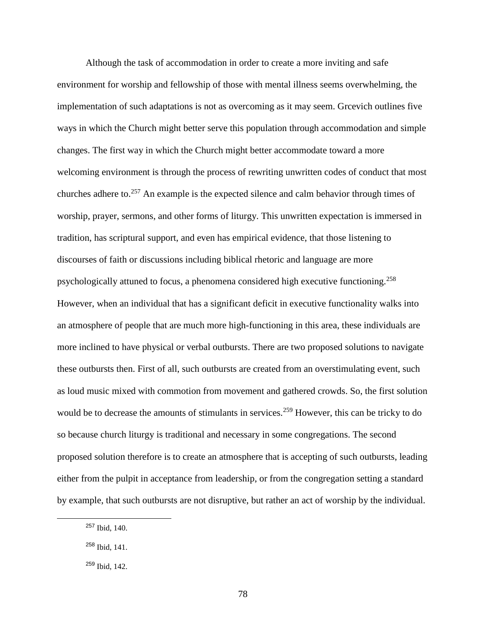Although the task of accommodation in order to create a more inviting and safe environment for worship and fellowship of those with mental illness seems overwhelming, the implementation of such adaptations is not as overcoming as it may seem. Greevich outlines five ways in which the Church might better serve this population through accommodation and simple changes. The first way in which the Church might better accommodate toward a more welcoming environment is through the process of rewriting unwritten codes of conduct that most churches adhere to.<sup>257</sup> An example is the expected silence and calm behavior through times of worship, prayer, sermons, and other forms of liturgy. This unwritten expectation is immersed in tradition, has scriptural support, and even has empirical evidence, that those listening to discourses of faith or discussions including biblical rhetoric and language are more psychologically attuned to focus, a phenomena considered high executive functioning.<sup>258</sup> However, when an individual that has a significant deficit in executive functionality walks into an atmosphere of people that are much more high-functioning in this area, these individuals are more inclined to have physical or verbal outbursts. There are two proposed solutions to navigate these outbursts then. First of all, such outbursts are created from an overstimulating event, such as loud music mixed with commotion from movement and gathered crowds. So, the first solution would be to decrease the amounts of stimulants in services.<sup>259</sup> However, this can be tricky to do so because church liturgy is traditional and necessary in some congregations. The second proposed solution therefore is to create an atmosphere that is accepting of such outbursts, leading either from the pulpit in acceptance from leadership, or from the congregation setting a standard by example, that such outbursts are not disruptive, but rather an act of worship by the individual.

<sup>257</sup> Ibid, 140.

<sup>258</sup> Ibid, 141.

 $259$  Ibid, 142.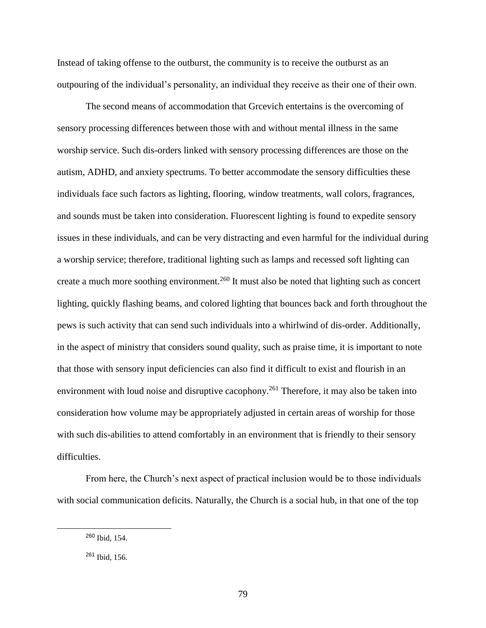Instead of taking offense to the outburst, the community is to receive the outburst as an outpouring of the individual's personality, an individual they receive as their one of their own.

The second means of accommodation that Grcevich entertains is the overcoming of sensory processing differences between those with and without mental illness in the same worship service. Such dis-orders linked with sensory processing differences are those on the autism, ADHD, and anxiety spectrums. To better accommodate the sensory difficulties these individuals face such factors as lighting, flooring, window treatments, wall colors, fragrances, and sounds must be taken into consideration. Fluorescent lighting is found to expedite sensory issues in these individuals, and can be very distracting and even harmful for the individual during a worship service; therefore, traditional lighting such as lamps and recessed soft lighting can create a much more soothing environment.<sup>260</sup> It must also be noted that lighting such as concert lighting, quickly flashing beams, and colored lighting that bounces back and forth throughout the pews is such activity that can send such individuals into a whirlwind of dis-order. Additionally, in the aspect of ministry that considers sound quality, such as praise time, it is important to note that those with sensory input deficiencies can also find it difficult to exist and flourish in an environment with loud noise and disruptive cacophony.<sup>261</sup> Therefore, it may also be taken into consideration how volume may be appropriately adjusted in certain areas of worship for those with such dis-abilities to attend comfortably in an environment that is friendly to their sensory difficulties.

From here, the Church's next aspect of practical inclusion would be to those individuals with social communication deficits. Naturally, the Church is a social hub, in that one of the top

<sup>260</sup> Ibid, 154.

<sup>261</sup> Ibid, 156.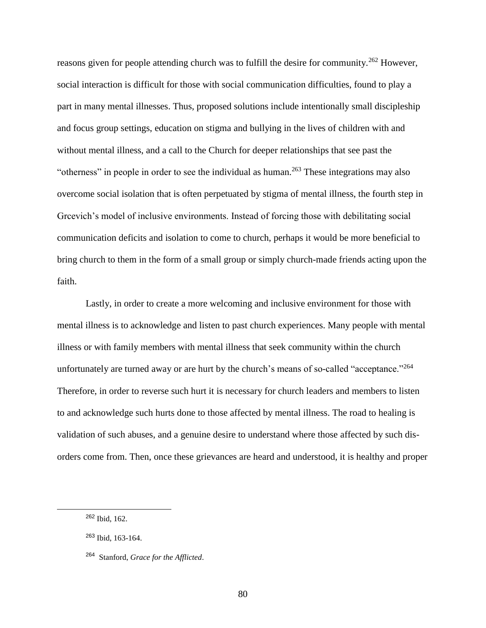reasons given for people attending church was to fulfill the desire for community.<sup>262</sup> However, social interaction is difficult for those with social communication difficulties, found to play a part in many mental illnesses. Thus, proposed solutions include intentionally small discipleship and focus group settings, education on stigma and bullying in the lives of children with and without mental illness, and a call to the Church for deeper relationships that see past the "otherness" in people in order to see the individual as human.<sup>263</sup> These integrations may also overcome social isolation that is often perpetuated by stigma of mental illness, the fourth step in Grcevich's model of inclusive environments. Instead of forcing those with debilitating social communication deficits and isolation to come to church, perhaps it would be more beneficial to bring church to them in the form of a small group or simply church-made friends acting upon the faith.

Lastly, in order to create a more welcoming and inclusive environment for those with mental illness is to acknowledge and listen to past church experiences. Many people with mental illness or with family members with mental illness that seek community within the church unfortunately are turned away or are hurt by the church's means of so-called "acceptance."<sup>264</sup> Therefore, in order to reverse such hurt it is necessary for church leaders and members to listen to and acknowledge such hurts done to those affected by mental illness. The road to healing is validation of such abuses, and a genuine desire to understand where those affected by such disorders come from. Then, once these grievances are heard and understood, it is healthy and proper

<sup>262</sup> Ibid, 162.

<sup>263</sup> Ibid, 163-164.

<sup>264</sup> Stanford, *Grace for the Afflicted*.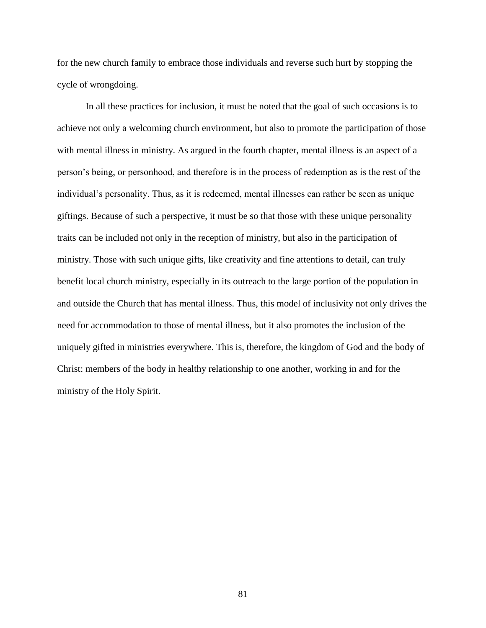for the new church family to embrace those individuals and reverse such hurt by stopping the cycle of wrongdoing.

In all these practices for inclusion, it must be noted that the goal of such occasions is to achieve not only a welcoming church environment, but also to promote the participation of those with mental illness in ministry. As argued in the fourth chapter, mental illness is an aspect of a person's being, or personhood, and therefore is in the process of redemption as is the rest of the individual's personality. Thus, as it is redeemed, mental illnesses can rather be seen as unique giftings. Because of such a perspective, it must be so that those with these unique personality traits can be included not only in the reception of ministry, but also in the participation of ministry. Those with such unique gifts, like creativity and fine attentions to detail, can truly benefit local church ministry, especially in its outreach to the large portion of the population in and outside the Church that has mental illness. Thus, this model of inclusivity not only drives the need for accommodation to those of mental illness, but it also promotes the inclusion of the uniquely gifted in ministries everywhere. This is, therefore, the kingdom of God and the body of Christ: members of the body in healthy relationship to one another, working in and for the ministry of the Holy Spirit.

81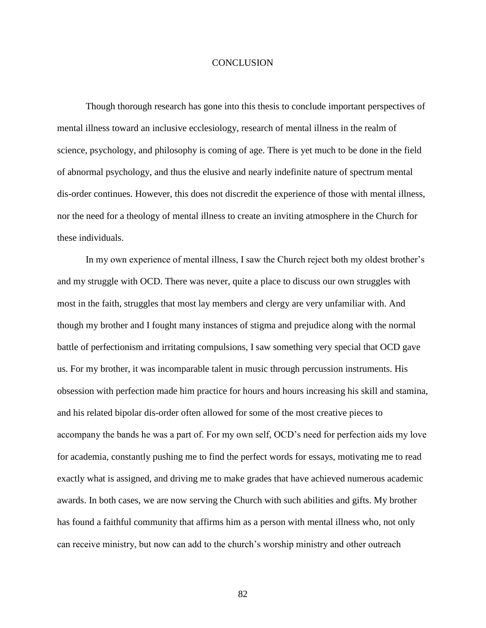## **CONCLUSION**

Though thorough research has gone into this thesis to conclude important perspectives of mental illness toward an inclusive ecclesiology, research of mental illness in the realm of science, psychology, and philosophy is coming of age. There is yet much to be done in the field of abnormal psychology, and thus the elusive and nearly indefinite nature of spectrum mental dis-order continues. However, this does not discredit the experience of those with mental illness, nor the need for a theology of mental illness to create an inviting atmosphere in the Church for these individuals.

In my own experience of mental illness, I saw the Church reject both my oldest brother's and my struggle with OCD. There was never, quite a place to discuss our own struggles with most in the faith, struggles that most lay members and clergy are very unfamiliar with. And though my brother and I fought many instances of stigma and prejudice along with the normal battle of perfectionism and irritating compulsions, I saw something very special that OCD gave us. For my brother, it was incomparable talent in music through percussion instruments. His obsession with perfection made him practice for hours and hours increasing his skill and stamina, and his related bipolar dis-order often allowed for some of the most creative pieces to accompany the bands he was a part of. For my own self, OCD's need for perfection aids my love for academia, constantly pushing me to find the perfect words for essays, motivating me to read exactly what is assigned, and driving me to make grades that have achieved numerous academic awards. In both cases, we are now serving the Church with such abilities and gifts. My brother has found a faithful community that affirms him as a person with mental illness who, not only can receive ministry, but now can add to the church's worship ministry and other outreach

82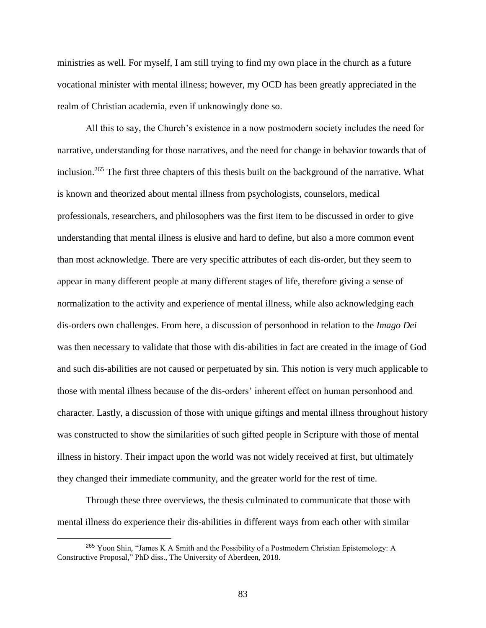ministries as well. For myself, I am still trying to find my own place in the church as a future vocational minister with mental illness; however, my OCD has been greatly appreciated in the realm of Christian academia, even if unknowingly done so.

All this to say, the Church's existence in a now postmodern society includes the need for narrative, understanding for those narratives, and the need for change in behavior towards that of inclusion.<sup>265</sup> The first three chapters of this thesis built on the background of the narrative. What is known and theorized about mental illness from psychologists, counselors, medical professionals, researchers, and philosophers was the first item to be discussed in order to give understanding that mental illness is elusive and hard to define, but also a more common event than most acknowledge. There are very specific attributes of each dis-order, but they seem to appear in many different people at many different stages of life, therefore giving a sense of normalization to the activity and experience of mental illness, while also acknowledging each dis-orders own challenges. From here, a discussion of personhood in relation to the *Imago Dei* was then necessary to validate that those with dis-abilities in fact are created in the image of God and such dis-abilities are not caused or perpetuated by sin. This notion is very much applicable to those with mental illness because of the dis-orders' inherent effect on human personhood and character. Lastly, a discussion of those with unique giftings and mental illness throughout history was constructed to show the similarities of such gifted people in Scripture with those of mental illness in history. Their impact upon the world was not widely received at first, but ultimately they changed their immediate community, and the greater world for the rest of time.

Through these three overviews, the thesis culminated to communicate that those with mental illness do experience their dis-abilities in different ways from each other with similar

<sup>265</sup> Yoon Shin, "James K A Smith and the Possibility of a Postmodern Christian Epistemology: A Constructive Proposal," PhD diss., The University of Aberdeen, 2018.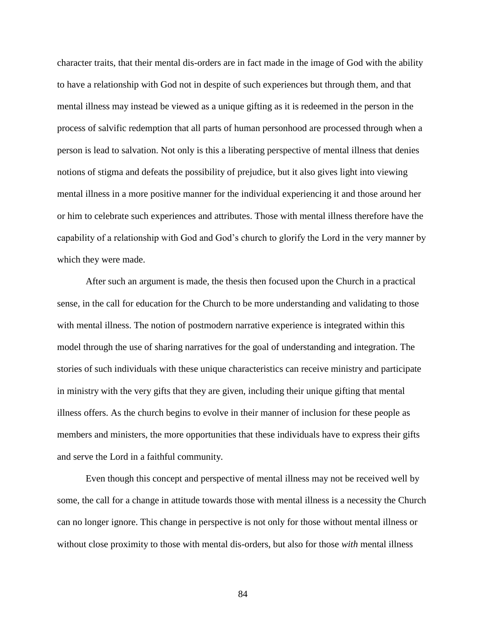character traits, that their mental dis-orders are in fact made in the image of God with the ability to have a relationship with God not in despite of such experiences but through them, and that mental illness may instead be viewed as a unique gifting as it is redeemed in the person in the process of salvific redemption that all parts of human personhood are processed through when a person is lead to salvation. Not only is this a liberating perspective of mental illness that denies notions of stigma and defeats the possibility of prejudice, but it also gives light into viewing mental illness in a more positive manner for the individual experiencing it and those around her or him to celebrate such experiences and attributes. Those with mental illness therefore have the capability of a relationship with God and God's church to glorify the Lord in the very manner by which they were made.

After such an argument is made, the thesis then focused upon the Church in a practical sense, in the call for education for the Church to be more understanding and validating to those with mental illness. The notion of postmodern narrative experience is integrated within this model through the use of sharing narratives for the goal of understanding and integration. The stories of such individuals with these unique characteristics can receive ministry and participate in ministry with the very gifts that they are given, including their unique gifting that mental illness offers. As the church begins to evolve in their manner of inclusion for these people as members and ministers, the more opportunities that these individuals have to express their gifts and serve the Lord in a faithful community.

Even though this concept and perspective of mental illness may not be received well by some, the call for a change in attitude towards those with mental illness is a necessity the Church can no longer ignore. This change in perspective is not only for those without mental illness or without close proximity to those with mental dis-orders, but also for those *with* mental illness

84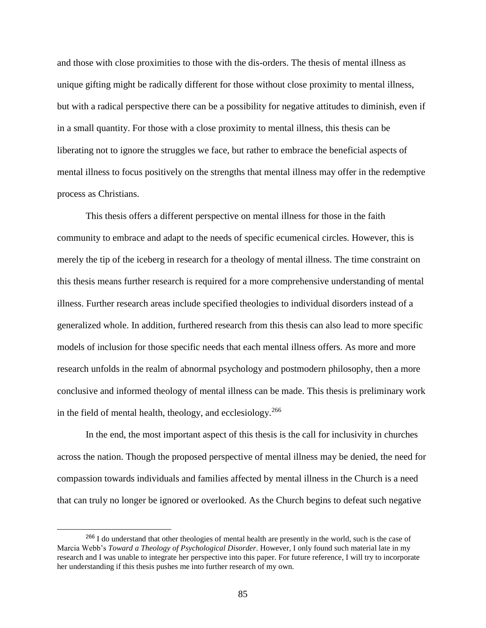and those with close proximities to those with the dis-orders. The thesis of mental illness as unique gifting might be radically different for those without close proximity to mental illness, but with a radical perspective there can be a possibility for negative attitudes to diminish, even if in a small quantity. For those with a close proximity to mental illness, this thesis can be liberating not to ignore the struggles we face, but rather to embrace the beneficial aspects of mental illness to focus positively on the strengths that mental illness may offer in the redemptive process as Christians.

This thesis offers a different perspective on mental illness for those in the faith community to embrace and adapt to the needs of specific ecumenical circles. However, this is merely the tip of the iceberg in research for a theology of mental illness. The time constraint on this thesis means further research is required for a more comprehensive understanding of mental illness. Further research areas include specified theologies to individual disorders instead of a generalized whole. In addition, furthered research from this thesis can also lead to more specific models of inclusion for those specific needs that each mental illness offers. As more and more research unfolds in the realm of abnormal psychology and postmodern philosophy, then a more conclusive and informed theology of mental illness can be made. This thesis is preliminary work in the field of mental health, theology, and ecclesiology.<sup>266</sup>

In the end, the most important aspect of this thesis is the call for inclusivity in churches across the nation. Though the proposed perspective of mental illness may be denied, the need for compassion towards individuals and families affected by mental illness in the Church is a need that can truly no longer be ignored or overlooked. As the Church begins to defeat such negative

<sup>&</sup>lt;sup>266</sup> I do understand that other theologies of mental health are presently in the world, such is the case of Marcia Webb's *Toward a Theology of Psychological Disorder*. However, I only found such material late in my research and I was unable to integrate her perspective into this paper. For future reference, I will try to incorporate her understanding if this thesis pushes me into further research of my own.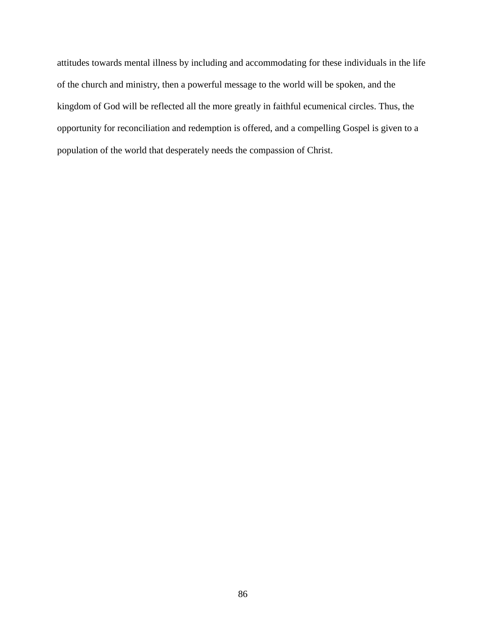attitudes towards mental illness by including and accommodating for these individuals in the life of the church and ministry, then a powerful message to the world will be spoken, and the kingdom of God will be reflected all the more greatly in faithful ecumenical circles. Thus, the opportunity for reconciliation and redemption is offered, and a compelling Gospel is given to a population of the world that desperately needs the compassion of Christ.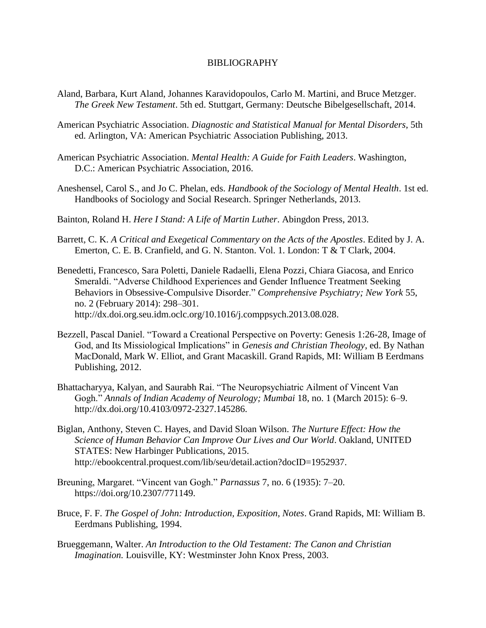## BIBLIOGRAPHY

- Aland, Barbara, Kurt Aland, Johannes Karavidopoulos, Carlo M. Martini, and Bruce Metzger. *The Greek New Testament*. 5th ed. Stuttgart, Germany: Deutsche Bibelgesellschaft, 2014.
- American Psychiatric Association. *Diagnostic and Statistical Manual for Mental Disorders*, 5th ed. Arlington, VA: American Psychiatric Association Publishing, 2013.
- American Psychiatric Association. *Mental Health: A Guide for Faith Leaders*. Washington, D.C.: American Psychiatric Association, 2016.
- Aneshensel, Carol S., and Jo C. Phelan, eds. *Handbook of the Sociology of Mental Health*. 1st ed. Handbooks of Sociology and Social Research. Springer Netherlands, 2013.
- Bainton, Roland H. *Here I Stand: A Life of Martin Luther*. Abingdon Press, 2013.
- Barrett, C. K. *A Critical and Exegetical Commentary on the Acts of the Apostles*. Edited by J. A. Emerton, C. E. B. Cranfield, and G. N. Stanton. Vol. 1. London: T & T Clark, 2004.
- Benedetti, Francesco, Sara Poletti, Daniele Radaelli, Elena Pozzi, Chiara Giacosa, and Enrico Smeraldi. "Adverse Childhood Experiences and Gender Influence Treatment Seeking Behaviors in Obsessive-Compulsive Disorder." *Comprehensive Psychiatry; New York* 55, no. 2 (February 2014): 298–301. http://dx.doi.org.seu.idm.oclc.org/10.1016/j.comppsych.2013.08.028.
- Bezzell, Pascal Daniel. "Toward a Creational Perspective on Poverty: Genesis 1:26-28, Image of God, and Its Missiological Implications" in *Genesis and Christian Theology*, ed. By Nathan MacDonald, Mark W. Elliot, and Grant Macaskill. Grand Rapids, MI: William B Eerdmans Publishing, 2012.
- Bhattacharyya, Kalyan, and Saurabh Rai. "The Neuropsychiatric Ailment of Vincent Van Gogh." *Annals of Indian Academy of Neurology; Mumbai* 18, no. 1 (March 2015): 6–9. http://dx.doi.org/10.4103/0972-2327.145286.
- Biglan, Anthony, Steven C. Hayes, and David Sloan Wilson. *The Nurture Effect: How the Science of Human Behavior Can Improve Our Lives and Our World*. Oakland, UNITED STATES: New Harbinger Publications, 2015. http://ebookcentral.proquest.com/lib/seu/detail.action?docID=1952937.
- Breuning, Margaret. "Vincent van Gogh." *Parnassus* 7, no. 6 (1935): 7–20. https://doi.org/10.2307/771149.
- Bruce, F. F. *The Gospel of John: Introduction, Exposition, Notes*. Grand Rapids, MI: William B. Eerdmans Publishing, 1994.
- Brueggemann, Walter. *An Introduction to the Old Testament: The Canon and Christian Imagination.* Louisville, KY: Westminster John Knox Press, 2003.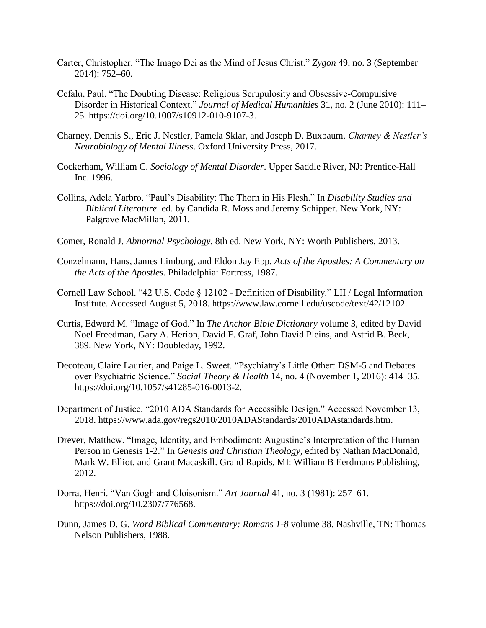- Carter, Christopher. "The Imago Dei as the Mind of Jesus Christ." *Zygon* 49, no. 3 (September 2014): 752–60.
- Cefalu, Paul. "The Doubting Disease: Religious Scrupulosity and Obsessive-Compulsive Disorder in Historical Context." *Journal of Medical Humanities* 31, no. 2 (June 2010): 111– 25. https://doi.org/10.1007/s10912-010-9107-3.
- Charney, Dennis S., Eric J. Nestler, Pamela Sklar, and Joseph D. Buxbaum. *Charney & Nestler's Neurobiology of Mental Illness*. Oxford University Press, 2017.
- Cockerham, William C. *Sociology of Mental Disorder*. Upper Saddle River, NJ: Prentice-Hall Inc. 1996.
- Collins, Adela Yarbro. "Paul's Disability: The Thorn in His Flesh." In *Disability Studies and Biblical Literature.* ed. by Candida R. Moss and Jeremy Schipper. New York, NY: Palgrave MacMillan, 2011.
- Comer, Ronald J. *Abnormal Psychology*, 8th ed. New York, NY: Worth Publishers, 2013.
- Conzelmann, Hans, James Limburg, and Eldon Jay Epp. *Acts of the Apostles: A Commentary on the Acts of the Apostles*. Philadelphia: Fortress, 1987.
- Cornell Law School. "42 U.S. Code § 12102 Definition of Disability." LII / Legal Information Institute. Accessed August 5, 2018. https://www.law.cornell.edu/uscode/text/42/12102.
- Curtis, Edward M. "Image of God." In *The Anchor Bible Dictionary* volume 3, edited by David Noel Freedman, Gary A. Herion, David F. Graf, John David Pleins, and Astrid B. Beck, 389. New York, NY: Doubleday, 1992.
- Decoteau, Claire Laurier, and Paige L. Sweet. "Psychiatry's Little Other: DSM-5 and Debates over Psychiatric Science." *Social Theory & Health* 14, no. 4 (November 1, 2016): 414–35. [https://doi.org/10.1057/s41285-016-0013-2.](https://doi.org/10.1057/s41285-016-0013-2)
- Department of Justice. "2010 ADA Standards for Accessible Design." Accessed November 13, 2018. [https://www.ada.gov/regs2010/2010ADAStandards/2010ADAstandards.htm.](https://www.ada.gov/regs2010/2010ADAStandards/2010ADAstandards.htm)
- Drever, Matthew. "Image, Identity, and Embodiment: Augustine's Interpretation of the Human Person in Genesis 1-2." In *Genesis and Christian Theology,* edited by Nathan MacDonald, Mark W. Elliot, and Grant Macaskill. Grand Rapids, MI: William B Eerdmans Publishing, 2012.
- Dorra, Henri. "Van Gogh and Cloisonism." *Art Journal* 41, no. 3 (1981): 257–61. https://doi.org/10.2307/776568.
- Dunn, James D. G. *Word Biblical Commentary: Romans 1-8* volume 38. Nashville, TN: Thomas Nelson Publishers, 1988.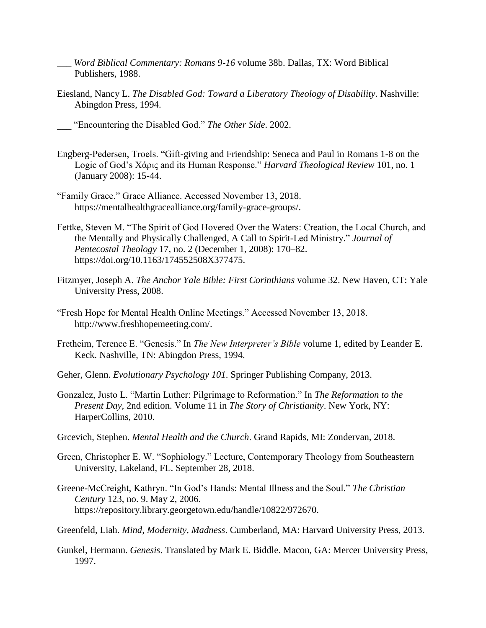- \_\_\_ *Word Biblical Commentary: Romans 9-16* volume 38b. Dallas, TX: Word Biblical Publishers, 1988.
- Eiesland, Nancy L. *The Disabled God: Toward a Liberatory Theology of Disability*. Nashville: Abingdon Press, 1994.
- \_\_\_ "Encountering the Disabled God." *The Other Side*. 2002.
- Engberg-Pedersen, Troels. "Gift-giving and Friendship: Seneca and Paul in Romans 1-8 on the Logic of God's Χάρις and its Human Response." *Harvard Theological Review* 101, no. 1 (January 2008): 15-44.
- "Family Grace." Grace Alliance. Accessed November 13, 2018. [https://mentalhealthgracealliance.org/family-grace-groups/.](https://mentalhealthgracealliance.org/family-grace-groups/)
- Fettke, Steven M. "The Spirit of God Hovered Over the Waters: Creation, the Local Church, and the Mentally and Physically Challenged, A Call to Spirit-Led Ministry." *Journal of Pentecostal Theology* 17, no. 2 (December 1, 2008): 170–82. https://doi.org/10.1163/174552508X377475.
- Fitzmyer, Joseph A. *The Anchor Yale Bible: First Corinthians* volume 32. New Haven, CT: Yale University Press, 2008.
- "Fresh Hope for Mental Health Online Meetings." Accessed November 13, 2018. [http://www.freshhopemeeting.com/.](http://www.freshhopemeeting.com/)
- Fretheim, Terence E. "Genesis." In *The New Interpreter's Bible* volume 1, edited by Leander E. Keck. Nashville, TN: Abingdon Press, 1994.
- Geher, Glenn. *Evolutionary Psychology 101*. Springer Publishing Company, 2013.
- Gonzalez, Justo L. "Martin Luther: Pilgrimage to Reformation." In *The Reformation to the Present Day,* 2nd edition. Volume 11 in *The Story of Christianity*. New York, NY: HarperCollins, 2010.
- Grcevich, Stephen. *Mental Health and the Church*. Grand Rapids, MI: Zondervan, 2018.
- Green, Christopher E. W. "Sophiology." Lecture, Contemporary Theology from Southeastern University, Lakeland, FL. September 28, 2018.
- Greene-McCreight, Kathryn. "In God's Hands: Mental Illness and the Soul." *The Christian Century* 123, no. 9. May 2, 2006. https://repository.library.georgetown.edu/handle/10822/972670.
- Greenfeld, Liah. *Mind, Modernity, Madness*. Cumberland, MA: Harvard University Press, 2013.
- Gunkel, Hermann. *Genesis*. Translated by Mark E. Biddle. Macon, GA: Mercer University Press, 1997.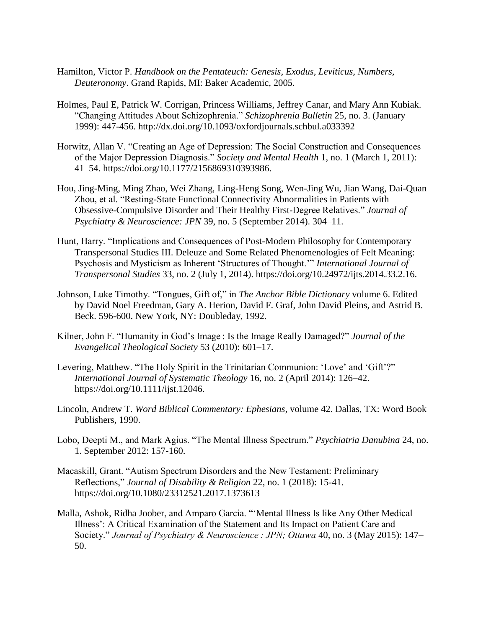- Hamilton, Victor P. *Handbook on the Pentateuch: Genesis, Exodus, Leviticus, Numbers, Deuteronomy*. Grand Rapids, MI: Baker Academic, 2005.
- Holmes, Paul E, Patrick W. Corrigan, Princess Williams, Jeffrey Canar, and Mary Ann Kubiak. "Changing Attitudes About Schizophrenia." *Schizophrenia Bulletin* 25, no. 3. (January 1999): 447-456. http://dx.doi.org/10.1093/oxfordjournals.schbul.a033392
- Horwitz, Allan V. "Creating an Age of Depression: The Social Construction and Consequences of the Major Depression Diagnosis." *Society and Mental Health* 1, no. 1 (March 1, 2011): 41–54. https://doi.org/10.1177/2156869310393986.
- Hou, Jing-Ming, Ming Zhao, Wei Zhang, Ling-Heng Song, Wen-Jing Wu, Jian Wang, Dai-Quan Zhou, et al. "Resting-State Functional Connectivity Abnormalities in Patients with Obsessive-Compulsive Disorder and Their Healthy First-Degree Relatives." *Journal of Psychiatry & Neuroscience: JPN* 39, no. 5 (September 2014). 304–11.
- Hunt, Harry. "Implications and Consequences of Post-Modern Philosophy for Contemporary Transpersonal Studies III. Deleuze and Some Related Phenomenologies of Felt Meaning: Psychosis and Mysticism as Inherent 'Structures of Thought.'" *International Journal of Transpersonal Studies* 33, no. 2 (July 1, 2014). https://doi.org/10.24972/ijts.2014.33.2.16.
- Johnson, Luke Timothy. "Tongues, Gift of," in *The Anchor Bible Dictionary* volume 6. Edited by David Noel Freedman, Gary A. Herion, David F. Graf, John David Pleins, and Astrid B. Beck. 596-600. New York, NY: Doubleday, 1992.
- Kilner, John F. "Humanity in God's Image : Is the Image Really Damaged?" *Journal of the Evangelical Theological Society* 53 (2010): 601–17.
- Levering, Matthew. "The Holy Spirit in the Trinitarian Communion: 'Love' and 'Gift'?" *International Journal of Systematic Theology* 16, no. 2 (April 2014): 126–42. https://doi.org/10.1111/ijst.12046.
- Lincoln, Andrew T. *Word Biblical Commentary: Ephesians*, volume 42. Dallas, TX: Word Book Publishers, 1990.
- Lobo, Deepti M., and Mark Agius. "The Mental Illness Spectrum." *Psychiatria Danubina* 24, no. 1. September 2012: 157-160.
- Macaskill, Grant. "Autism Spectrum Disorders and the New Testament: Preliminary Reflections," *Journal of Disability & Religion* 22, no. 1 (2018): 15-41. https://doi.org/10.1080/23312521.2017.1373613
- Malla, Ashok, Ridha Joober, and Amparo Garcia. "'Mental Illness Is like Any Other Medical Illness': A Critical Examination of the Statement and Its Impact on Patient Care and Society." *Journal of Psychiatry & Neuroscience : JPN; Ottawa* 40, no. 3 (May 2015): 147– 50.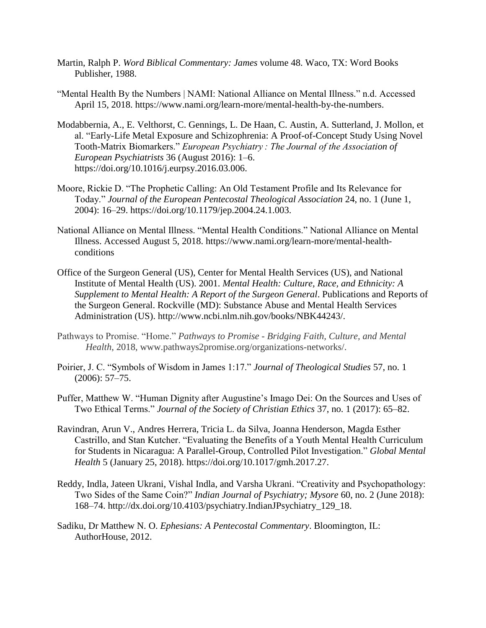- Martin, Ralph P. *Word Biblical Commentary: James* volume 48. Waco, TX: Word Books Publisher, 1988.
- "Mental Health By the Numbers | NAMI: National Alliance on Mental Illness." n.d. Accessed April 15, 2018. https://www.nami.org/learn-more/mental-health-by-the-numbers.
- Modabbernia, A., E. Velthorst, C. Gennings, L. De Haan, C. Austin, A. Sutterland, J. Mollon, et al. "Early-Life Metal Exposure and Schizophrenia: A Proof-of-Concept Study Using Novel Tooth-Matrix Biomarkers." *European Psychiatry : The Journal of the Association of European Psychiatrists* 36 (August 2016): 1–6. https://doi.org/10.1016/j.eurpsy.2016.03.006.
- Moore, Rickie D. "The Prophetic Calling: An Old Testament Profile and Its Relevance for Today." *Journal of the European Pentecostal Theological Association* 24, no. 1 (June 1, 2004): 16–29. https://doi.org/10.1179/jep.2004.24.1.003.
- National Alliance on Mental Illness. "Mental Health Conditions." National Alliance on Mental Illness. Accessed August 5, 2018. https://www.nami.org/learn-more/mental-healthconditions
- Office of the Surgeon General (US), Center for Mental Health Services (US), and National Institute of Mental Health (US). 2001. *Mental Health: Culture, Race, and Ethnicity: A Supplement to Mental Health: A Report of the Surgeon General*. Publications and Reports of the Surgeon General. Rockville (MD): Substance Abuse and Mental Health Services Administration (US). http://www.ncbi.nlm.nih.gov/books/NBK44243/.
- Pathways to Promise. "Home." *Pathways to Promise - Bridging Faith, Culture, and Mental Health*, 2018, www.pathways2promise.org/organizations-networks/.
- Poirier, J. C. "Symbols of Wisdom in James 1:17." *Journal of Theological Studies* 57, no. 1 (2006): 57–75.
- Puffer, Matthew W. "Human Dignity after Augustine's Imago Dei: On the Sources and Uses of Two Ethical Terms." *Journal of the Society of Christian Ethics* 37, no. 1 (2017): 65–82.
- Ravindran, Arun V., Andres Herrera, Tricia L. da Silva, Joanna Henderson, Magda Esther Castrillo, and Stan Kutcher. "Evaluating the Benefits of a Youth Mental Health Curriculum for Students in Nicaragua: A Parallel-Group, Controlled Pilot Investigation." *Global Mental Health* 5 (January 25, 2018). https://doi.org/10.1017/gmh.2017.27.
- Reddy, Indla, Jateen Ukrani, Vishal Indla, and Varsha Ukrani. "Creativity and Psychopathology: Two Sides of the Same Coin?" *Indian Journal of Psychiatry; Mysore* 60, no. 2 (June 2018): 168–74. http://dx.doi.org/10.4103/psychiatry.IndianJPsychiatry\_129\_18.
- Sadiku, Dr Matthew N. O. *Ephesians: A Pentecostal Commentary*. Bloomington, IL: AuthorHouse, 2012.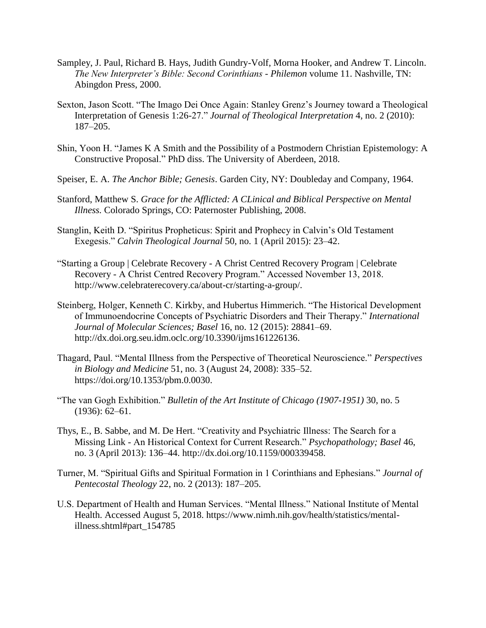- Sampley, J. Paul, Richard B. Hays, Judith Gundry-Volf, Morna Hooker, and Andrew T. Lincoln. *The New Interpreter's Bible: Second Corinthians - Philemon* volume 11. Nashville, TN: Abingdon Press, 2000.
- Sexton, Jason Scott. "The Imago Dei Once Again: Stanley Grenz's Journey toward a Theological Interpretation of Genesis 1:26-27." *Journal of Theological Interpretation* 4, no. 2 (2010): 187–205.
- Shin, Yoon H. "James K A Smith and the Possibility of a Postmodern Christian Epistemology: A Constructive Proposal." PhD diss. The University of Aberdeen, 2018.
- Speiser, E. A. *The Anchor Bible; Genesis*. Garden City, NY: Doubleday and Company, 1964.
- Stanford, Matthew S. *Grace for the Afflicted: A CLinical and Biblical Perspective on Mental Illness.* Colorado Springs, CO: Paternoster Publishing, 2008.
- Stanglin, Keith D. "Spiritus Propheticus: Spirit and Prophecy in Calvin's Old Testament Exegesis." *Calvin Theological Journal* 50, no. 1 (April 2015): 23–42.
- "Starting a Group | Celebrate Recovery A Christ Centred Recovery Program | Celebrate Recovery - A Christ Centred Recovery Program." Accessed November 13, 2018. [http://www.celebraterecovery.ca/about-cr/starting-a-group/.](http://www.celebraterecovery.ca/about-cr/starting-a-group/)
- Steinberg, Holger, Kenneth C. Kirkby, and Hubertus Himmerich. "The Historical Development of Immunoendocrine Concepts of Psychiatric Disorders and Their Therapy." *International Journal of Molecular Sciences; Basel* 16, no. 12 (2015): 28841–69. http://dx.doi.org.seu.idm.oclc.org/10.3390/ijms161226136.
- Thagard, Paul. "Mental Illness from the Perspective of Theoretical Neuroscience." *Perspectives in Biology and Medicine* 51, no. 3 (August 24, 2008): 335–52. https://doi.org/10.1353/pbm.0.0030.
- "The van Gogh Exhibition." *Bulletin of the Art Institute of Chicago (1907-1951)* 30, no. 5 (1936): 62–61.
- Thys, E., B. Sabbe, and M. De Hert. "Creativity and Psychiatric Illness: The Search for a Missing Link - An Historical Context for Current Research." *Psychopathology; Basel* 46, no. 3 (April 2013): 136–44. [http://dx.doi.org/10.1159/000339458.](http://dx.doi.org/10.1159/000339458)
- Turner, M. "Spiritual Gifts and Spiritual Formation in 1 Corinthians and Ephesians." *Journal of Pentecostal Theology* 22, no. 2 (2013): 187–205.
- U.S. Department of Health and Human Services. "Mental Illness." National Institute of Mental Health. Accessed August 5, 2018. https://www.nimh.nih.gov/health/statistics/mentalillness.shtml#part\_154785